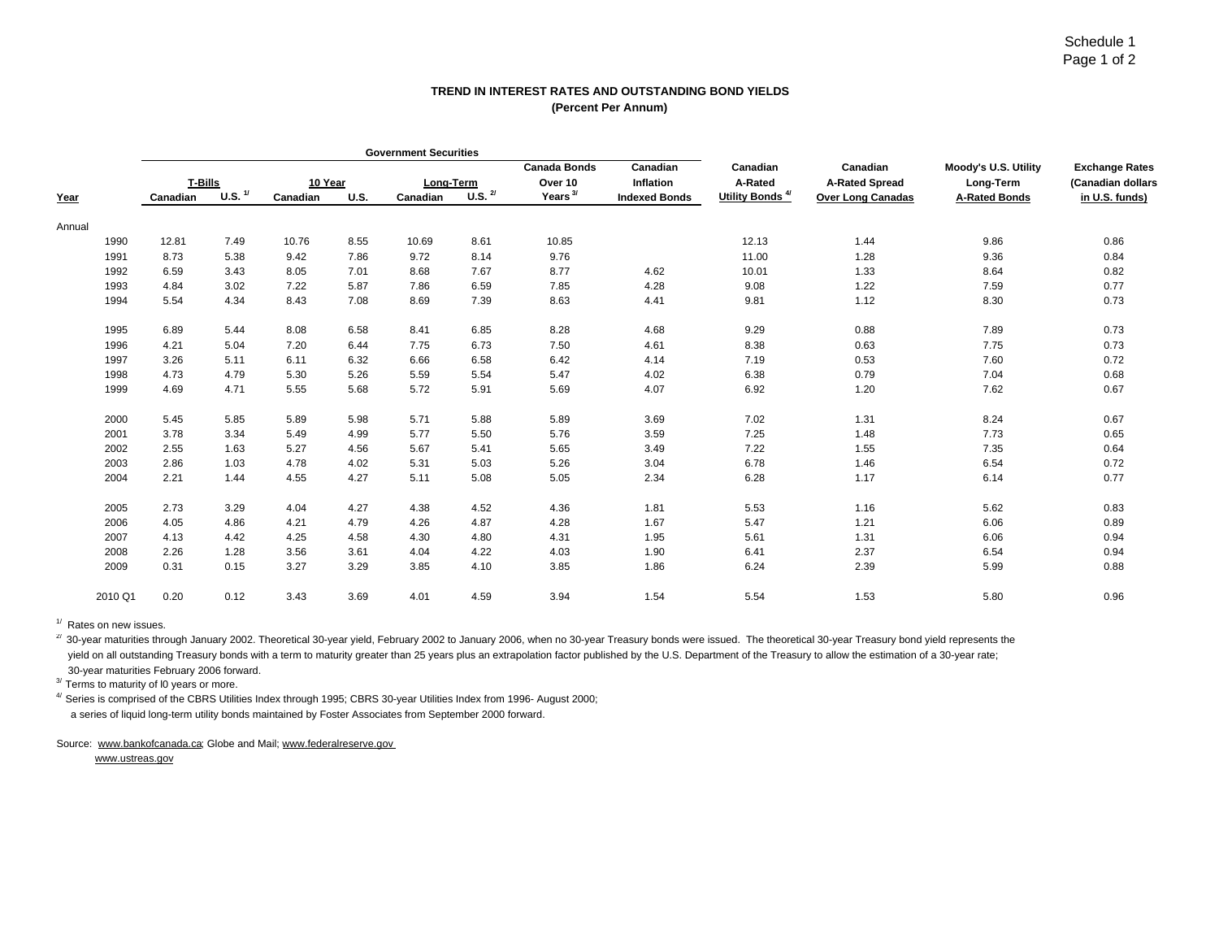## **TREND IN INTEREST RATES AND OUTSTANDING BOND YIELDS(Percent Per Annum)**

|        |         |          |                    |          |             | <b>Government Securities</b> |                                 |                     |                      |                             |                          |                      |                       |
|--------|---------|----------|--------------------|----------|-------------|------------------------------|---------------------------------|---------------------|----------------------|-----------------------------|--------------------------|----------------------|-----------------------|
|        |         |          |                    |          |             |                              |                                 | <b>Canada Bonds</b> | Canadian             | Canadian                    | Canadian                 | Moody's U.S. Utility | <b>Exchange Rates</b> |
|        |         | T-Bills  |                    | 10 Year  |             | Long-Term                    |                                 | Over 10             | Inflation            | A-Rated                     | <b>A-Rated Spread</b>    | Long-Term            | (Canadian dollars     |
| Year   |         | Canadian | U.S. $\frac{1}{2}$ | Canadian | <b>U.S.</b> | Canadian                     | $\overline{U.S.}$ $\frac{2}{7}$ | Years $3/$          | <b>Indexed Bonds</b> | Utility Bonds <sup>4/</sup> | <b>Over Long Canadas</b> | <b>A-Rated Bonds</b> | in U.S. funds)        |
| Annual |         |          |                    |          |             |                              |                                 |                     |                      |                             |                          |                      |                       |
|        | 1990    | 12.81    | 7.49               | 10.76    | 8.55        | 10.69                        | 8.61                            | 10.85               |                      | 12.13                       | 1.44                     | 9.86                 | 0.86                  |
|        | 1991    | 8.73     | 5.38               | 9.42     | 7.86        | 9.72                         | 8.14                            | 9.76                |                      | 11.00                       | 1.28                     | 9.36                 | 0.84                  |
|        | 1992    | 6.59     | 3.43               | 8.05     | 7.01        | 8.68                         | 7.67                            | 8.77                | 4.62                 | 10.01                       | 1.33                     | 8.64                 | 0.82                  |
|        | 1993    | 4.84     | 3.02               | 7.22     | 5.87        | 7.86                         | 6.59                            | 7.85                | 4.28                 | 9.08                        | 1.22                     | 7.59                 | 0.77                  |
|        | 1994    | 5.54     | 4.34               | 8.43     | 7.08        | 8.69                         | 7.39                            | 8.63                | 4.41                 | 9.81                        | 1.12                     | 8.30                 | 0.73                  |
|        | 1995    | 6.89     | 5.44               | 8.08     | 6.58        | 8.41                         | 6.85                            | 8.28                | 4.68                 | 9.29                        | 0.88                     | 7.89                 | 0.73                  |
|        | 1996    | 4.21     | 5.04               | 7.20     | 6.44        | 7.75                         | 6.73                            | 7.50                | 4.61                 | 8.38                        | 0.63                     | 7.75                 | 0.73                  |
|        | 1997    | 3.26     | 5.11               | 6.11     | 6.32        | 6.66                         | 6.58                            | 6.42                | 4.14                 | 7.19                        | 0.53                     | 7.60                 | 0.72                  |
|        | 1998    | 4.73     | 4.79               | 5.30     | 5.26        | 5.59                         | 5.54                            | 5.47                | 4.02                 | 6.38                        | 0.79                     | 7.04                 | 0.68                  |
|        | 1999    | 4.69     | 4.71               | 5.55     | 5.68        | 5.72                         | 5.91                            | 5.69                | 4.07                 | 6.92                        | 1.20                     | 7.62                 | 0.67                  |
|        | 2000    | 5.45     | 5.85               | 5.89     | 5.98        | 5.71                         | 5.88                            | 5.89                | 3.69                 | 7.02                        | 1.31                     | 8.24                 | 0.67                  |
|        | 2001    | 3.78     | 3.34               | 5.49     | 4.99        | 5.77                         | 5.50                            | 5.76                | 3.59                 | 7.25                        | 1.48                     | 7.73                 | 0.65                  |
|        | 2002    | 2.55     | 1.63               | 5.27     | 4.56        | 5.67                         | 5.41                            | 5.65                | 3.49                 | 7.22                        | 1.55                     | 7.35                 | 0.64                  |
|        | 2003    | 2.86     | 1.03               | 4.78     | 4.02        | 5.31                         | 5.03                            | 5.26                | 3.04                 | 6.78                        | 1.46                     | 6.54                 | 0.72                  |
|        | 2004    | 2.21     | 1.44               | 4.55     | 4.27        | 5.11                         | 5.08                            | 5.05                | 2.34                 | 6.28                        | 1.17                     | 6.14                 | 0.77                  |
|        | 2005    | 2.73     | 3.29               | 4.04     | 4.27        | 4.38                         | 4.52                            | 4.36                | 1.81                 | 5.53                        | 1.16                     | 5.62                 | 0.83                  |
|        | 2006    | 4.05     | 4.86               | 4.21     | 4.79        | 4.26                         | 4.87                            | 4.28                | 1.67                 | 5.47                        | 1.21                     | 6.06                 | 0.89                  |
|        | 2007    | 4.13     | 4.42               | 4.25     | 4.58        | 4.30                         | 4.80                            | 4.31                | 1.95                 | 5.61                        | 1.31                     | 6.06                 | 0.94                  |
|        | 2008    | 2.26     | 1.28               | 3.56     | 3.61        | 4.04                         | 4.22                            | 4.03                | 1.90                 | 6.41                        | 2.37                     | 6.54                 | 0.94                  |
|        | 2009    | 0.31     | 0.15               | 3.27     | 3.29        | 3.85                         | 4.10                            | 3.85                | 1.86                 | 6.24                        | 2.39                     | 5.99                 | 0.88                  |
|        | 2010 Q1 | 0.20     | 0.12               | 3.43     | 3.69        | 4.01                         | 4.59                            | 3.94                | 1.54                 | 5.54                        | 1.53                     | 5.80                 | 0.96                  |

 $1/$  Rates on new issues.

<sup>2/</sup> 30-year maturities through January 2002. Theoretical 30-year yield, February 2002 to January 2006, when no 30-year Treasury bonds were issued. The theoretical 30-year Treasury bond yield represents the yield on all outstanding Treasury bonds with a term to maturity greater than 25 years plus an extrapolation factor published by the U.S. Department of the Treasury to allow the estimation of a 30-year rate;

30-year maturities February 2006 forward. 3/ Terms to maturity of l0 years or more.

 $^{4/}$  Series is comprised of the CBRS Utilities Index through 1995; CBRS 30-year Utilities Index from 1996- August 2000; a series of liquid long-term utility bonds maintained by Foster Associates from September 2000 forward.

Source: www.bankofcanada.ca; Globe and Mail; www.federalreserve.gov

www.ustreas.gov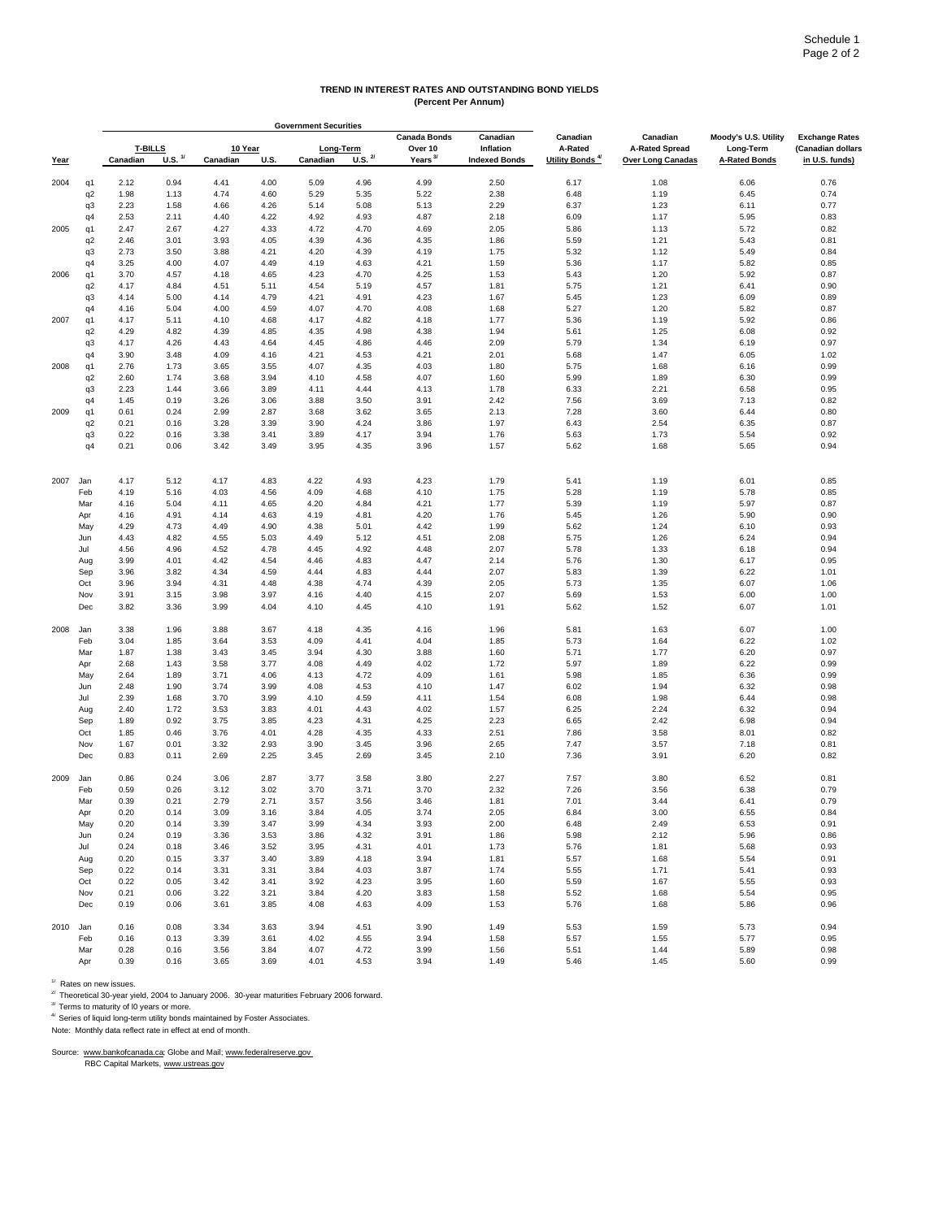#### **TREND IN INTEREST RATES AND OUTSTANDING BOND YIELDS (Percent Per Annum)**

|      |                |                |                    |          |      | <b>Government Securities</b> |              |                                |                       |                             |                                   |                                   |                                            |
|------|----------------|----------------|--------------------|----------|------|------------------------------|--------------|--------------------------------|-----------------------|-----------------------------|-----------------------------------|-----------------------------------|--------------------------------------------|
|      |                | <b>T-BILLS</b> |                    | 10 Year  |      | Long-Term                    |              | <b>Canada Bonds</b><br>Over 10 | Canadian<br>Inflation | Canadian<br>A-Rated         | Canadian<br><b>A-Rated Spread</b> | Moody's U.S. Utility<br>Long-Term | <b>Exchange Rates</b><br>(Canadian dollars |
| Year |                | Canadian       | U.S. <sup>1/</sup> | Canadian | U.S. | Canadian                     | U.S. $^{27}$ | Years <sup>3/</sup>            | <b>Indexed Bonds</b>  | Utility Bonds <sup>4/</sup> | <b>Over Long Canadas</b>          | <b>A-Rated Bonds</b>              | in U.S. funds)                             |
| 2004 | q1             | 2.12           | 0.94               | 4.41     | 4.00 | 5.09                         | 4.96         | 4.99                           | 2.50                  | 6.17                        | 1.08                              | 6.06                              | 0.76                                       |
|      | q2             | 1.98           | 1.13               | 4.74     | 4.60 | 5.29                         | 5.35         | 5.22                           | 2.38                  | 6.48                        | 1.19                              | 6.45                              | 0.74                                       |
|      | q3             | 2.23           | 1.58               | 4.66     | 4.26 | 5.14                         | 5.08         | 5.13                           | 2.29                  | 6.37                        | 1.23                              | 6.11                              | 0.77                                       |
|      | q4             | 2.53           | 2.11               | 4.40     | 4.22 | 4.92                         | 4.93         | 4.87                           | 2.18                  | 6.09                        | 1.17                              | 5.95                              | 0.83                                       |
| 2005 | q1             | 2.47           | 2.67               | 4.27     | 4.33 | 4.72                         | 4.70         | 4.69                           | 2.05                  | 5.86                        | 1.13                              | 5.72                              | 0.82                                       |
|      | q <sub>2</sub> | 2.46           | 3.01               | 3.93     | 4.05 | 4.39                         | 4.36         | 4.35                           | 1.86                  | 5.59                        | 1.21                              | 5.43                              | 0.81                                       |
|      | q3             | 2.73           | 3.50               | 3.88     | 4.21 | 4.20                         | 4.39         | 4.19                           | 1.75                  | 5.32                        | 1.12                              | 5.49                              | 0.84                                       |
|      | q4             | 3.25           | 4.00               | 4.07     | 4.49 | 4.19                         | 4.63         | 4.21                           | 1.59                  | 5.36                        | 1.17                              | 5.82                              | 0.85                                       |
| 2006 | q1             | 3.70           | 4.57               | 4.18     | 4.65 | 4.23                         | 4.70         | 4.25                           | 1.53                  | 5.43                        | 1.20                              | 5.92                              | 0.87                                       |
|      | q <sub>2</sub> | 4.17           | 4.84               | 4.51     | 5.11 | 4.54                         | 5.19         | 4.57                           | 1.81                  | 5.75                        | 1.21                              | 6.41                              | 0.90                                       |
|      | q3             | 4.14           | 5.00               | 4.14     | 4.79 | 4.21                         | 4.91         | 4.23                           | 1.67                  | 5.45                        | 1.23                              | 6.09                              | 0.89                                       |
|      | q4             | 4.16           | 5.04               | 4.00     | 4.59 | 4.07                         | 4.70         | 4.08                           | 1.68                  | 5.27                        | 1.20                              | 5.82                              | 0.87                                       |
| 2007 | q1             | 4.17           | 5.11               | 4.10     | 4.68 | 4.17                         | 4.82         | 4.18                           | 1.77                  | 5.36                        | 1.19                              | 5.92                              | 0.86                                       |
|      | q2             | 4.29           | 4.82               | 4.39     | 4.85 | 4.35                         | 4.98         | 4.38                           | 1.94                  | 5.61                        | 1.25                              | 6.08                              | 0.92                                       |
|      | q3             | 4.17           | 4.26               | 4.43     | 4.64 | 4.45                         | 4.86         | 4.46                           | 2.09                  | 5.79                        | 1.34                              | 6.19                              | 0.97                                       |
|      | q4             | 3.90           | 3.48               | 4.09     | 4.16 | 4.21                         | 4.53         | 4.21                           | 2.01                  | 5.68                        | 1.47                              | 6.05                              | 1.02                                       |
| 2008 | q1             | 2.76           | 1.73               | 3.65     | 3.55 | 4.07                         | 4.35         | 4.03                           | 1.80                  | 5.75                        | 1.68                              | 6.16                              | 0.99                                       |
|      | q2             | 2.60           | 1.74               | 3.68     | 3.94 | 4.10                         | 4.58         | 4.07                           | 1.60                  | 5.99                        | 1.89                              | 6.30                              | 0.99                                       |
|      | q3             | 2.23           | 1.44               | 3.66     | 3.89 | 4.11                         | 4.44         | 4.13                           | 1.78                  | 6.33                        | 2.21                              | 6.58                              | 0.95                                       |
|      | q4             | 1.45           | 0.19               | 3.26     | 3.06 | 3.88                         | 3.50         | 3.91                           | 2.42                  | 7.56                        | 3.69                              | 7.13                              | 0.82                                       |
| 2009 | q1             | 0.61           | 0.24               | 2.99     | 2.87 | 3.68                         | 3.62         | 3.65                           | 2.13                  | 7.28                        | 3.60                              | 6.44                              | 0.80                                       |
|      | q <sub>2</sub> | 0.21           | 0.16               | 3.28     | 3.39 | 3.90                         | 4.24         | 3.86                           | 1.97                  | 6.43                        | 2.54                              | 6.35                              | 0.87                                       |
|      | q3             | 0.22           | 0.16               | 3.38     | 3.41 | 3.89                         | 4.17         | 3.94                           | 1.76                  | 5.63                        | 1.73                              | 5.54                              | 0.92                                       |
|      | q4             | 0.21           | 0.06               | 3.42     | 3.49 | 3.95                         | 4.35         | 3.96                           | 1.57                  | 5.62                        | 1.68                              | 5.65                              | 0.94                                       |
|      |                |                |                    |          |      |                              |              |                                |                       |                             |                                   |                                   |                                            |
| 2007 | Jan            | 4.17           | 5.12               | 4.17     | 4.83 | 4.22                         | 4.93         | 4.23                           | 1.79                  | 5.41                        | 1.19                              | 6.01                              | 0.85                                       |
|      | Feb            | 4.19           | 5.16               | 4.03     | 4.56 | 4.09                         | 4.68         | 4.10                           | 1.75                  | 5.28                        | 1.19                              | 5.78                              | 0.85                                       |
|      | Mar            | 4.16           | 5.04               | 4.11     | 4.65 | 4.20                         | 4.84         | 4.21                           | 1.77                  | 5.39                        | 1.19                              | 5.97                              | 0.87                                       |
|      | Apr            | 4.16           | 4.91               | 4.14     | 4.63 | 4.19                         | 4.81         | 4.20                           | 1.76                  | 5.45                        | 1.26                              | 5.90                              | 0.90                                       |
|      | May            | 4.29           | 4.73               | 4.49     | 4.90 | 4.38                         | 5.01         | 4.42                           | 1.99                  | 5.62                        | 1.24                              | 6.10                              | 0.93                                       |
|      | Jun            | 4.43           | 4.82               | 4.55     | 5.03 | 4.49                         | 5.12         | 4.51                           | 2.08                  | 5.75                        | 1.26                              | 6.24                              | 0.94                                       |
|      | Jul            | 4.56           | 4.96               | 4.52     | 4.78 | 4.45                         | 4.92         | 4.48                           | 2.07                  | 5.78                        | 1.33                              | 6.18                              | 0.94                                       |
|      | Aug            | 3.99           | 4.01               | 4.42     | 4.54 | 4.46                         | 4.83         | 4.47                           | 2.14                  | 5.76                        | 1.30                              | 6.17                              | 0.95                                       |
|      | Sep            | 3.96           | 3.82               | 4.34     | 4.59 | 4.44                         | 4.83         | 4.44                           | 2.07                  | 5.83                        | 1.39                              | 6.22                              | 1.01                                       |
|      | Oct            | 3.96           | 3.94               | 4.31     | 4.48 | 4.38                         | 4.74         | 4.39                           | 2.05                  | 5.73                        | 1.35                              | 6.07                              | 1.06                                       |
|      | Nov            | 3.91           | 3.15               | 3.98     | 3.97 | 4.16                         | 4.40         | 4.15                           | 2.07                  | 5.69                        | 1.53                              | 6.00                              | 1.00                                       |
|      | Dec            | 3.82           | 3.36               | 3.99     | 4.04 | 4.10                         | 4.45         | 4.10                           | 1.91                  | 5.62                        | 1.52                              | 6.07                              | 1.01                                       |
| 2008 | Jan            | 3.38           | 1.96               | 3.88     | 3.67 | 4.18                         | 4.35         | 4.16                           | 1.96                  | 5.81                        | 1.63                              | 6.07                              | 1.00                                       |
|      | Feb            | 3.04           | 1.85               | 3.64     | 3.53 | 4.09                         | 4.41         | 4.04                           | 1.85                  | 5.73                        | 1.64                              | 6.22                              | 1.02                                       |
|      | Mar            | 1.87           | 1.38               | 3.43     | 3.45 | 3.94                         | 4.30         | 3.88                           | 1.60                  | 5.71                        | 1.77                              | 6.20                              | 0.97                                       |
|      | Apr            | 2.68           | 1.43               | 3.58     | 3.77 | 4.08                         | 4.49         | 4.02                           | 1.72                  | 5.97                        | 1.89                              | 6.22                              | 0.99                                       |
|      | May            | 2.64           | 1.89               | 3.71     | 4.06 | 4.13                         | 4.72         | 4.09                           | 1.61                  | 5.98                        | 1.85                              | 6.36                              | 0.99                                       |
|      | Jun            | 2.48           | 1.90               | 3.74     | 3.99 | 4.08                         | 4.53         | 4.10                           | 1.47                  | 6.02                        | 1.94                              | 6.32                              | 0.98                                       |
|      | Jul            | 2.39           | 1.68               | 3.70     | 3.99 | 4.10                         | 4.59         | 4.11                           | 1.54                  | 6.08                        | 1.98                              | 6.44                              | 0.98                                       |
|      | Aug            | 2.40           | 1.72               | 3.53     | 3.83 | 4.01                         | 4.43         | 4.02                           | 1.57                  | 6.25                        | 2.24                              | 6.32                              | 0.94                                       |
|      | Sep            | 1.89           | 0.92               | 3.75     | 3.85 | 4.23                         | 4.31         | 4.25                           | 2.23                  | 6.65                        | 2.42                              | 6.98                              | 0.94                                       |
|      | Oct            | 1.85           | 0.46               | 3.76     | 4.01 | 4.28                         | 4.35         | 4.33                           | 2.51                  | 7.86                        | 3.58                              | 8.01                              | 0.82                                       |
|      | Nov            | 1.67           | 0.01               | 3.32     | 2.93 | 3.90                         | 3.45         | 3.96                           | 2.65                  | 7.47                        | 3.57                              | 7.18                              | 0.81                                       |
|      | Dec            | 0.83           | 0.11               | 2.69     | 2.25 | 3.45                         | 2.69         | 3.45                           | 2.10                  | 7.36                        | 3.91                              | 6.20                              | 0.82                                       |
| 2009 | Jan            | 0.86           | 0.24               | 3.06     | 2.87 | 3.77                         | 3.58         | 3.80                           | 2.27                  | 7.57                        | 3.80                              | 6.52                              | 0.81                                       |
|      | Feb            | 0.59           | 0.26               | 3.12     | 3.02 | 3.70                         | 3.71         | 3.70                           | 2.32                  | 7.26                        | 3.56                              | 6.38                              | 0.79                                       |
|      | Mar            | 0.39           | 0.21               | 2.79     | 2.71 | 3.57                         | 3.56         | 3.46                           | 1.81                  | 7.01                        | 3.44                              | 6.41                              | 0.79                                       |
|      | Apr            | 0.20           | 0.14               | 3.09     | 3.16 | 3.84                         | 4.05         | 3.74                           | 2.05                  | 6.84                        | 3.00                              | 6.55                              | 0.84                                       |
|      | May            | 0.20           | 0.14               | 3.39     | 3.47 | 3.99                         | 4.34         | 3.93                           | 2.00                  | 6.48                        | 2.49                              | 6.53                              | 0.91                                       |
|      | Jun            | 0.24           | 0.19               | 3.36     | 3.53 | 3.86                         | 4.32         | 3.91                           | 1.86                  | 5.98                        | 2.12                              | 5.96                              | 0.86                                       |
|      | Jul            | 0.24           | 0.18               | 3.46     | 3.52 | 3.95                         | 4.31         | 4.01                           | 1.73                  | 5.76                        | 1.81                              | 5.68                              | 0.93                                       |
|      | Aug            | 0.20           | 0.15               | 3.37     | 3.40 | 3.89                         | 4.18         | 3.94                           | 1.81                  | 5.57                        | 1.68                              | 5.54                              | 0.91                                       |
|      | Sep            | 0.22           | 0.14               | 3.31     | 3.31 | 3.84                         | 4.03         | 3.87                           | 1.74                  | 5.55                        | 1.71                              | 5.41                              | 0.93                                       |
|      | Oct            | 0.22           | 0.05               | 3.42     | 3.41 | 3.92                         | 4.23         | 3.95                           | 1.60                  | 5.59                        | 1.67                              | 5.55                              | 0.93                                       |
|      | Nov            | 0.21           | 0.06               | 3.22     | 3.21 | 3.84                         | 4.20         | 3.83                           | 1.58                  | 5.52                        | 1.68                              | 5.54                              | 0.95                                       |
|      | Dec            | 0.19           | 0.06               | 3.61     | 3.85 | 4.08                         | 4.63         | 4.09                           | 1.53                  | 5.76                        | 1.68                              | 5.86                              | 0.96                                       |
| 2010 | Jan            | 0.16           | 0.08               | 3.34     | 3.63 | 3.94                         | 4.51         | 3.90                           | 1.49                  | 5.53                        | 1.59                              | 5.73                              | 0.94                                       |
|      | Feb            | 0.16           | 0.13               | 3.39     | 3.61 | 4.02                         | 4.55         | 3.94                           | 1.58                  | 5.57                        | 1.55                              | 5.77                              | 0.95                                       |
|      | Mar            | 0.28           | 0.16               | 3.56     | 3.84 | 4.07                         | 4.72         | 3.99                           | 1.56                  | 5.51                        | 1.44                              | 5.89                              | 0.98                                       |
|      | Apr            | 0.39           | 0.16               | 3.65     | 3.69 | 4.01                         | 4.53         | 3.94                           | 1.49                  | 5.46                        | 1.45                              | 5.60                              | 0.99                                       |

<sup>1/</sup> Rates on new issues.<br><sup>2/</sup> Theoretical 30-year yield, 2004 to January 2006. 30-year maturities February 2006 forward.<br><sup>3/</sup> Terms to maturity of 10 years or more.<br><sup>4/</sup> Series of liquid long-term utility bonds maintained

Source: www.bankofcanada.ca; Globe and Mail; www.federalreserve.gov<br>RBC Capital Markets, www.ustreas.gov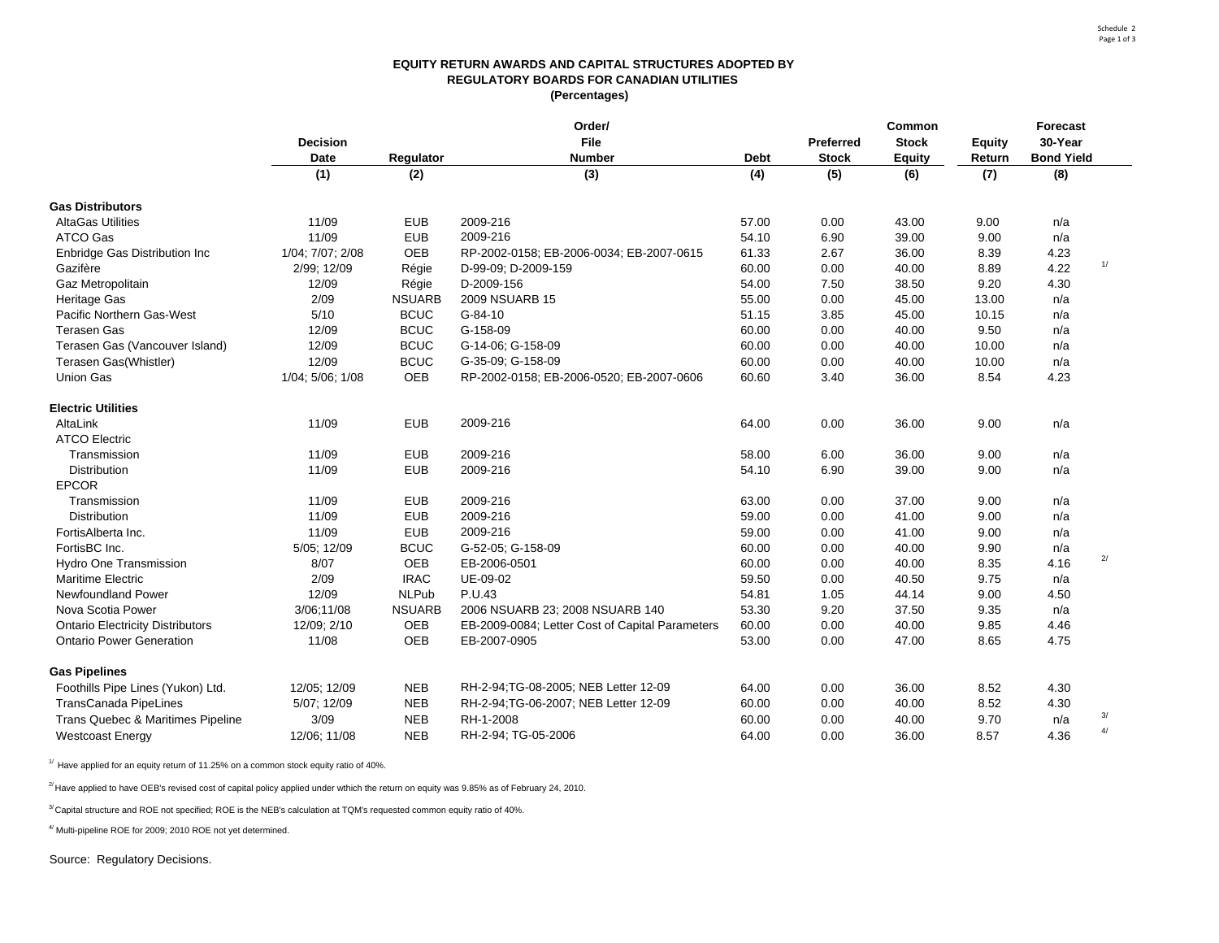#### **EQUITY RETURN AWARDS AND CAPITAL STRUCTURES ADOPTED BY REGULATORY BOARDS FOR CANADIAN UTILITIES (Percentages)**

|                                         |                  |               | Order/                                          |             |                  | Common        |               | <b>Forecast</b>   |                |
|-----------------------------------------|------------------|---------------|-------------------------------------------------|-------------|------------------|---------------|---------------|-------------------|----------------|
|                                         | <b>Decision</b>  |               | File                                            |             | <b>Preferred</b> | <b>Stock</b>  | <b>Equity</b> | 30-Year           |                |
|                                         | <b>Date</b>      | Regulator     | <b>Number</b>                                   | <b>Debt</b> | <b>Stock</b>     | <b>Equity</b> | Return        | <b>Bond Yield</b> |                |
|                                         | (1)              | (2)           | (3)                                             | (4)         | (5)              | (6)           | (7)           | (8)               |                |
| <b>Gas Distributors</b>                 |                  |               |                                                 |             |                  |               |               |                   |                |
| <b>AltaGas Utilities</b>                | 11/09            | <b>EUB</b>    | 2009-216                                        | 57.00       | 0.00             | 43.00         | 9.00          | n/a               |                |
| ATCO Gas                                | 11/09            | <b>EUB</b>    | 2009-216                                        | 54.10       | 6.90             | 39.00         | 9.00          | n/a               |                |
| Enbridge Gas Distribution Inc           | 1/04; 7/07; 2/08 | OEB           | RP-2002-0158; EB-2006-0034; EB-2007-0615        | 61.33       | 2.67             | 36.00         | 8.39          | 4.23              |                |
| Gazifère                                | 2/99; 12/09      | Régie         | D-99-09; D-2009-159                             | 60.00       | 0.00             | 40.00         | 8.89          | 4.22              | 1/             |
| Gaz Metropolitain                       | 12/09            | Régie         | D-2009-156                                      | 54.00       | 7.50             | 38.50         | 9.20          | 4.30              |                |
| <b>Heritage Gas</b>                     | 2/09             | <b>NSUARB</b> | 2009 NSUARB 15                                  | 55.00       | 0.00             | 45.00         | 13.00         | n/a               |                |
| Pacific Northern Gas-West               | 5/10             | <b>BCUC</b>   | $G-84-10$                                       | 51.15       | 3.85             | 45.00         | 10.15         | n/a               |                |
| <b>Terasen Gas</b>                      | 12/09            | <b>BCUC</b>   | G-158-09                                        | 60.00       | 0.00             | 40.00         | 9.50          | n/a               |                |
| Terasen Gas (Vancouver Island)          | 12/09            | <b>BCUC</b>   | G-14-06; G-158-09                               | 60.00       | 0.00             | 40.00         | 10.00         | n/a               |                |
| Terasen Gas(Whistler)                   | 12/09            | <b>BCUC</b>   | G-35-09; G-158-09                               | 60.00       | 0.00             | 40.00         | 10.00         | n/a               |                |
| Union Gas                               | 1/04; 5/06; 1/08 | OEB           | RP-2002-0158; EB-2006-0520; EB-2007-0606        | 60.60       | 3.40             | 36.00         | 8.54          | 4.23              |                |
| <b>Electric Utilities</b>               |                  |               |                                                 |             |                  |               |               |                   |                |
| AltaLink                                | 11/09            | <b>EUB</b>    | 2009-216                                        | 64.00       | 0.00             | 36.00         | 9.00          | n/a               |                |
| <b>ATCO Electric</b>                    |                  |               |                                                 |             |                  |               |               |                   |                |
| Transmission                            | 11/09            | <b>EUB</b>    | 2009-216                                        | 58.00       | 6.00             | 36.00         | 9.00          | n/a               |                |
| Distribution                            | 11/09            | <b>EUB</b>    | 2009-216                                        | 54.10       | 6.90             | 39.00         | 9.00          | n/a               |                |
| <b>EPCOR</b>                            |                  |               |                                                 |             |                  |               |               |                   |                |
| Transmission                            | 11/09            | <b>EUB</b>    | 2009-216                                        | 63.00       | 0.00             | 37.00         | 9.00          | n/a               |                |
| Distribution                            | 11/09            | <b>EUB</b>    | 2009-216                                        | 59.00       | 0.00             | 41.00         | 9.00          | n/a               |                |
| FortisAlberta Inc.                      | 11/09            | <b>EUB</b>    | 2009-216                                        | 59.00       | 0.00             | 41.00         | 9.00          | n/a               |                |
| FortisBC Inc.                           | 5/05; 12/09      | <b>BCUC</b>   | G-52-05; G-158-09                               | 60.00       | 0.00             | 40.00         | 9.90          | n/a               |                |
| Hydro One Transmission                  | 8/07             | OEB           | EB-2006-0501                                    | 60.00       | 0.00             | 40.00         | 8.35          | 4.16              | $\overline{2}$ |
| <b>Maritime Electric</b>                | 2/09             | <b>IRAC</b>   | UE-09-02                                        | 59.50       | 0.00             | 40.50         | 9.75          | n/a               |                |
| Newfoundland Power                      | 12/09            | <b>NLPub</b>  | P.U.43                                          | 54.81       | 1.05             | 44.14         | 9.00          | 4.50              |                |
| Nova Scotia Power                       | 3/06;11/08       | <b>NSUARB</b> | 2006 NSUARB 23; 2008 NSUARB 140                 | 53.30       | 9.20             | 37.50         | 9.35          | n/a               |                |
| <b>Ontario Electricity Distributors</b> | 12/09; 2/10      | OEB           | EB-2009-0084; Letter Cost of Capital Parameters | 60.00       | 0.00             | 40.00         | 9.85          | 4.46              |                |
| <b>Ontario Power Generation</b>         | 11/08            | OEB           | EB-2007-0905                                    | 53.00       | 0.00             | 47.00         | 8.65          | 4.75              |                |
| <b>Gas Pipelines</b>                    |                  |               |                                                 |             |                  |               |               |                   |                |
| Foothills Pipe Lines (Yukon) Ltd.       | 12/05; 12/09     | <b>NEB</b>    | RH-2-94;TG-08-2005; NEB Letter 12-09            | 64.00       | 0.00             | 36.00         | 8.52          | 4.30              |                |
| <b>TransCanada PipeLines</b>            | 5/07; 12/09      | <b>NEB</b>    | RH-2-94;TG-06-2007; NEB Letter 12-09            | 60.00       | 0.00             | 40.00         | 8.52          | 4.30              |                |
| Trans Quebec & Maritimes Pipeline       | 3/09             | <b>NEB</b>    | RH-1-2008                                       | 60.00       | 0.00             | 40.00         | 9.70          | n/a               | 3/             |
| <b>Westcoast Energy</b>                 | 12/06; 11/08     | <b>NEB</b>    | RH-2-94; TG-05-2006                             | 64.00       | 0.00             | 36.00         | 8.57          | 4.36              | $\overline{4}$ |

 $1/$  Have applied for an equity return of 11.25% on a common stock equity ratio of 40%.

 $^{2}$  Have applied to have OEB's revised cost of capital policy applied under wthich the return on equity was 9.85% as of February 24, 2010.

 $3'$  Capital structure and ROE not specified; ROE is the NEB's calculation at TQM's requested common equity ratio of 40%.

4/ Multi-pipeline ROE for 2009; 2010 ROE not yet determined.

Source: Regulatory Decisions.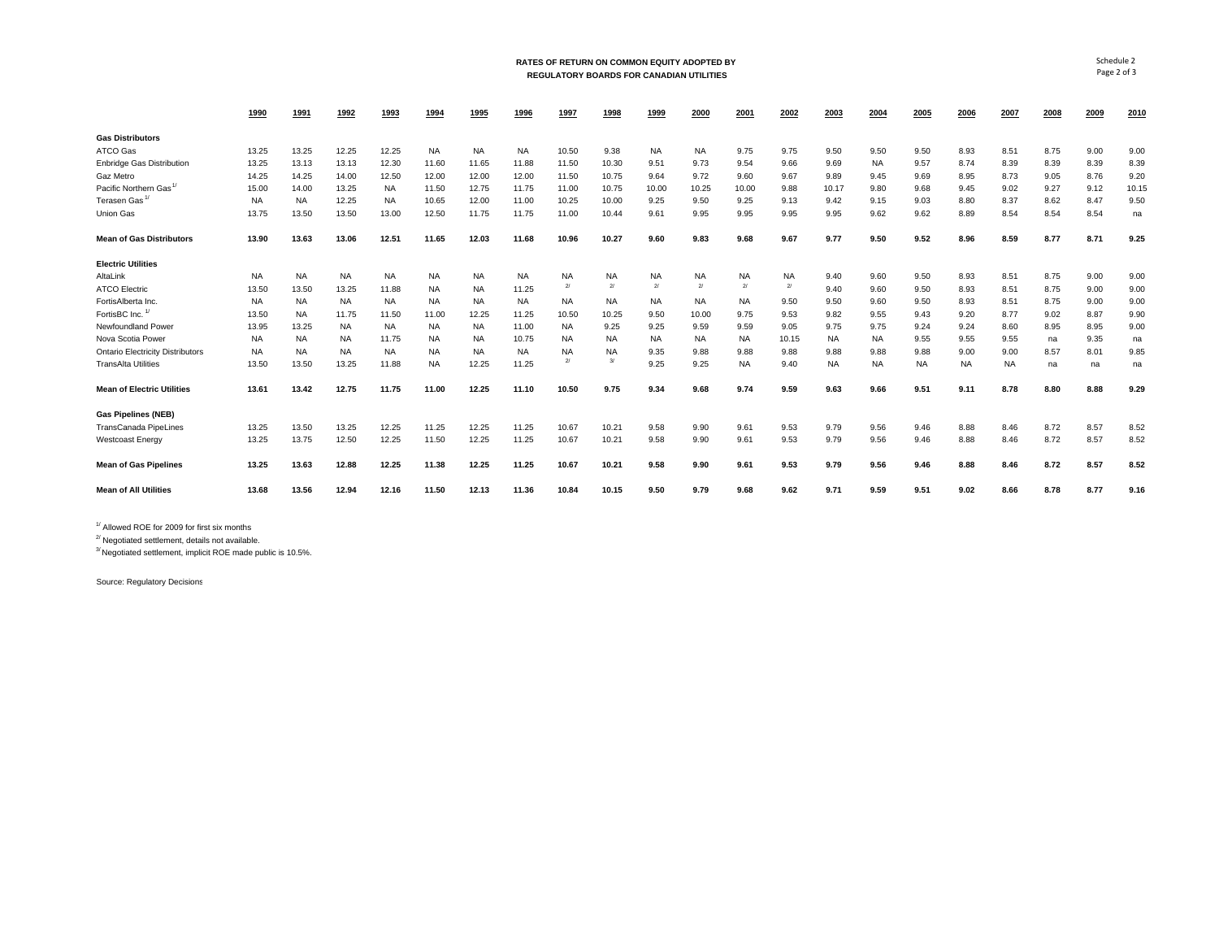#### **RATES OF RETURN ON COMMON EQUITY ADOPTED BY REGULATORY BOARDS FOR CANADIAN UTILITIES**

|                                         | 1990      | 1991      | 1992      | 1993      | 1994      | 1995      | 1996      | 1997           | 1998      | 1999      | 2000         | 2001           | 2002           | 2003      | 2004      | 2005      | 2006      | 2007      | 2008 | 2009 | 2010  |
|-----------------------------------------|-----------|-----------|-----------|-----------|-----------|-----------|-----------|----------------|-----------|-----------|--------------|----------------|----------------|-----------|-----------|-----------|-----------|-----------|------|------|-------|
| <b>Gas Distributors</b>                 |           |           |           |           |           |           |           |                |           |           |              |                |                |           |           |           |           |           |      |      |       |
| ATCO Gas                                | 13.25     | 13.25     | 12.25     | 12.25     | <b>NA</b> | <b>NA</b> | <b>NA</b> | 10.50          | 9.38      | <b>NA</b> | <b>NA</b>    | 9.75           | 9.75           | 9.50      | 9.50      | 9.50      | 8.93      | 8.51      | 8.75 | 9.00 | 9.00  |
| <b>Enbridge Gas Distribution</b>        | 13.25     | 13.13     | 13.13     | 12.30     | 11.60     | 11.65     | 11.88     | 11.50          | 10.30     | 9.51      | 9.73         | 9.54           | 9.66           | 9.69      | <b>NA</b> | 9.57      | 8.74      | 8.39      | 8.39 | 8.39 | 8.39  |
| Gaz Metro                               | 14.25     | 14.25     | 14.00     | 12.50     | 12.00     | 12.00     | 12.00     | 11.50          | 10.75     | 9.64      | 9.72         | 9.60           | 9.67           | 9.89      | 9.45      | 9.69      | 8.95      | 8.73      | 9.05 | 8.76 | 9.20  |
| Pacific Northern Gas <sup>1/</sup>      | 15.00     | 14.00     | 13.25     | <b>NA</b> | 11.50     | 12.75     | 11.75     | 11.00          | 10.75     | 10.00     | 10.25        | 10.00          | 9.88           | 10.17     | 9.80      | 9.68      | 9.45      | 9.02      | 9.27 | 9.12 | 10.15 |
| Terasen Gas <sup>1/</sup>               | <b>NA</b> | <b>NA</b> | 12.25     | <b>NA</b> | 10.65     | 12.00     | 11.00     | 10.25          | 10.00     | 9.25      | 9.50         | 9.25           | 9.13           | 9.42      | 9.15      | 9.03      | 8.80      | 8.37      | 8.62 | 8.47 | 9.50  |
| <b>Union Gas</b>                        | 13.75     | 13.50     | 13.50     | 13.00     | 12.50     | 11.75     | 11.75     | 11.00          | 10.44     | 9.61      | 9.95         | 9.95           | 9.95           | 9.95      | 9.62      | 9.62      | 8.89      | 8.54      | 8.54 | 8.54 | na    |
| <b>Mean of Gas Distributors</b>         | 13.90     | 13.63     | 13.06     | 12.51     | 11.65     | 12.03     | 11.68     | 10.96          | 10.27     | 9.60      | 9.83         | 9.68           | 9.67           | 9.77      | 9.50      | 9.52      | 8.96      | 8.59      | 8.77 | 8.71 | 9.25  |
| <b>Electric Utilities</b>               |           |           |           |           |           |           |           |                |           |           |              |                |                |           |           |           |           |           |      |      |       |
| AltaLink                                | <b>NA</b> | <b>NA</b> | <b>NA</b> | <b>NA</b> | NA.       | <b>NA</b> | <b>NA</b> | <b>NA</b>      | NA        | <b>NA</b> | <b>NA</b>    | NA.            | <b>NA</b>      | 9.40      | 9.60      | 9.50      | 8.93      | 8.51      | 8.75 | 9.00 | 9.00  |
| <b>ATCO Electric</b>                    | 13.50     | 13.50     | 13.25     | 11.88     | NA        | <b>NA</b> | 11.25     | 2 <sup>1</sup> | 2l        | 2l        | $\mathbf{z}$ | 2 <sup>1</sup> | $\overline{2}$ | 9.40      | 9.60      | 9.50      | 8.93      | 8.51      | 8.75 | 9.00 | 9.00  |
| FortisAlberta Inc.                      | <b>NA</b> | <b>NA</b> | <b>NA</b> | <b>NA</b> | <b>NA</b> | <b>NA</b> | <b>NA</b> | <b>NA</b>      | <b>NA</b> | <b>NA</b> | <b>NA</b>    | <b>NA</b>      | 9.50           | 9.50      | 9.60      | 9.50      | 8.93      | 8.51      | 8.75 | 9.00 | 9.00  |
| FortisBC Inc. <sup>1</sup>              | 13.50     | <b>NA</b> | 11.75     | 11.50     | 11.00     | 12.25     | 11.25     | 10.50          | 10.25     | 9.50      | 10.00        | 9.75           | 9.53           | 9.82      | 9.55      | 9.43      | 9.20      | 8.77      | 9.02 | 8.87 | 9.90  |
| Newfoundland Power                      | 13.95     | 13.25     | <b>NA</b> | <b>NA</b> | <b>NA</b> | <b>NA</b> | 11.00     | <b>NA</b>      | 9.25      | 9.25      | 9.59         | 9.59           | 9.05           | 9.75      | 9.75      | 9.24      | 9.24      | 8.60      | 8.95 | 8.95 | 9.00  |
| Nova Scotia Power                       | NA.       | <b>NA</b> | NA.       | 11.75     | NA.       | <b>NA</b> | 10.75     | <b>NA</b>      | <b>NA</b> | NA        | <b>NA</b>    | NA             | 10.15          | <b>NA</b> | <b>NA</b> | 9.55      | 9.55      | 9.55      | na   | 9.35 | na    |
| <b>Ontario Electricity Distributors</b> | <b>NA</b> | <b>NA</b> | <b>NA</b> | <b>NA</b> | <b>NA</b> | <b>NA</b> | <b>NA</b> | <b>NA</b>      | <b>NA</b> | 9.35      | 9.88         | 9.88           | 9.88           | 9.88      | 9.88      | 9.88      | 9.00      | 9.00      | 8.57 | 8.01 | 9.85  |
| <b>TransAlta Utilities</b>              | 13.50     | 13.50     | 13.25     | 11.88     | <b>NA</b> | 12.25     | 11.25     | 2 <sup>1</sup> | 3/        | 9.25      | 9.25         | <b>NA</b>      | 9.40           | <b>NA</b> | <b>NA</b> | <b>NA</b> | <b>NA</b> | <b>NA</b> | na   | na   | na    |
| <b>Mean of Electric Utilities</b>       | 13.61     | 13.42     | 12.75     | 11.75     | 11.00     | 12.25     | 11.10     | 10.50          | 9.75      | 9.34      | 9.68         | 9.74           | 9.59           | 9.63      | 9.66      | 9.51      | 9.11      | 8.78      | 8.80 | 8.88 | 9.29  |
| <b>Gas Pipelines (NEB)</b>              |           |           |           |           |           |           |           |                |           |           |              |                |                |           |           |           |           |           |      |      |       |
| <b>TransCanada PipeLines</b>            | 13.25     | 13.50     | 13.25     | 12.25     | 11.25     | 12.25     | 11.25     | 10.67          | 10.21     | 9.58      | 9.90         | 9.61           | 9.53           | 9.79      | 9.56      | 9.46      | 8.88      | 8.46      | 8.72 | 8.57 | 8.52  |
| <b>Westcoast Energy</b>                 | 13.25     | 13.75     | 12.50     | 12.25     | 11.50     | 12.25     | 11.25     | 10.67          | 10.21     | 9.58      | 9.90         | 9.61           | 9.53           | 9.79      | 9.56      | 9.46      | 8.88      | 8.46      | 8.72 | 8.57 | 8.52  |
| <b>Mean of Gas Pipelines</b>            | 13.25     | 13.63     | 12.88     | 12.25     | 11.38     | 12.25     | 11.25     | 10.67          | 10.21     | 9.58      | 9.90         | 9.61           | 9.53           | 9.79      | 9.56      | 9.46      | 8.88      | 8.46      | 8.72 | 8.57 | 8.52  |
| <b>Mean of All Utilities</b>            | 13.68     | 13.56     | 12.94     | 12.16     | 11.50     | 12.13     | 11.36     | 10.84          | 10.15     | 9.50      | 9.79         | 9.68           | 9.62           | 9.71      | 9.59      | 9.51      | 9.02      | 8.66      | 8.78 | 8.77 | 9.16  |

 $<sup>1/</sup>$  Allowed ROE for 2009 for first six months</sup>

 $^{27}$  Negotiated settlement, details not available.

<sup>3/</sup> Negotiated settlement, implicit ROE made public is 10.5%.

Source: Regulatory Decisions

Schedule 2Page 2 of 3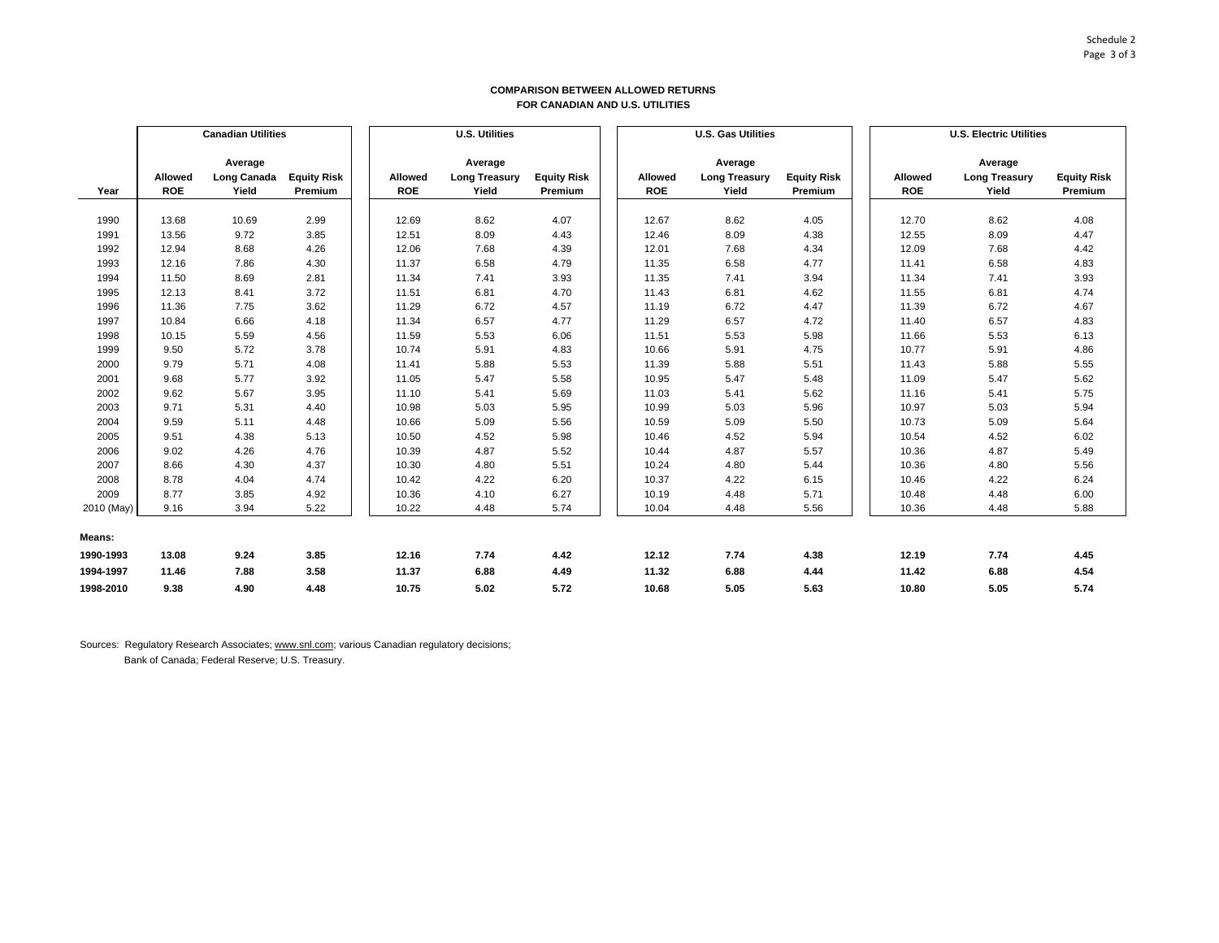#### **COMPARISON BETWEEN ALLOWED RETURNS FOR CANADIAN AND U.S. UTILITIES**

|            | <b>Canadian Utilities</b> |             |                    | <b>U.S. Utilities</b> |            |                      |                    | <b>U.S. Gas Utilities</b> |                |                      |                    | <b>U.S. Electric Utilities</b> |                      |                    |  |
|------------|---------------------------|-------------|--------------------|-----------------------|------------|----------------------|--------------------|---------------------------|----------------|----------------------|--------------------|--------------------------------|----------------------|--------------------|--|
|            |                           |             |                    |                       |            |                      |                    |                           |                |                      |                    |                                |                      |                    |  |
|            |                           | Average     |                    |                       |            | Average              |                    |                           |                | Average              |                    |                                | Average              |                    |  |
|            | Allowed                   | Long Canada | <b>Equity Risk</b> |                       | Allowed    | <b>Long Treasury</b> | <b>Equity Risk</b> |                           | <b>Allowed</b> | <b>Long Treasury</b> | <b>Equity Risk</b> | Allowed                        | <b>Long Treasury</b> | <b>Equity Risk</b> |  |
| Year       | <b>ROE</b>                | Yield       | Premium            |                       | <b>ROE</b> | Yield                | Premium            |                           | <b>ROE</b>     | Yield                | Premium            | <b>ROE</b>                     | Yield                | Premium            |  |
|            |                           |             |                    |                       |            |                      |                    |                           |                |                      |                    |                                |                      |                    |  |
| 1990       | 13.68                     | 10.69       | 2.99               |                       | 12.69      | 8.62                 | 4.07               |                           | 12.67          | 8.62                 | 4.05               | 12.70                          | 8.62                 | 4.08               |  |
| 1991       | 13.56                     | 9.72        | 3.85               |                       | 12.51      | 8.09                 | 4.43               |                           | 12.46          | 8.09                 | 4.38               | 12.55                          | 8.09                 | 4.47               |  |
| 1992       | 12.94                     | 8.68        | 4.26               |                       | 12.06      | 7.68                 | 4.39               |                           | 12.01          | 7.68                 | 4.34               | 12.09                          | 7.68                 | 4.42               |  |
| 1993       | 12.16                     | 7.86        | 4.30               |                       | 11.37      | 6.58                 | 4.79               |                           | 11.35          | 6.58                 | 4.77               | 11.41                          | 6.58                 | 4.83               |  |
| 1994       | 11.50                     | 8.69        | 2.81               |                       | 11.34      | 7.41                 | 3.93               |                           | 11.35          | 7.41                 | 3.94               | 11.34                          | 7.41                 | 3.93               |  |
| 1995       | 12.13                     | 8.41        | 3.72               |                       | 11.51      | 6.81                 | 4.70               |                           | 11.43          | 6.81                 | 4.62               | 11.55                          | 6.81                 | 4.74               |  |
| 1996       | 11.36                     | 7.75        | 3.62               |                       | 11.29      | 6.72                 | 4.57               |                           | 11.19          | 6.72                 | 4.47               | 11.39                          | 6.72                 | 4.67               |  |
| 1997       | 10.84                     | 6.66        | 4.18               |                       | 11.34      | 6.57                 | 4.77               |                           | 11.29          | 6.57                 | 4.72               | 11.40                          | 6.57                 | 4.83               |  |
| 1998       | 10.15                     | 5.59        | 4.56               |                       | 11.59      | 5.53                 | 6.06               |                           | 11.51          | 5.53                 | 5.98               | 11.66                          | 5.53                 | 6.13               |  |
| 1999       | 9.50                      | 5.72        | 3.78               |                       | 10.74      | 5.91                 | 4.83               |                           | 10.66          | 5.91                 | 4.75               | 10.77                          | 5.91                 | 4.86               |  |
| 2000       | 9.79                      | 5.71        | 4.08               |                       | 11.41      | 5.88                 | 5.53               |                           | 11.39          | 5.88                 | 5.51               | 11.43                          | 5.88                 | 5.55               |  |
| 2001       | 9.68                      | 5.77        | 3.92               |                       | 11.05      | 5.47                 | 5.58               |                           | 10.95          | 5.47                 | 5.48               | 11.09                          | 5.47                 | 5.62               |  |
| 2002       | 9.62                      | 5.67        | 3.95               |                       | 11.10      | 5.41                 | 5.69               |                           | 11.03          | 5.41                 | 5.62               | 11.16                          | 5.41                 | 5.75               |  |
| 2003       | 9.71                      | 5.31        | 4.40               |                       | 10.98      | 5.03                 | 5.95               |                           | 10.99          | 5.03                 | 5.96               | 10.97                          | 5.03                 | 5.94               |  |
| 2004       | 9.59                      | 5.11        | 4.48               |                       | 10.66      | 5.09                 | 5.56               |                           | 10.59          | 5.09                 | 5.50               | 10.73                          | 5.09                 | 5.64               |  |
| 2005       | 9.51                      | 4.38        | 5.13               |                       | 10.50      | 4.52                 | 5.98               |                           | 10.46          | 4.52                 | 5.94               | 10.54                          | 4.52                 | 6.02               |  |
| 2006       | 9.02                      | 4.26        | 4.76               |                       | 10.39      | 4.87                 | 5.52               |                           | 10.44          | 4.87                 | 5.57               | 10.36                          | 4.87                 | 5.49               |  |
| 2007       | 8.66                      | 4.30        | 4.37               |                       | 10.30      | 4.80                 | 5.51               |                           | 10.24          | 4.80                 | 5.44               | 10.36                          | 4.80                 | 5.56               |  |
| 2008       | 8.78                      | 4.04        | 4.74               |                       | 10.42      | 4.22                 | 6.20               |                           | 10.37          | 4.22                 | 6.15               | 10.46                          | 4.22                 | 6.24               |  |
| 2009       | 8.77                      | 3.85        | 4.92               |                       | 10.36      | 4.10                 | 6.27               |                           | 10.19          | 4.48                 | 5.71               | 10.48                          | 4.48                 | 6.00               |  |
| 2010 (May) | 9.16                      | 3.94        | 5.22               |                       | 10.22      | 4.48                 | 5.74               |                           | 10.04          | 4.48                 | 5.56               | 10.36                          | 4.48                 | 5.88               |  |
| Means:     |                           |             |                    |                       |            |                      |                    |                           |                |                      |                    |                                |                      |                    |  |
| 1990-1993  | 13.08                     | 9.24        | 3.85               |                       | 12.16      | 7.74                 | 4.42               |                           | 12.12          | 7.74                 | 4.38               | 12.19                          | 7.74                 | 4.45               |  |
| 1994-1997  | 11.46                     | 7.88        | 3.58               |                       | 11.37      | 6.88                 | 4.49               |                           | 11.32          | 6.88                 | 4.44               | 11.42                          | 6.88                 | 4.54               |  |
| 1998-2010  | 9.38                      | 4.90        | 4.48               |                       | 10.75      | 5.02                 | 5.72               |                           | 10.68          | 5.05                 | 5.63               | 10.80                          | 5.05                 | 5.74               |  |

Sources: Regulatory Research Associates; www.snl.com; various Canadian regulatory decisions;

Bank of Canada; Federal Reserve; U.S. Treasury.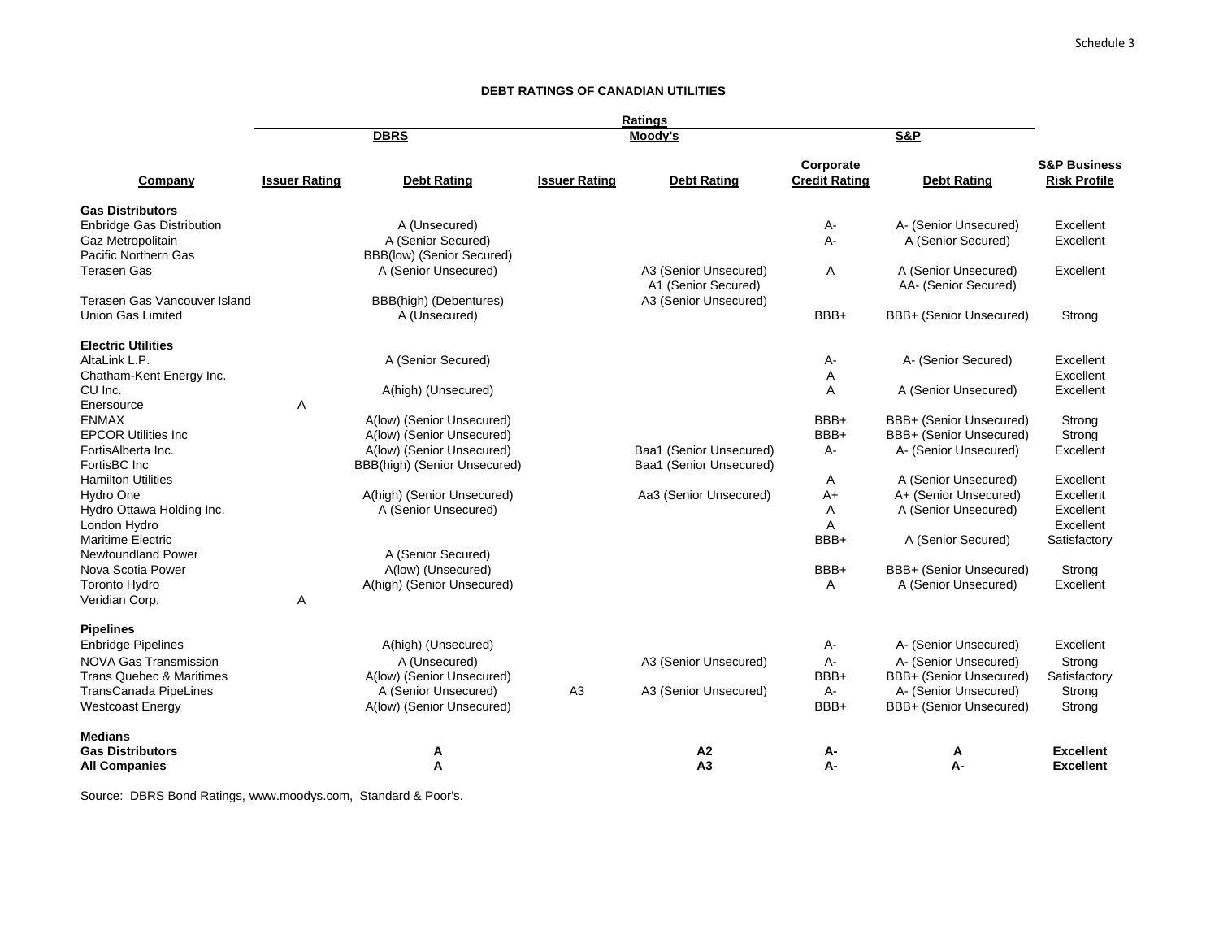# **DEBT RATINGS OF CANADIAN UTILITIES**

|                                                                                                                                                                                 |                      |                                                                                                                        |                      | <b>Ratings</b>                                     |                                      |                                                                                                                               |                                                                  |
|---------------------------------------------------------------------------------------------------------------------------------------------------------------------------------|----------------------|------------------------------------------------------------------------------------------------------------------------|----------------------|----------------------------------------------------|--------------------------------------|-------------------------------------------------------------------------------------------------------------------------------|------------------------------------------------------------------|
|                                                                                                                                                                                 |                      | <b>DBRS</b>                                                                                                            |                      | Moodv's                                            |                                      | <b>S&amp;P</b>                                                                                                                |                                                                  |
| Company                                                                                                                                                                         | <b>Issuer Rating</b> | <b>Debt Rating</b>                                                                                                     | <b>Issuer Rating</b> | <b>Debt Rating</b>                                 | Corporate<br><b>Credit Rating</b>    | <b>Debt Rating</b>                                                                                                            | <b>S&amp;P Business</b><br><b>Risk Profile</b>                   |
| <b>Gas Distributors</b><br><b>Enbridge Gas Distribution</b><br>Gaz Metropolitain<br>Pacific Northern Gas<br><b>Terasen Gas</b>                                                  |                      | A (Unsecured)<br>A (Senior Secured)<br>BBB(low) (Senior Secured)<br>A (Senior Unsecured)                               |                      | A3 (Senior Unsecured)                              | A-<br>$A -$<br>A                     | A- (Senior Unsecured)<br>A (Senior Secured)<br>A (Senior Unsecured)                                                           | Excellent<br>Excellent<br>Excellent                              |
| Terasen Gas Vancouver Island<br><b>Union Gas Limited</b>                                                                                                                        |                      | BBB(high) (Debentures)<br>A (Unsecured)                                                                                |                      | A1 (Senior Secured)<br>A3 (Senior Unsecured)       | BBB+                                 | AA- (Senior Secured)<br>BBB+ (Senior Unsecured)                                                                               | Strong                                                           |
| <b>Electric Utilities</b><br>AltaLink L.P.<br>Chatham-Kent Energy Inc.<br>CU Inc.                                                                                               |                      | A (Senior Secured)<br>A(high) (Unsecured)                                                                              |                      |                                                    | А-<br>Α<br>A                         | A- (Senior Secured)<br>A (Senior Unsecured)                                                                                   | Excellent<br>Excellent<br>Excellent                              |
| Enersource<br><b>ENMAX</b><br><b>EPCOR Utilities Inc.</b><br>FortisAlberta Inc.<br>FortisBC Inc                                                                                 | Α                    | A(low) (Senior Unsecured)<br>A(low) (Senior Unsecured)<br>A(low) (Senior Unsecured)<br>BBB(high) (Senior Unsecured)    |                      | Baa1 (Senior Unsecured)<br>Baa1 (Senior Unsecured) | BBB+<br>BBB+<br>A-                   | BBB+ (Senior Unsecured)<br>BBB+ (Senior Unsecured)<br>A- (Senior Unsecured)                                                   | Strong<br>Strong<br>Excellent                                    |
| <b>Hamilton Utilities</b><br>Hydro One<br>Hydro Ottawa Holding Inc.<br>London Hydro<br><b>Maritime Electric</b>                                                                 |                      | A(high) (Senior Unsecured)<br>A (Senior Unsecured)                                                                     |                      | Aa3 (Senior Unsecured)                             | A<br>$A+$<br>A<br>A<br>BBB+          | A (Senior Unsecured)<br>A+ (Senior Unsecured)<br>A (Senior Unsecured)<br>A (Senior Secured)                                   | Excellent<br>Excellent<br>Excellent<br>Excellent<br>Satisfactory |
| <b>Newfoundland Power</b><br>Nova Scotia Power<br>Toronto Hydro<br>Veridian Corp.                                                                                               | Α                    | A (Senior Secured)<br>A(low) (Unsecured)<br>A(high) (Senior Unsecured)                                                 |                      |                                                    | BBB+<br>A                            | BBB+ (Senior Unsecured)<br>A (Senior Unsecured)                                                                               | Strong<br>Excellent                                              |
| <b>Pipelines</b><br><b>Enbridge Pipelines</b><br><b>NOVA Gas Transmission</b><br><b>Trans Quebec &amp; Maritimes</b><br><b>TransCanada PipeLines</b><br><b>Westcoast Energy</b> |                      | A(high) (Unsecured)<br>A (Unsecured)<br>A(low) (Senior Unsecured)<br>A (Senior Unsecured)<br>A(low) (Senior Unsecured) | A <sub>3</sub>       | A3 (Senior Unsecured)<br>A3 (Senior Unsecured)     | А-<br>$A -$<br>BBB+<br>$A -$<br>BBB+ | A- (Senior Unsecured)<br>A- (Senior Unsecured)<br>BBB+ (Senior Unsecured)<br>A- (Senior Unsecured)<br>BBB+ (Senior Unsecured) | Excellent<br>Strong<br>Satisfactory<br>Strong<br>Strong          |
| <b>Medians</b><br><b>Gas Distributors</b><br><b>All Companies</b>                                                                                                               |                      | А<br>A                                                                                                                 |                      | A2<br>A <sub>3</sub>                               | А-<br>А-                             | А<br>А-                                                                                                                       | <b>Excellent</b><br><b>Excellent</b>                             |

Source: DBRS Bond Ratings, www.moodys.com, Standard & Poor's.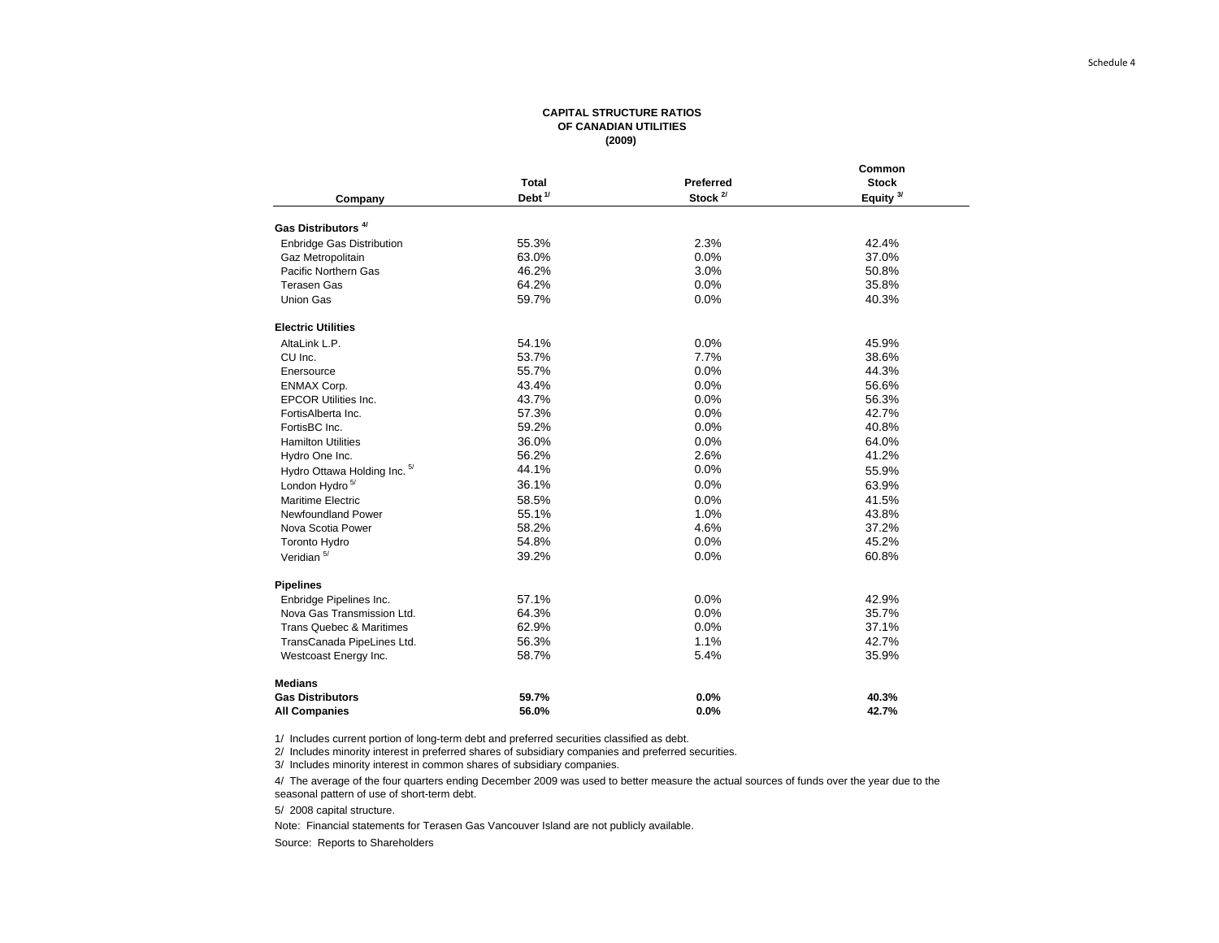#### **CAPITAL STRUCTURE RATIOSOF CANADIAN UTILITIES (2009)**

|                                     |                    |               | Common               |
|-------------------------------------|--------------------|---------------|----------------------|
|                                     | Total              | Preferred     | <b>Stock</b>         |
| Company                             | Debt <sup>1/</sup> | Stock $^{2/}$ | Equity <sup>3/</sup> |
| Gas Distributors <sup>4/</sup>      |                    |               |                      |
| Enbridge Gas Distribution           | 55.3%              | 2.3%          | 42.4%                |
| Gaz Metropolitain                   | 63.0%              | 0.0%          | 37.0%                |
| Pacific Northern Gas                | 46.2%              | 3.0%          | 50.8%                |
| <b>Terasen Gas</b>                  | 64.2%              | 0.0%          | 35.8%                |
| <b>Union Gas</b>                    | 59.7%              | 0.0%          | 40.3%                |
| <b>Electric Utilities</b>           |                    |               |                      |
| AltaLink L.P.                       | 54.1%              | 0.0%          | 45.9%                |
| CU Inc.                             | 53.7%              | 7.7%          | 38.6%                |
| Enersource                          | 55.7%              | 0.0%          | 44.3%                |
| <b>ENMAX Corp.</b>                  | 43.4%              | 0.0%          | 56.6%                |
| <b>EPCOR Utilities Inc.</b>         | 43.7%              | 0.0%          | 56.3%                |
| FortisAlberta Inc.                  | 57.3%              | 0.0%          | 42.7%                |
| FortisBC Inc.                       | 59.2%              | 0.0%          | 40.8%                |
| <b>Hamilton Utilities</b>           | 36.0%              | 0.0%          | 64.0%                |
| Hydro One Inc.                      | 56.2%              | 2.6%          | 41.2%                |
| Hydro Ottawa Holding Inc. 5/        | 44.1%              | 0.0%          | 55.9%                |
| London Hydro <sup>5/</sup>          | 36.1%              | 0.0%          | 63.9%                |
| Maritime Electric                   | 58.5%              | 0.0%          | 41.5%                |
| Newfoundland Power                  | 55.1%              | 1.0%          | 43.8%                |
| Nova Scotia Power                   | 58.2%              | 4.6%          | 37.2%                |
| <b>Toronto Hydro</b>                | 54.8%              | 0.0%          | 45.2%                |
| Veridian <sup>5/</sup>              | 39.2%              | 0.0%          | 60.8%                |
| <b>Pipelines</b>                    |                    |               |                      |
| Enbridge Pipelines Inc.             | 57.1%              | 0.0%          | 42.9%                |
| Nova Gas Transmission Ltd.          | 64.3%              | 0.0%          | 35.7%                |
| <b>Trans Quebec &amp; Maritimes</b> | 62.9%              | 0.0%          | 37.1%                |
| TransCanada PipeLines Ltd.          | 56.3%              | 1.1%          | 42.7%                |
| Westcoast Energy Inc.               | 58.7%              | 5.4%          | 35.9%                |
| <b>Medians</b>                      |                    |               |                      |
| <b>Gas Distributors</b>             | 59.7%              | 0.0%          | 40.3%                |
| <b>All Companies</b>                | 56.0%              | 0.0%          | 42.7%                |

1/ Includes current portion of long-term debt and preferred securities classified as debt.

2/ Includes minority interest in preferred shares of subsidiary companies and preferred securities.

3/ Includes minority interest in common shares of subsidiary companies.

4/ The average of the four quarters ending December 2009 was used to better measure the actual sources of funds over the year due to the seasonal pattern of use of short-term debt.

5/ 2008 capital structure.

Note: Financial statements for Terasen Gas Vancouver Island are not publicly available.

Source: Reports to Shareholders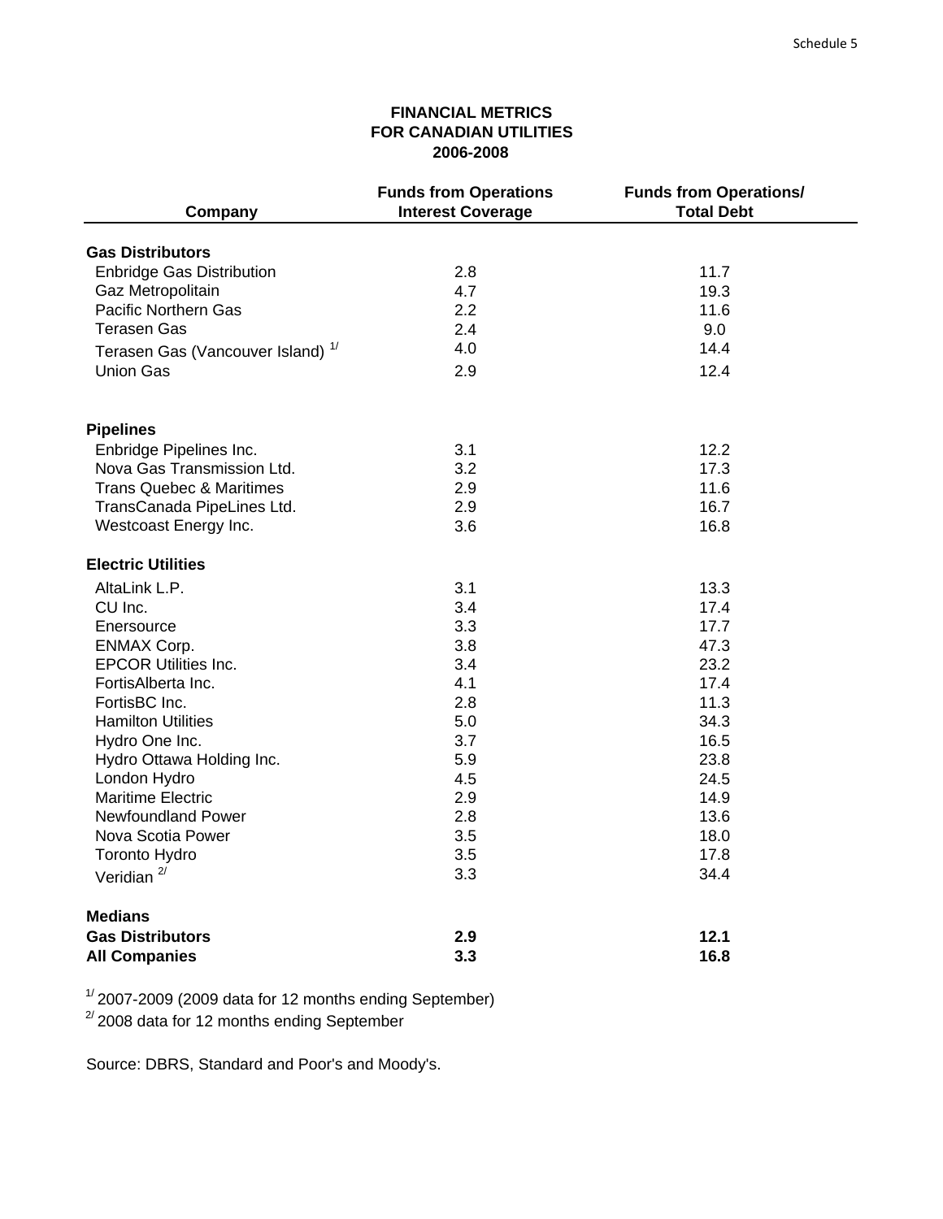# **FINANCIAL METRICS FOR CANADIAN UTILITIES 2006-2008**

| Company                                      | <b>Funds from Operations</b><br><b>Interest Coverage</b> | <b>Funds from Operations/</b><br><b>Total Debt</b> |
|----------------------------------------------|----------------------------------------------------------|----------------------------------------------------|
| <b>Gas Distributors</b>                      |                                                          |                                                    |
|                                              | 2.8                                                      |                                                    |
| <b>Enbridge Gas Distribution</b>             |                                                          | 11.7<br>19.3                                       |
| Gaz Metropolitain                            | 4.7<br>2.2                                               | 11.6                                               |
| <b>Pacific Northern Gas</b>                  |                                                          |                                                    |
| Terasen Gas                                  | 2.4                                                      | 9.0                                                |
| Terasen Gas (Vancouver Island) <sup>1/</sup> | 4.0                                                      | 14.4                                               |
| <b>Union Gas</b>                             | 2.9                                                      | 12.4                                               |
| <b>Pipelines</b>                             |                                                          |                                                    |
| Enbridge Pipelines Inc.                      | 3.1                                                      | 12.2                                               |
| Nova Gas Transmission Ltd.                   | 3.2                                                      | 17.3                                               |
| Trans Quebec & Maritimes                     | 2.9                                                      | 11.6                                               |
| TransCanada PipeLines Ltd.                   | 2.9                                                      | 16.7                                               |
| Westcoast Energy Inc.                        | 3.6                                                      | 16.8                                               |
|                                              |                                                          |                                                    |
| <b>Electric Utilities</b>                    |                                                          |                                                    |
| AltaLink L.P.                                | 3.1                                                      | 13.3                                               |
| CU Inc.                                      | 3.4                                                      | 17.4                                               |
| Enersource                                   | 3.3                                                      | 17.7                                               |
| <b>ENMAX Corp.</b>                           | 3.8                                                      | 47.3                                               |
| <b>EPCOR Utilities Inc.</b>                  | 3.4                                                      | 23.2                                               |
| FortisAlberta Inc.                           | 4.1                                                      | 17.4                                               |
| FortisBC Inc.                                | 2.8                                                      | 11.3                                               |
| <b>Hamilton Utilities</b>                    | 5.0                                                      | 34.3                                               |
| Hydro One Inc.                               | 3.7                                                      | 16.5                                               |
| Hydro Ottawa Holding Inc.                    | 5.9                                                      | 23.8                                               |
| London Hydro                                 | 4.5                                                      | 24.5                                               |
| <b>Maritime Electric</b>                     | 2.9                                                      | 14.9                                               |
| Newfoundland Power                           | 2.8                                                      | 13.6                                               |
| Nova Scotia Power                            | 3.5                                                      | 18.0                                               |
| <b>Toronto Hydro</b>                         | 3.5                                                      | 17.8                                               |
| Veridian $2/$                                | 3.3                                                      | 34.4                                               |
| <b>Medians</b>                               |                                                          |                                                    |
| <b>Gas Distributors</b>                      | 2.9                                                      | 12.1                                               |
| <b>All Companies</b>                         | 3.3                                                      | 16.8                                               |

 $1/2007$ -2009 (2009 data for 12 months ending September)

 $^{2/2}$ 2008 data for 12 months ending September

Source: DBRS, Standard and Poor's and Moody's.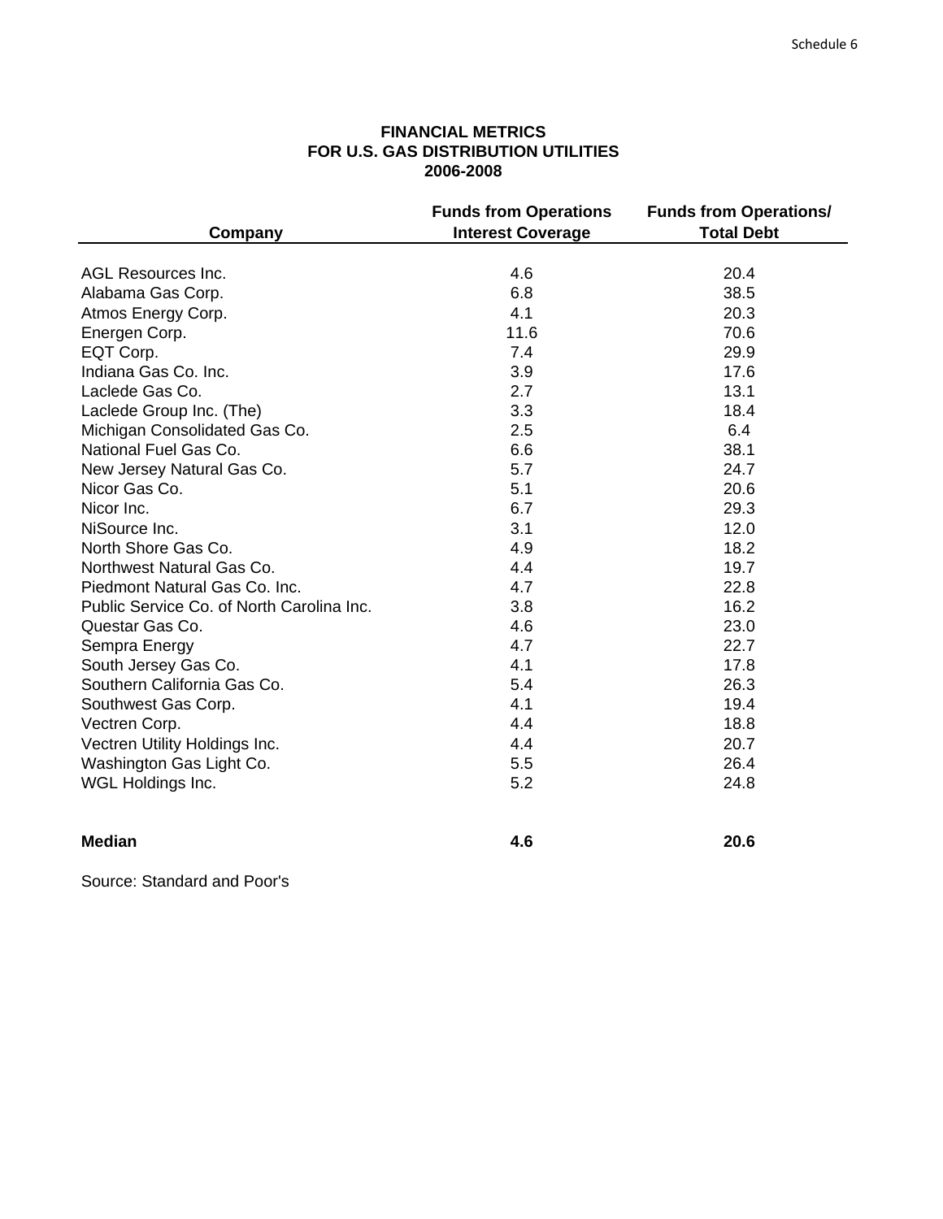# **FINANCIAL METRICS FOR U.S. GAS DISTRIBUTION UTILITIES 2006-2008**

| Company                                   | <b>Funds from Operations</b><br><b>Interest Coverage</b> | <b>Funds from Operations/</b><br><b>Total Debt</b> |
|-------------------------------------------|----------------------------------------------------------|----------------------------------------------------|
|                                           |                                                          |                                                    |
| AGL Resources Inc.                        | 4.6                                                      | 20.4                                               |
| Alabama Gas Corp.                         | 6.8                                                      | 38.5                                               |
| Atmos Energy Corp.                        | 4.1                                                      | 20.3                                               |
| Energen Corp.                             | 11.6                                                     | 70.6                                               |
| EQT Corp.                                 | 7.4                                                      | 29.9                                               |
| Indiana Gas Co. Inc.                      | 3.9                                                      | 17.6                                               |
| Laclede Gas Co.                           | 2.7                                                      | 13.1                                               |
| Laclede Group Inc. (The)                  | 3.3                                                      | 18.4                                               |
| Michigan Consolidated Gas Co.             | 2.5                                                      | 6.4                                                |
| National Fuel Gas Co.                     | 6.6                                                      | 38.1                                               |
| New Jersey Natural Gas Co.                | 5.7                                                      | 24.7                                               |
| Nicor Gas Co.                             | 5.1                                                      | 20.6                                               |
| Nicor Inc.                                | 6.7                                                      | 29.3                                               |
| NiSource Inc.                             | 3.1                                                      | 12.0                                               |
| North Shore Gas Co.                       | 4.9                                                      | 18.2                                               |
| Northwest Natural Gas Co.                 | 4.4                                                      | 19.7                                               |
| Piedmont Natural Gas Co. Inc.             | 4.7                                                      | 22.8                                               |
| Public Service Co. of North Carolina Inc. | 3.8                                                      | 16.2                                               |
| Questar Gas Co.                           | 4.6                                                      | 23.0                                               |
| Sempra Energy                             | 4.7                                                      | 22.7                                               |
| South Jersey Gas Co.                      | 4.1                                                      | 17.8                                               |
| Southern California Gas Co.               | 5.4                                                      | 26.3                                               |
| Southwest Gas Corp.                       | 4.1                                                      | 19.4                                               |
| Vectren Corp.                             | 4.4                                                      | 18.8                                               |
| Vectren Utility Holdings Inc.             | 4.4                                                      | 20.7                                               |
| Washington Gas Light Co.                  | 5.5                                                      | 26.4                                               |
| WGL Holdings Inc.                         | 5.2                                                      | 24.8                                               |
| <b>Median</b>                             | 4.6                                                      | 20.6                                               |

Source: Standard and Poor's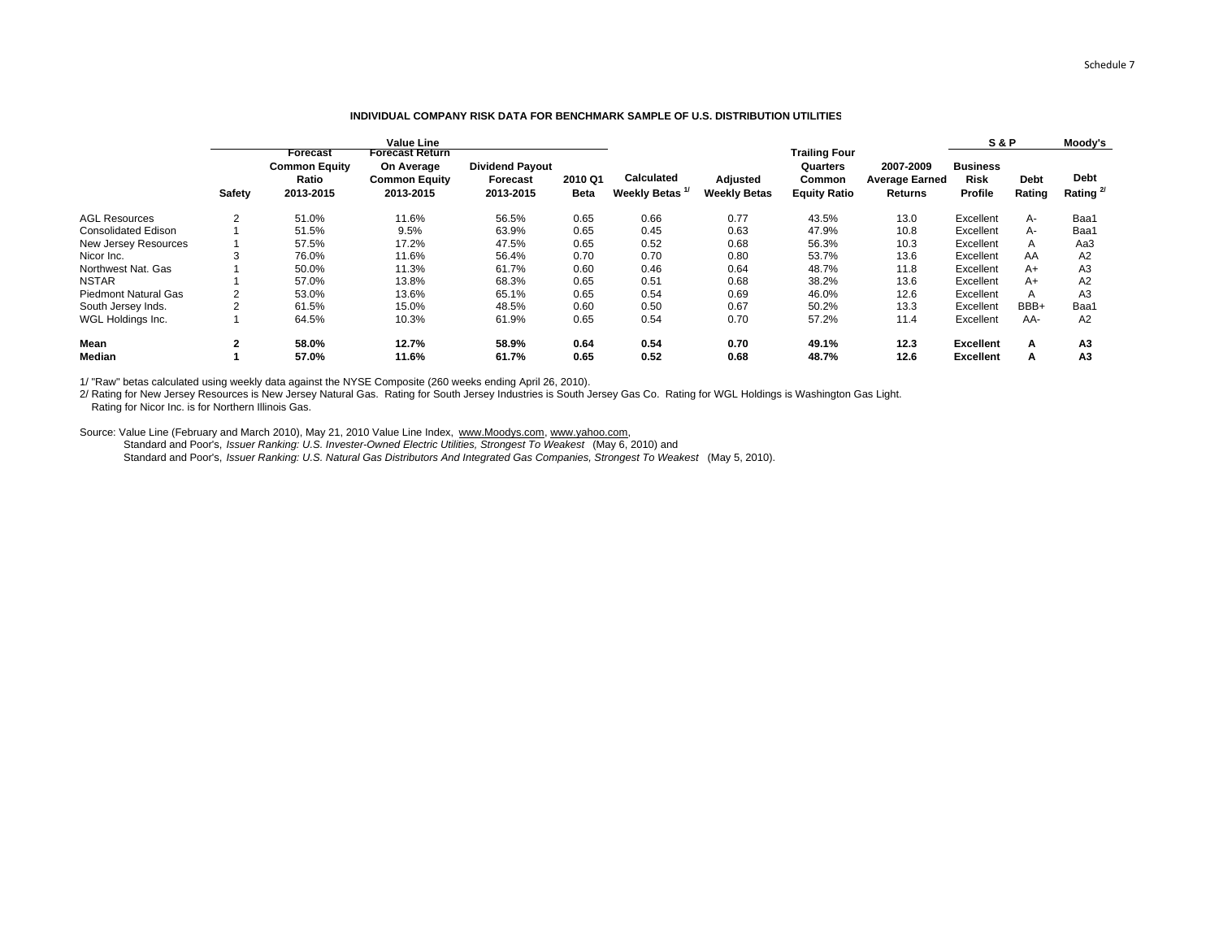#### **INDIVIDUAL COMPANY RISK DATA FOR BENCHMARK SAMPLE OF U.S. DISTRIBUTION UTILITIES**

|                             |        |                                                        | <b>Value Line</b><br>Forecast Return            |                                                        |                 |                                          |                                 | <b>Trailing Four</b>                      |                                                      | <b>S&amp;P</b>                            |                       | Moody's                       |
|-----------------------------|--------|--------------------------------------------------------|-------------------------------------------------|--------------------------------------------------------|-----------------|------------------------------------------|---------------------------------|-------------------------------------------|------------------------------------------------------|-------------------------------------------|-----------------------|-------------------------------|
|                             | Safety | Forecast<br><b>Common Equity</b><br>Ratio<br>2013-2015 | On Average<br><b>Common Equity</b><br>2013-2015 | <b>Dividend Payout</b><br><b>Forecast</b><br>2013-2015 | 2010 Q1<br>Beta | <b>Calculated</b><br><b>Weekly Betas</b> | Adjusted<br><b>Weekly Betas</b> | Quarters<br>Common<br><b>Equity Ratio</b> | 2007-2009<br><b>Average Earned</b><br><b>Returns</b> | <b>Business</b><br><b>Risk</b><br>Profile | <b>Debt</b><br>Rating | <b>Debt</b><br>Rating $^{2/}$ |
| <b>AGL Resources</b>        | 2      | 51.0%                                                  | 11.6%                                           | 56.5%                                                  | 0.65            | 0.66                                     | 0.77                            | 43.5%                                     | 13.0                                                 | Excellent                                 | А-                    | Baa1                          |
| <b>Consolidated Edison</b>  |        | 51.5%                                                  | 9.5%                                            | 63.9%                                                  | 0.65            | 0.45                                     | 0.63                            | 47.9%                                     | 10.8                                                 | Excellent                                 | А-                    | Baa1                          |
| New Jersey Resources        |        | 57.5%                                                  | 17.2%                                           | 47.5%                                                  | 0.65            | 0.52                                     | 0.68                            | 56.3%                                     | 10.3                                                 | Excellent                                 |                       | Aa3                           |
| Nicor Inc.                  | 3      | 76.0%                                                  | 11.6%                                           | 56.4%                                                  | 0.70            | 0.70                                     | 0.80                            | 53.7%                                     | 13.6                                                 | Excellent                                 | AA                    | A2                            |
| Northwest Nat. Gas          |        | 50.0%                                                  | 11.3%                                           | 61.7%                                                  | 0.60            | 0.46                                     | 0.64                            | 48.7%                                     | 11.8                                                 | Excellent                                 | A+                    | A <sub>3</sub>                |
| <b>NSTAR</b>                |        | 57.0%                                                  | 13.8%                                           | 68.3%                                                  | 0.65            | 0.51                                     | 0.68                            | 38.2%                                     | 13.6                                                 | Excellent                                 | A+                    | A2                            |
| <b>Piedmont Natural Gas</b> |        | 53.0%                                                  | 13.6%                                           | 65.1%                                                  | 0.65            | 0.54                                     | 0.69                            | 46.0%                                     | 12.6                                                 | Excellent                                 |                       | A <sub>3</sub>                |
| South Jersey Inds.          |        | 61.5%                                                  | 15.0%                                           | 48.5%                                                  | 0.60            | 0.50                                     | 0.67                            | 50.2%                                     | 13.3                                                 | Excellent                                 | BBB+                  | Baa <sup>®</sup>              |
| WGL Holdings Inc.           |        | 64.5%                                                  | 10.3%                                           | 61.9%                                                  | 0.65            | 0.54                                     | 0.70                            | 57.2%                                     | 11.4                                                 | Excellent                                 | AA-                   | A2                            |
| <b>Mean</b>                 | 2      | 58.0%                                                  | 12.7%                                           | 58.9%                                                  | 0.64            | 0.54                                     | 0.70                            | 49.1%                                     | 12.3                                                 | <b>Excellent</b>                          | А                     | A3                            |
| Median                      |        | 57.0%                                                  | 11.6%                                           | 61.7%                                                  | 0.65            | 0.52                                     | 0.68                            | 48.7%                                     | 12.6                                                 | <b>Excellent</b>                          | A                     | A <sub>3</sub>                |

1/ "Raw" betas calculated using weekly data against the NYSE Composite (260 weeks ending April 26, 2010).

2/ Rating for New Jersey Resources is New Jersey Natural Gas. Rating for South Jersey Industries is South Jersey Gas Co. Rating for WGL Holdings is Washington Gas Light.

Rating for Nicor Inc. is for Northern Illinois Gas.

Source: Value Line (February and March 2010), May 21, 2010 Value Line Index, www.Moodys.com, www.yahoo.com,

Standard and Poor's, *Issuer Ranking: U.S. Invester-Owned Electric Utilities, Strongest To Weakest* (May 6, 2010) and

Standard and Poor's, *Issuer Ranking: U.S. Natural Gas Distributors And Integrated Gas Companies, Strongest To Weakest* (May 5, 2010).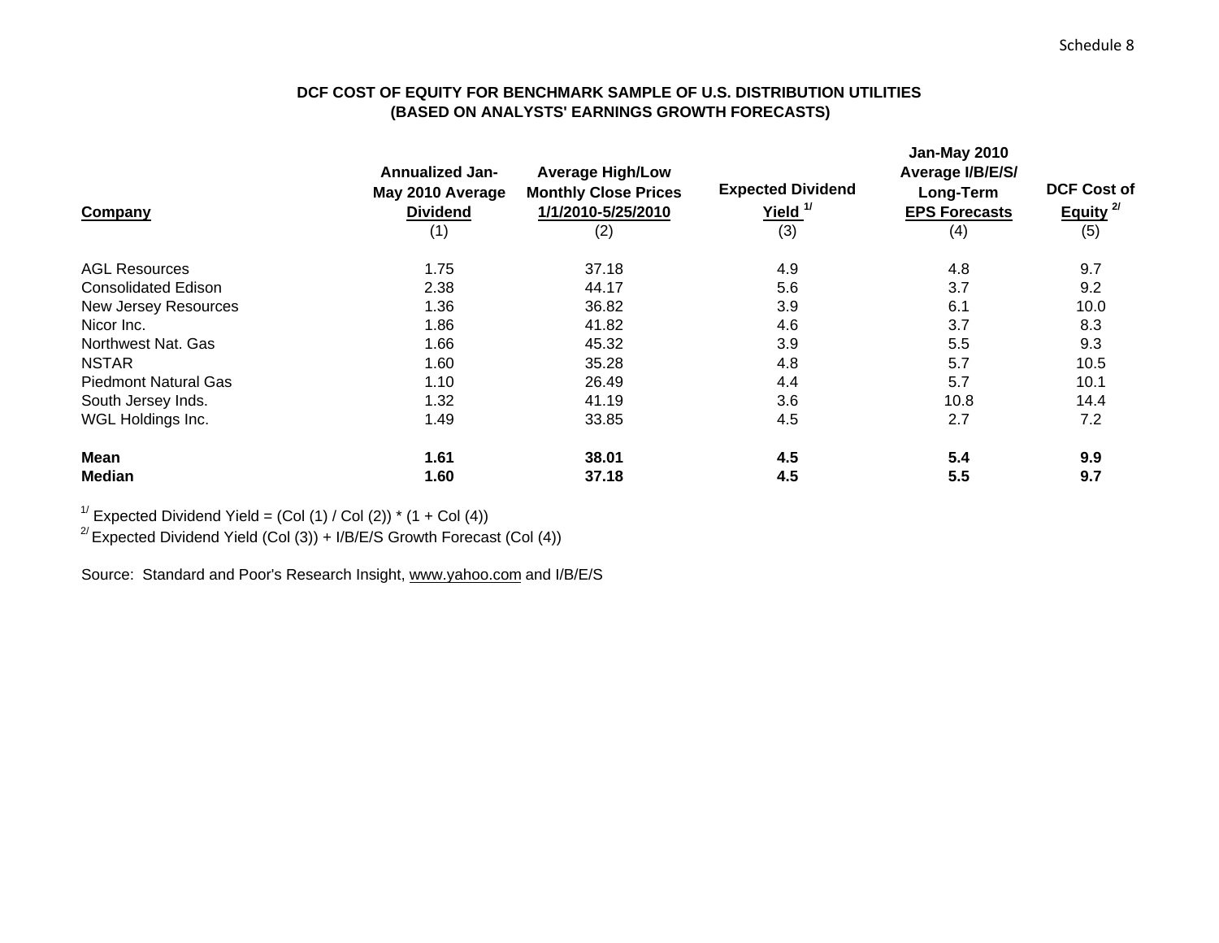# **DCF COST OF EQUITY FOR BENCHMARK SAMPLE OF U.S. DISTRIBUTION UTILITIES (BASED ON ANALYSTS' EARNINGS GROWTH FORECASTS)**

| Company                     | <b>Annualized Jan-</b><br>May 2010 Average<br><b>Dividend</b><br>(1) | <b>Average High/Low</b><br><b>Monthly Close Prices</b><br>1/1/2010-5/25/2010<br>(2) | <b>Expected Dividend</b><br>Yield. <sup>1/</sup><br>(3) | <b>Jan-May 2010</b><br>Average I/B/E/S/<br>Long-Term<br><b>EPS Forecasts</b><br>(4) | <b>DCF Cost of</b><br>Equity <sup>2/</sup><br>(5) |
|-----------------------------|----------------------------------------------------------------------|-------------------------------------------------------------------------------------|---------------------------------------------------------|-------------------------------------------------------------------------------------|---------------------------------------------------|
| <b>AGL Resources</b>        | 1.75                                                                 | 37.18                                                                               | 4.9                                                     | 4.8                                                                                 | 9.7                                               |
| <b>Consolidated Edison</b>  | 2.38                                                                 | 44.17                                                                               | 5.6                                                     | 3.7                                                                                 | 9.2                                               |
| New Jersey Resources        | 1.36                                                                 | 36.82                                                                               | 3.9                                                     | 6.1                                                                                 | 10.0                                              |
| Nicor Inc.                  | 1.86                                                                 | 41.82                                                                               | 4.6                                                     | 3.7                                                                                 | 8.3                                               |
| Northwest Nat. Gas          | 1.66                                                                 | 45.32                                                                               | 3.9                                                     | 5.5                                                                                 | 9.3                                               |
| <b>NSTAR</b>                | 1.60                                                                 | 35.28                                                                               | 4.8                                                     | 5.7                                                                                 | 10.5                                              |
| <b>Piedmont Natural Gas</b> | 1.10                                                                 | 26.49                                                                               | 4.4                                                     | 5.7                                                                                 | 10.1                                              |
| South Jersey Inds.          | 1.32                                                                 | 41.19                                                                               | 3.6                                                     | 10.8                                                                                | 14.4                                              |
| WGL Holdings Inc.           | 1.49                                                                 | 33.85                                                                               | 4.5                                                     | 2.7                                                                                 | 7.2                                               |
| Mean                        | 1.61                                                                 | 38.01                                                                               | 4.5                                                     | 5.4                                                                                 | 9.9                                               |
| <b>Median</b>               | 1.60                                                                 | 37.18                                                                               | 4.5                                                     | 5.5                                                                                 | 9.7                                               |

<sup>1/</sup> Expected Dividend Yield =  $(Col (1) / Col (2))$  \*  $(1 + Col (4))$ 

<sup>2/</sup> Expected Dividend Yield (Col (3)) + I/B/E/S Growth Forecast (Col (4))

Source: Standard and Poor's Research Insight, www.yahoo.com and I/B/E/S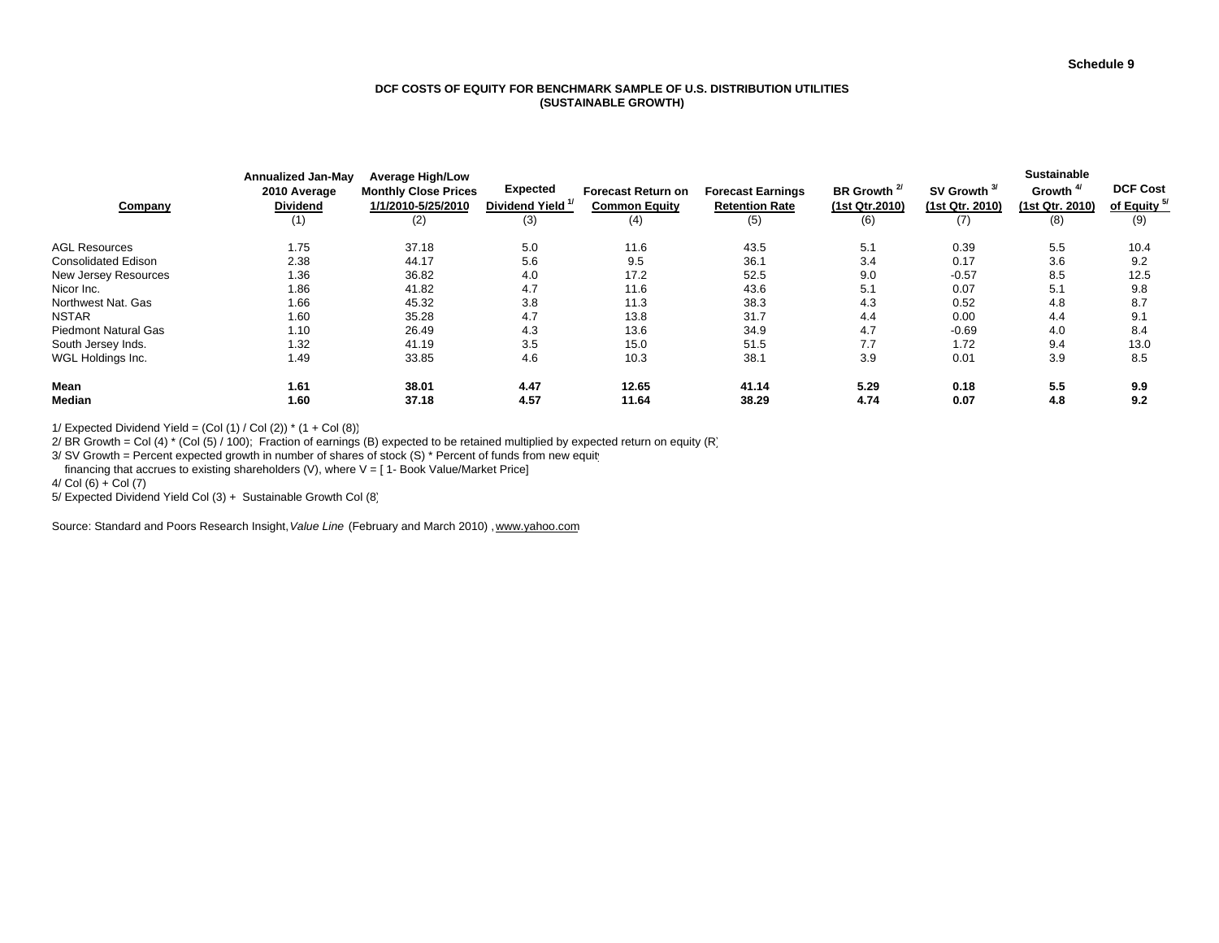#### **DCF COSTS OF EQUITY FOR BENCHMARK SAMPLE OF U.S. DISTRIBUTION UTILITIES(SUSTAINABLE GROWTH)**

| Company                     | Annualized Jan-May<br>2010 Average<br><b>Dividend</b><br>(1) | <b>Average High/Low</b><br><b>Monthly Close Prices</b><br>1/1/2010-5/25/2010<br>(2) | <b>Expected</b><br>Dividend Yield <sup>1/</sup><br>(3) | <b>Forecast Return on</b><br><b>Common Equity</b><br>(4) | <b>Forecast Earnings</b><br><b>Retention Rate</b><br>(5) | BR Growth <sup>2/</sup><br>(1st Qtr.2010)<br>(6) | SV Growth <sup>3/</sup><br>(1st Qtr. 2010)<br>(7) | <b>Sustainable</b><br>Growth <sup>4/</sup><br>(1st Qtr. 2010)<br>(8) | <b>DCF Cost</b><br>of Equity <sup>5/</sup><br>(9) |
|-----------------------------|--------------------------------------------------------------|-------------------------------------------------------------------------------------|--------------------------------------------------------|----------------------------------------------------------|----------------------------------------------------------|--------------------------------------------------|---------------------------------------------------|----------------------------------------------------------------------|---------------------------------------------------|
| <b>AGL Resources</b>        | 1.75                                                         | 37.18                                                                               | 5.0                                                    | 11.6                                                     | 43.5                                                     | 5.1                                              | 0.39                                              | 5.5                                                                  | 10.4                                              |
| <b>Consolidated Edison</b>  | 2.38                                                         | 44.17                                                                               | 5.6                                                    | 9.5                                                      | 36.7                                                     | 3.4                                              | 0.17                                              | 3.6                                                                  | 9.2                                               |
| New Jersey Resources        | 1.36                                                         | 36.82                                                                               | 4.0                                                    | 17.2                                                     | 52.5                                                     | 9.0                                              | $-0.57$                                           | 8.5                                                                  | 12.5                                              |
| Nicor Inc.                  | 1.86                                                         | 41.82                                                                               | 4.7                                                    | 11.6                                                     | 43.6                                                     | 5.1                                              | 0.07                                              | 5.1                                                                  | 9.8                                               |
| Northwest Nat. Gas          | 1.66                                                         | 45.32                                                                               | 3.8                                                    | 11.3                                                     | 38.3                                                     | 4.3                                              | 0.52                                              | 4.8                                                                  | 8.7                                               |
| <b>NSTAR</b>                | 1.60                                                         | 35.28                                                                               | 4.7                                                    | 13.8                                                     | 31.7                                                     | 4.4                                              | 0.00                                              | 4.4                                                                  | 9.1                                               |
| <b>Piedmont Natural Gas</b> | 1.10                                                         | 26.49                                                                               | 4.3                                                    | 13.6                                                     | 34.9                                                     | 4.7                                              | $-0.69$                                           | 4.0                                                                  | 8.4                                               |
| South Jersey Inds.          | 1.32                                                         | 41.19                                                                               | 3.5                                                    | 15.0                                                     | 51.5                                                     | 7.7                                              | 1.72                                              | 9.4                                                                  | 13.0                                              |
| WGL Holdings Inc.           | 1.49                                                         | 33.85                                                                               | 4.6                                                    | 10.3                                                     | 38.7                                                     | 3.9                                              | 0.01                                              | 3.9                                                                  | 8.5                                               |
| Mean                        | 1.61                                                         | 38.01                                                                               | 4.47                                                   | 12.65                                                    | 41.14                                                    | 5.29                                             | 0.18                                              | 5.5                                                                  | 9.9                                               |
| Median                      | 1.60                                                         | 37.18                                                                               | 4.57                                                   | 11.64                                                    | 38.29                                                    | 4.74                                             | 0.07                                              | 4.8                                                                  | 9.2                                               |

1/ Expected Dividend Yield =  $(Col (1) / Col (2))$  \*  $(1 + Col (8))$ 

2/ BR Growth = Col (4)  $*$  (Col (5) / 100); Fraction of earnings (B) expected to be retained multiplied by expected return on equity (R)

3/ SV Growth = Percent expected growth in number of shares of stock (S) \* Percent of funds from new equity

financing that accrues to existing shareholders (V), where  $V = [1 - Book Value/Marker Price]$ 

 $4/Col(6) + Col(7)$ 

5/ Expected Dividend Yield Col (3) + Sustainable Growth Col (8)

Source: Standard and Poors Research Insight, *Value Line* (February and March 2010) , www.yahoo.com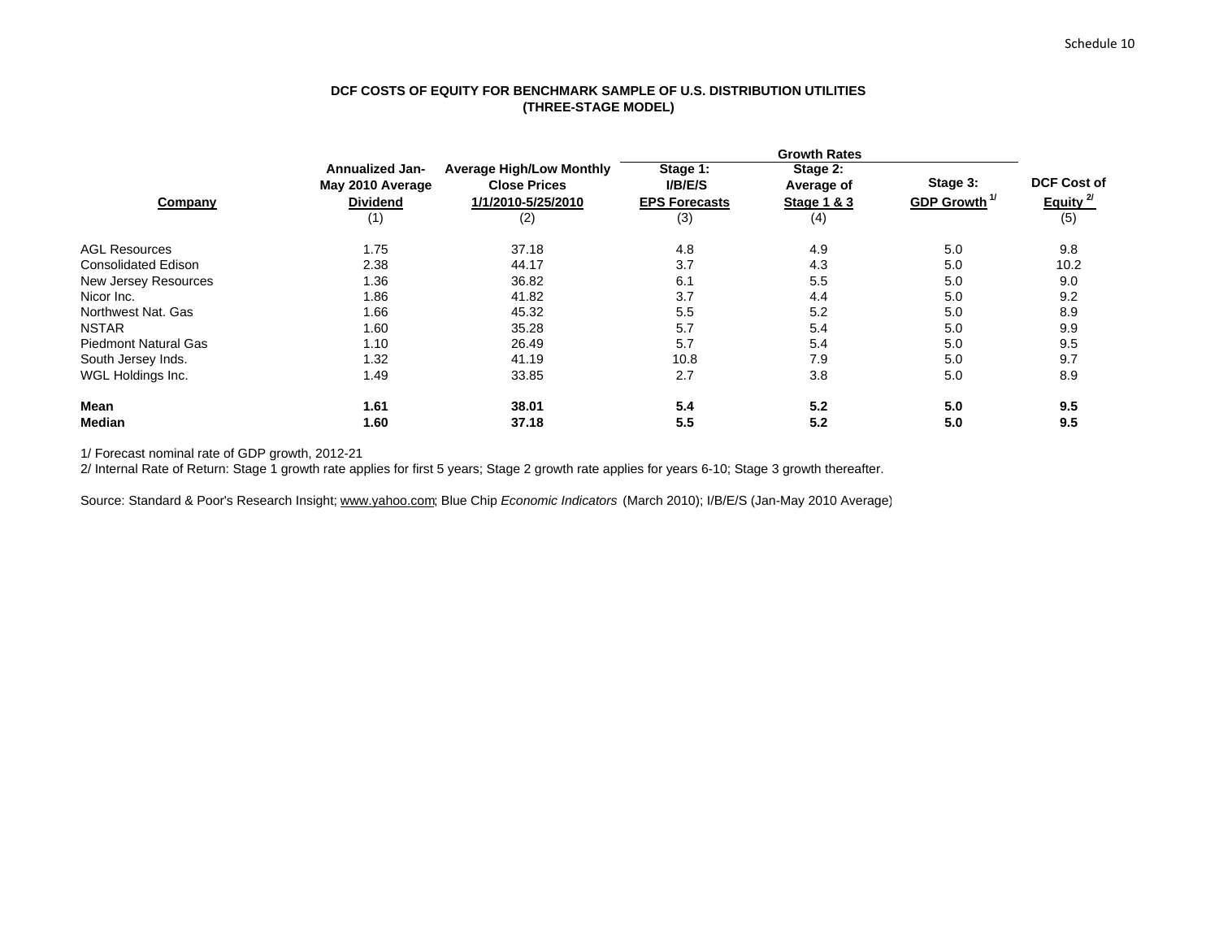## **DCF COSTS OF EQUITY FOR BENCHMARK SAMPLE OF U.S. DISTRIBUTION UTILITIES (THREE-STAGE MODEL)**

|                             | <b>Annualized Jan-</b><br>May 2010 Average | <b>Average High/Low Monthly</b><br><b>Close Prices</b> | Stage 1:<br><b>I/B/E/S</b> | Stage 2:<br>Average of | Stage 3:                 | <b>DCF Cost of</b>   |  |
|-----------------------------|--------------------------------------------|--------------------------------------------------------|----------------------------|------------------------|--------------------------|----------------------|--|
| Company                     | <b>Dividend</b>                            | 1/1/2010-5/25/2010                                     | <b>EPS Forecasts</b>       | Stage 1 & 3            | GDP Growth <sup>1/</sup> | Equity <sup>2/</sup> |  |
|                             | (1)                                        | (2)                                                    | (3)                        | (4)                    |                          | (5)                  |  |
| <b>AGL Resources</b>        | 1.75                                       | 37.18                                                  | 4.8                        | 4.9                    | 5.0                      | 9.8                  |  |
| <b>Consolidated Edison</b>  | 2.38                                       | 44.17                                                  | 3.7                        | 4.3                    | 5.0                      | 10.2                 |  |
| New Jersey Resources        | 1.36                                       | 36.82                                                  | 6.1                        | 5.5                    | 5.0                      | 9.0                  |  |
| Nicor Inc.                  | 1.86                                       | 41.82                                                  | 3.7                        | 4.4                    | 5.0                      | 9.2                  |  |
| Northwest Nat. Gas          | 1.66                                       | 45.32                                                  | 5.5                        | 5.2                    | 5.0                      | 8.9                  |  |
| <b>NSTAR</b>                | 1.60                                       | 35.28                                                  | 5.7                        | 5.4                    | 5.0                      | 9.9                  |  |
| <b>Piedmont Natural Gas</b> | 1.10                                       | 26.49                                                  | 5.7                        | 5.4                    | 5.0                      | 9.5                  |  |
| South Jersey Inds.          | 1.32                                       | 41.19                                                  | 10.8                       | 7.9                    | 5.0                      | 9.7                  |  |
| WGL Holdings Inc.           | 1.49                                       | 33.85                                                  | 2.7                        | 3.8                    | 5.0                      | 8.9                  |  |
| <b>Mean</b>                 | 1.61                                       | 38.01                                                  | 5.4                        | 5.2                    | 5.0                      | 9.5                  |  |
| Median                      | 1.60                                       | 37.18                                                  | 5.5                        | 5.2                    | 5.0                      | 9.5                  |  |

1/ Forecast nominal rate of GDP growth, 2012-21

2/ Internal Rate of Return: Stage 1 growth rate applies for first 5 years; Stage 2 growth rate applies for years 6-10; Stage 3 growth thereafter.

Source: Standard & Poor's Research Insight; www.yahoo.com; Blue Chip *Economic Indicators* (March 2010); I/B/E/S (Jan-May 2010 Average)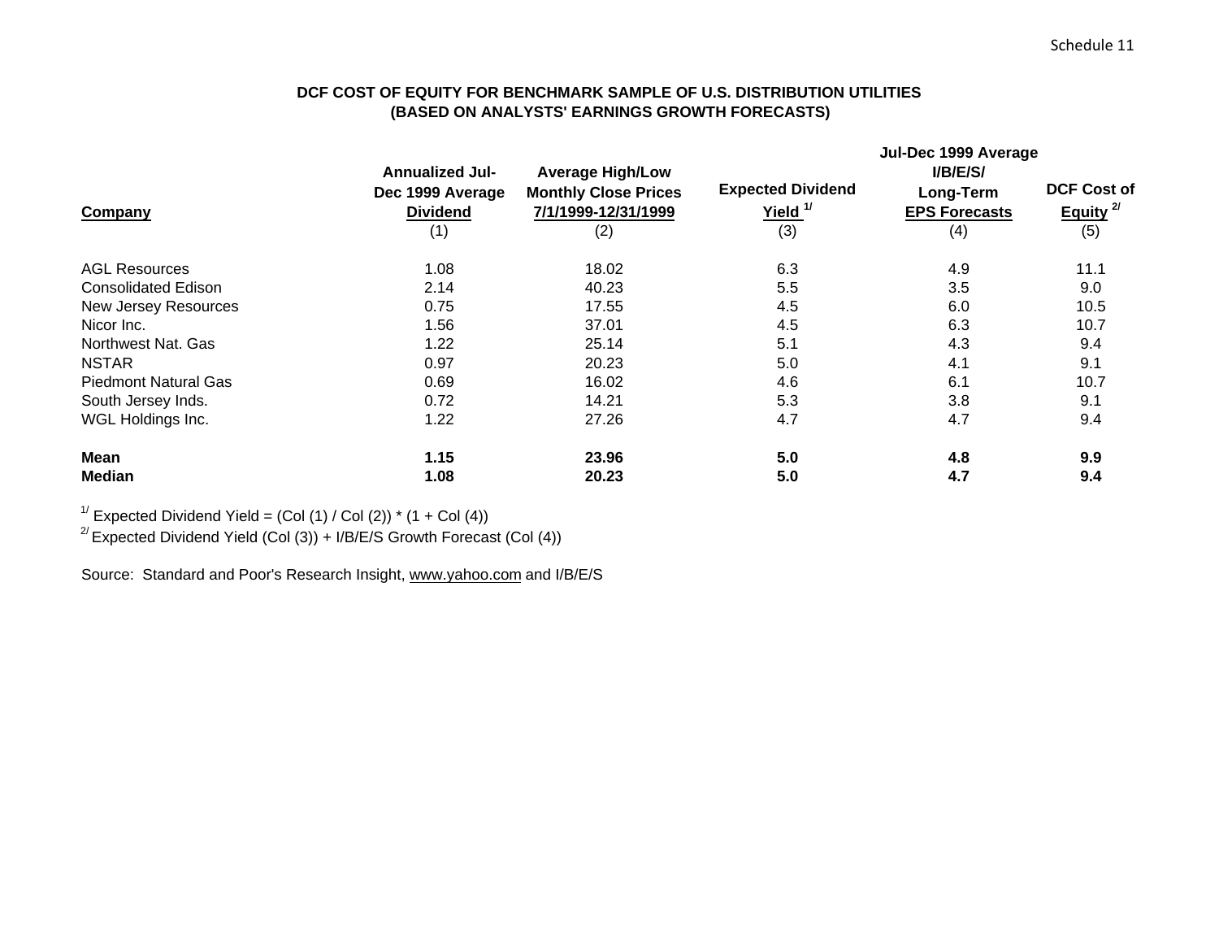# **DCF COST OF EQUITY FOR BENCHMARK SAMPLE OF U.S. DISTRIBUTION UTILITIES (BASED ON ANALYSTS' EARNINGS GROWTH FORECASTS)**

|                             |                        |                             | Jul-Dec 1999 Average     |                      |                      |  |  |  |
|-----------------------------|------------------------|-----------------------------|--------------------------|----------------------|----------------------|--|--|--|
|                             | <b>Annualized Jul-</b> | <b>Average High/Low</b>     |                          | I/B/E/S/             |                      |  |  |  |
|                             | Dec 1999 Average       | <b>Monthly Close Prices</b> | <b>Expected Dividend</b> | Long-Term            | <b>DCF Cost of</b>   |  |  |  |
| Company                     | <b>Dividend</b>        | 7/1/1999-12/31/1999         | Yield. <sup>1/</sup>     | <b>EPS Forecasts</b> | Equity <sup>2/</sup> |  |  |  |
|                             | (1)                    | (2)                         | (3)                      | (4)                  | (5)                  |  |  |  |
| <b>AGL Resources</b>        | 1.08                   | 18.02                       | 6.3                      | 4.9                  | 11.1                 |  |  |  |
| <b>Consolidated Edison</b>  | 2.14                   | 40.23                       | 5.5                      | 3.5                  | 9.0                  |  |  |  |
| New Jersey Resources        | 0.75                   | 17.55                       | 4.5                      | 6.0                  | 10.5                 |  |  |  |
| Nicor Inc.                  | 1.56                   | 37.01                       | 4.5                      | 6.3                  | 10.7                 |  |  |  |
| Northwest Nat. Gas          | 1.22                   | 25.14                       | 5.1                      | 4.3                  | 9.4                  |  |  |  |
| <b>NSTAR</b>                | 0.97                   | 20.23                       | 5.0                      | 4.1                  | 9.1                  |  |  |  |
| <b>Piedmont Natural Gas</b> | 0.69                   | 16.02                       | 4.6                      | 6.1                  | 10.7                 |  |  |  |
| South Jersey Inds.          | 0.72                   | 14.21                       | 5.3                      | 3.8                  | 9.1                  |  |  |  |
| WGL Holdings Inc.           | 1.22                   | 27.26                       | 4.7                      | 4.7                  | 9.4                  |  |  |  |
| Mean                        | 1.15                   | 23.96                       | 5.0                      | 4.8                  | 9.9                  |  |  |  |
| <b>Median</b>               | 1.08                   | 20.23                       | 5.0                      | 4.7                  | 9.4                  |  |  |  |

<sup>1/</sup> Expected Dividend Yield =  $(Col (1) / Col (2))$  \*  $(1 + Col (4))$ 

<sup>2/</sup> Expected Dividend Yield (Col (3)) + I/B/E/S Growth Forecast (Col (4))

Source: Standard and Poor's Research Insight, www.yahoo.com and I/B/E/S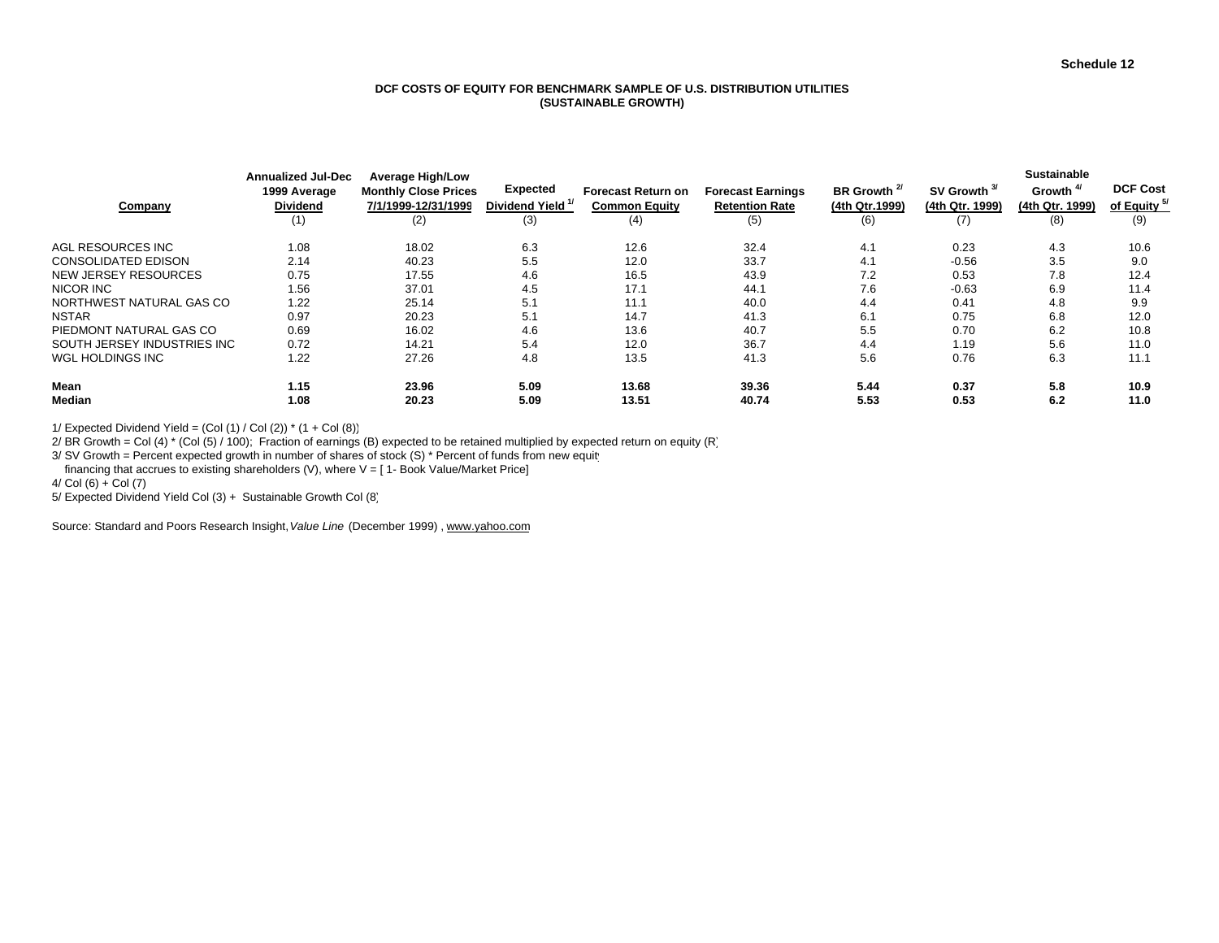#### **DCF COSTS OF EQUITY FOR BENCHMARK SAMPLE OF U.S. DISTRIBUTION UTILITIES(SUSTAINABLE GROWTH)**

| Company                     | <b>Annualized Jul-Dec</b><br>1999 Average<br><b>Dividend</b><br>(1) | <b>Average High/Low</b><br><b>Monthly Close Prices</b><br>7/1/1999-12/31/1999<br>(2) | <b>Expected</b><br>Dividend Yield <sup>1/</sup><br>(3) | <b>Forecast Return on</b><br><b>Common Equity</b><br>(4) | <b>Forecast Earnings</b><br><b>Retention Rate</b><br>(5) | BR Growth <sup>2/</sup><br>(4th Qtr.1999)<br>(6) | SV Growth <sup>3/</sup><br>(4th Qtr. 1999)<br>(7) | <b>Sustainable</b><br>Growth <sup>4/</sup><br>(4th Qtr. 1999)<br>(8) | <b>DCF Cost</b><br>of Equity <sup>5/</sup><br>(9) |
|-----------------------------|---------------------------------------------------------------------|--------------------------------------------------------------------------------------|--------------------------------------------------------|----------------------------------------------------------|----------------------------------------------------------|--------------------------------------------------|---------------------------------------------------|----------------------------------------------------------------------|---------------------------------------------------|
| AGL RESOURCES INC           | 1.08                                                                | 18.02                                                                                | 6.3                                                    | 12.6                                                     | 32.4                                                     | 4.1                                              | 0.23                                              | 4.3                                                                  | 10.6                                              |
| <b>CONSOLIDATED EDISON</b>  | 2.14                                                                | 40.23                                                                                | 5.5                                                    | 12.0                                                     | 33.7                                                     | 4.1                                              | $-0.56$                                           | 3.5                                                                  | 9.0                                               |
| <b>NEW JERSEY RESOURCES</b> | 0.75                                                                | 17.55                                                                                | 4.6                                                    | 16.5                                                     | 43.9                                                     | 7.2                                              | 0.53                                              | 7.8                                                                  | 12.4                                              |
| NICOR INC                   | 1.56                                                                | 37.01                                                                                | 4.5                                                    | 17.1                                                     | 44.7                                                     | 7.6                                              | $-0.63$                                           | 6.9                                                                  | 11.4                                              |
| NORTHWEST NATURAL GAS CO    | 1.22                                                                | 25.14                                                                                | 5.1                                                    | 11.1                                                     | 40.0                                                     | 4.4                                              | 0.41                                              | 4.8                                                                  | 9.9                                               |
| <b>NSTAR</b>                | 0.97                                                                | 20.23                                                                                | 5.1                                                    | 14.7                                                     | 41.3                                                     | 6.1                                              | 0.75                                              | 6.8                                                                  | 12.0                                              |
| PIEDMONT NATURAL GAS CO     | 0.69                                                                | 16.02                                                                                | 4.6                                                    | 13.6                                                     | 40.7                                                     | 5.5                                              | 0.70                                              | 6.2                                                                  | 10.8                                              |
| SOUTH JERSEY INDUSTRIES INC | 0.72                                                                | 14.21                                                                                | 5.4                                                    | 12.0                                                     | 36.7                                                     | 4.4                                              | 1.19                                              | 5.6                                                                  | 11.0                                              |
| WGL HOLDINGS INC            | 1.22                                                                | 27.26                                                                                | 4.8                                                    | 13.5                                                     | 41.3                                                     | 5.6                                              | 0.76                                              | 6.3                                                                  | 11.1                                              |
| Mean                        | 1.15                                                                | 23.96                                                                                | 5.09                                                   | 13.68                                                    | 39.36                                                    | 5.44                                             | 0.37                                              | 5.8                                                                  | 10.9                                              |
| Median                      | 1.08                                                                | 20.23                                                                                | 5.09                                                   | 13.51                                                    | 40.74                                                    | 5.53                                             | 0.53                                              | 6.2                                                                  | 11.0                                              |

1/ Expected Dividend Yield =  $(Col (1) / Col (2))$  \*  $(1 + Col (8))$ 

2/ BR Growth = Col (4)  $*$  (Col (5) / 100); Fraction of earnings (B) expected to be retained multiplied by expected return on equity (R)

3/ SV Growth = Percent expected growth in number of shares of stock (S) \* Percent of funds from new equity

financing that accrues to existing shareholders (V), where  $V = [1 - Book Value/Marker Price]$ 

 $4/Col(6) + Col(7)$ 

5/ Expected Dividend Yield Col (3) + Sustainable Growth Col (8)

Source: Standard and Poors Research Insight, *Value Line* (December 1999) , www.yahoo.com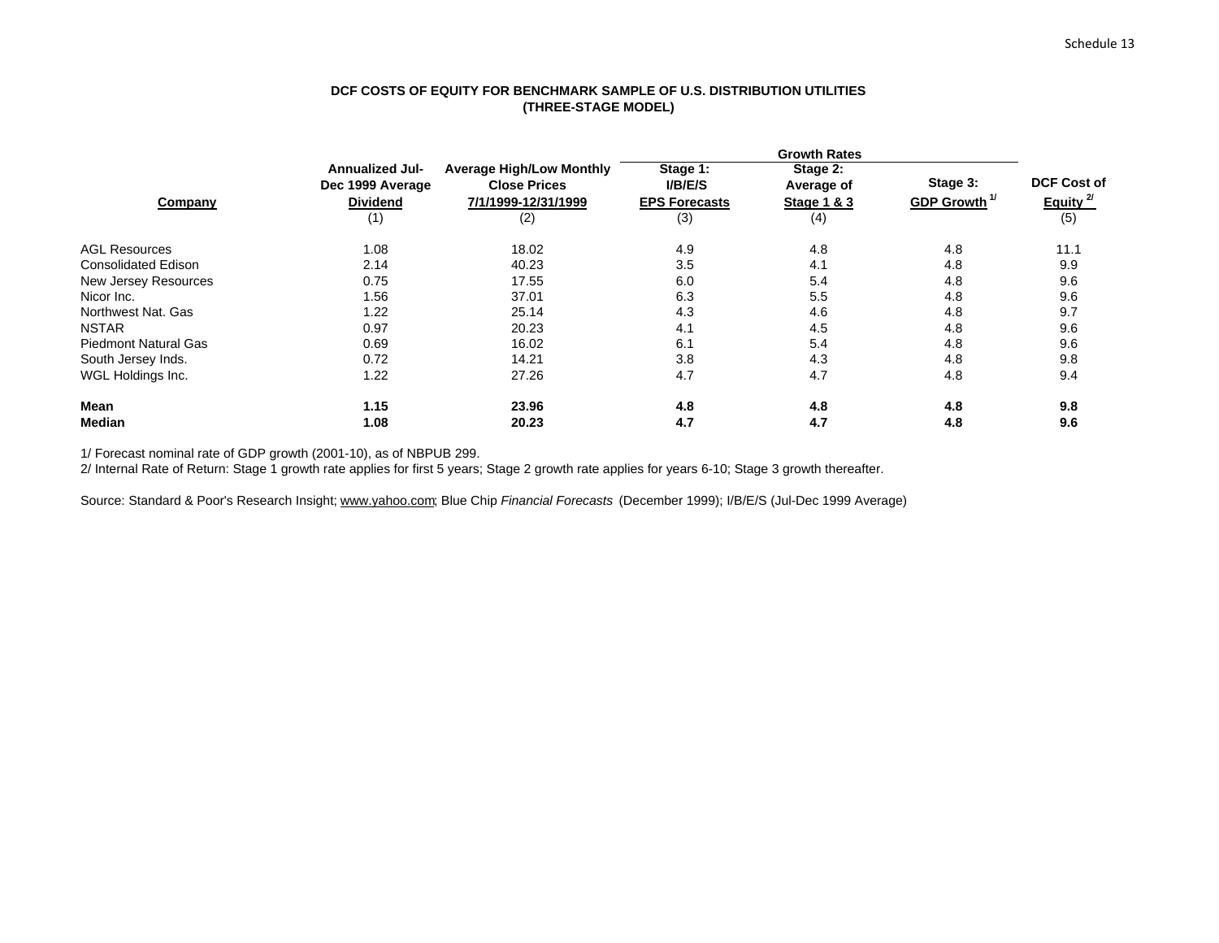## **DCF COSTS OF EQUITY FOR BENCHMARK SAMPLE OF U.S. DISTRIBUTION UTILITIES (THREE-STAGE MODEL)**

|                      | <b>Annualized Jul-</b><br>Dec 1999 Average | <b>Average High/Low Monthly</b><br><b>Close Prices</b> | Stage 1:<br><b>I/B/E/S</b> | Stage 2:<br>Average of | Stage 3:                 | <b>DCF Cost of</b>   |
|----------------------|--------------------------------------------|--------------------------------------------------------|----------------------------|------------------------|--------------------------|----------------------|
| Company              | <b>Dividend</b>                            | 7/1/1999-12/31/1999                                    | <b>EPS Forecasts</b>       | Stage 1 & 3            | GDP Growth <sup>1/</sup> | Equity <sup>2/</sup> |
|                      | (1)                                        | (2)                                                    | (3)                        | (4)                    |                          | (5)                  |
| <b>AGL Resources</b> | 1.08                                       | 18.02                                                  | 4.9                        | 4.8                    | 4.8                      | 11.1                 |
| Consolidated Edison  | 2.14                                       | 40.23                                                  | 3.5                        | 4.1                    | 4.8                      | 9.9                  |
| New Jersey Resources | 0.75                                       | 17.55                                                  | 6.0                        | 5.4                    | 4.8                      | 9.6                  |
| Nicor Inc.           | 1.56                                       | 37.01                                                  | 6.3                        | 5.5                    | 4.8                      | 9.6                  |
| Northwest Nat. Gas   | 1.22                                       | 25.14                                                  | 4.3                        | 4.6                    | 4.8                      | 9.7                  |
| <b>NSTAR</b>         | 0.97                                       | 20.23                                                  | 4.1                        | 4.5                    | 4.8                      | 9.6                  |
| Piedmont Natural Gas | 0.69                                       | 16.02                                                  | 6.1                        | 5.4                    | 4.8                      | 9.6                  |
| South Jersey Inds.   | 0.72                                       | 14.21                                                  | 3.8                        | 4.3                    | 4.8                      | 9.8                  |
| WGL Holdings Inc.    | 1.22                                       | 27.26                                                  | 4.7                        | 4.7                    | 4.8                      | 9.4                  |
| Mean                 | 1.15                                       | 23.96                                                  | 4.8                        | 4.8                    | 4.8                      | 9.8                  |
| <b>Median</b>        | 1.08                                       | 20.23                                                  | 4.7                        | 4.7                    | 4.8                      | 9.6                  |

1/ Forecast nominal rate of GDP growth (2001-10), as of NBPUB 299.

2/ Internal Rate of Return: Stage 1 growth rate applies for first 5 years; Stage 2 growth rate applies for years 6-10; Stage 3 growth thereafter.

Source: Standard & Poor's Research Insight; www.yahoo.com; Blue Chip *Financial Forecasts* (December 1999); I/B/E/S (Jul-Dec 1999 Average)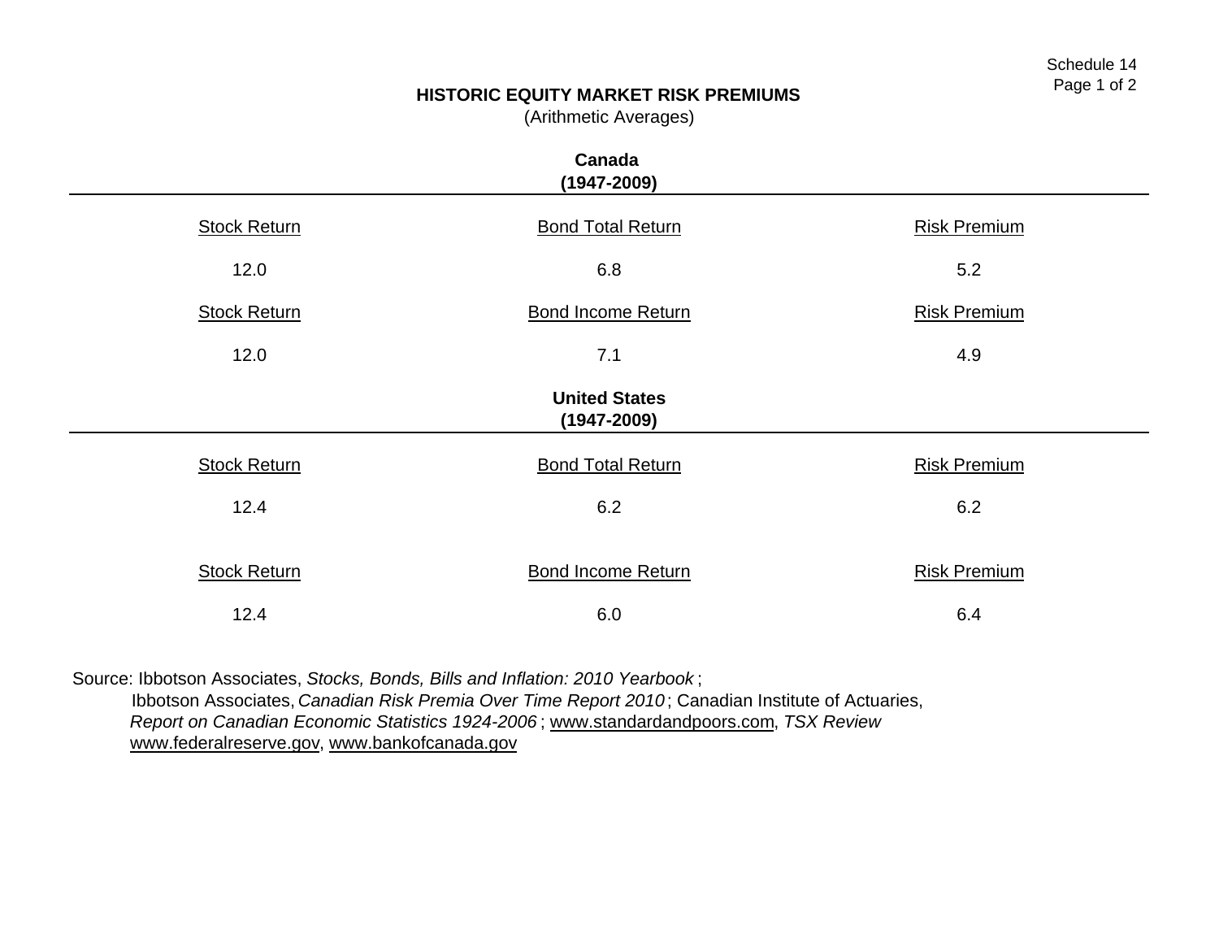# **HISTORIC EQUITY MARKET RISK PREMIUMS**

(Arithmetic Averages)

|                     | Canada<br>$(1947 - 2009)$               |                     |  |  |  |  |  |  |  |  |
|---------------------|-----------------------------------------|---------------------|--|--|--|--|--|--|--|--|
| <b>Stock Return</b> | <b>Bond Total Return</b>                | <b>Risk Premium</b> |  |  |  |  |  |  |  |  |
| 12.0                | 6.8                                     | 5.2                 |  |  |  |  |  |  |  |  |
| <b>Stock Return</b> | <b>Bond Income Return</b>               | <b>Risk Premium</b> |  |  |  |  |  |  |  |  |
| 12.0                | 7.1                                     | 4.9                 |  |  |  |  |  |  |  |  |
|                     | <b>United States</b><br>$(1947 - 2009)$ |                     |  |  |  |  |  |  |  |  |
| <b>Stock Return</b> | <b>Bond Total Return</b>                | <b>Risk Premium</b> |  |  |  |  |  |  |  |  |
| 12.4                | 6.2                                     | 6.2                 |  |  |  |  |  |  |  |  |
| <b>Stock Return</b> | <b>Bond Income Return</b>               | <b>Risk Premium</b> |  |  |  |  |  |  |  |  |
| 12.4                | 6.0                                     | 6.4                 |  |  |  |  |  |  |  |  |

Source: Ibbotson Associates, *Stocks, Bonds, Bills and Inflation: 2010 Yearbook* ;

 Ibbotson Associates, *Canadian Risk Premia Over Time Report 2010*; Canadian Institute of Actuaries, *Report on Canadian Economic Statistics 1924-2006* ; www.standardandpoors.com, *TSX Review* www.federalreserve.gov, www.bankofcanada.gov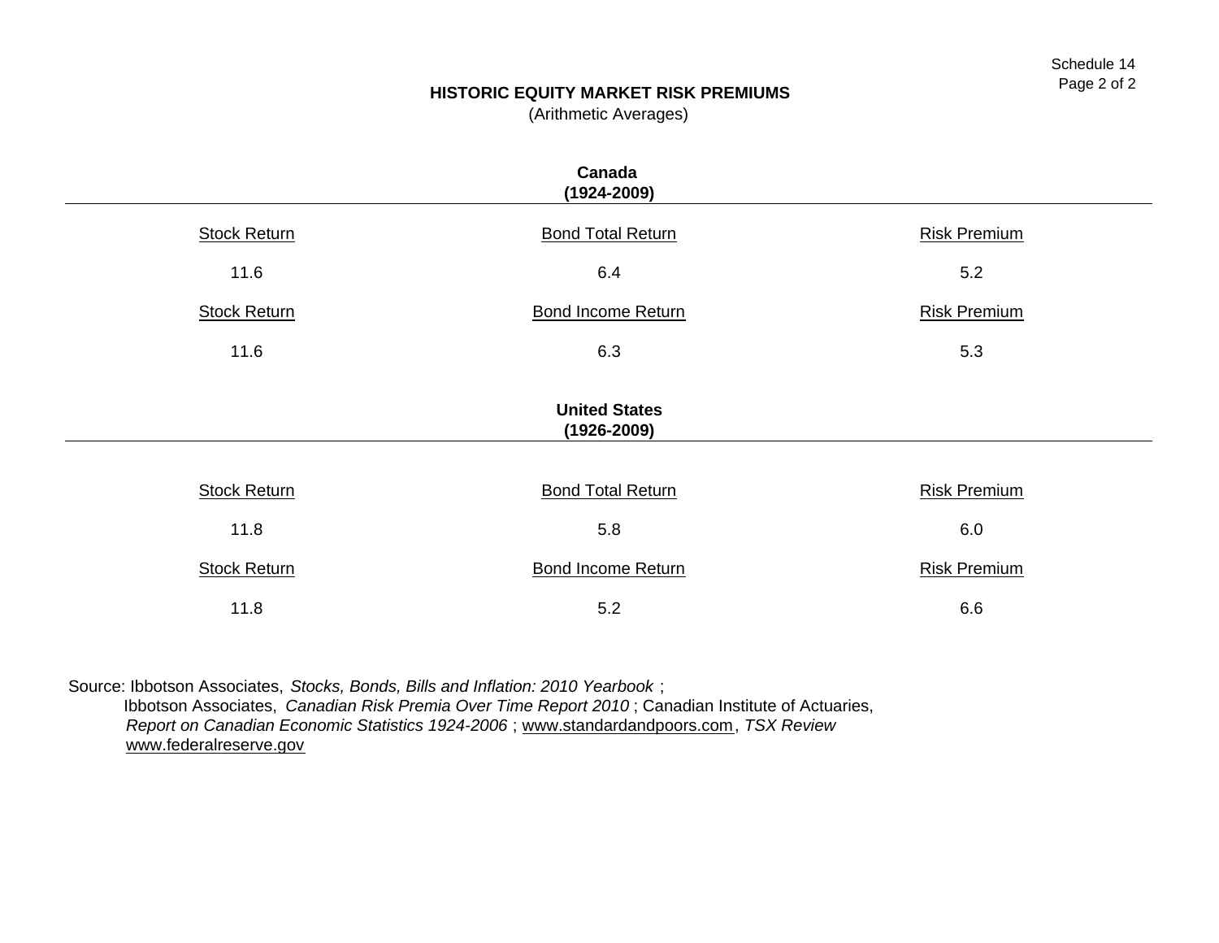# **HISTORIC EQUITY MARKET RISK PREMIUMS**

(Arithmetic Averages)

|                                         | Canada<br>$(1924 - 2009)$ |                     |  |  |  |  |  |  |  |  |
|-----------------------------------------|---------------------------|---------------------|--|--|--|--|--|--|--|--|
| <b>Stock Return</b>                     | <b>Bond Total Return</b>  | <b>Risk Premium</b> |  |  |  |  |  |  |  |  |
| 11.6                                    | 6.4                       | 5.2                 |  |  |  |  |  |  |  |  |
| <b>Stock Return</b>                     | <b>Bond Income Return</b> | <b>Risk Premium</b> |  |  |  |  |  |  |  |  |
| 11.6                                    | 6.3                       | 5.3                 |  |  |  |  |  |  |  |  |
| <b>United States</b><br>$(1926 - 2009)$ |                           |                     |  |  |  |  |  |  |  |  |
|                                         |                           |                     |  |  |  |  |  |  |  |  |
| <b>Stock Return</b>                     | <b>Bond Total Return</b>  | <b>Risk Premium</b> |  |  |  |  |  |  |  |  |
| 11.8                                    | 5.8                       | 6.0                 |  |  |  |  |  |  |  |  |
| <b>Stock Return</b>                     | <b>Bond Income Return</b> | <b>Risk Premium</b> |  |  |  |  |  |  |  |  |
| 11.8                                    | 5.2                       | 6.6                 |  |  |  |  |  |  |  |  |

Source: Ibbotson Associates, *Stocks, Bonds, Bills and Inflation: 2010 Yearbook* ; Ibbotson Associates, *Canadian Risk Premia Over Time Report 2010* ; Canadian Institute of Actuaries, *Report on Canadian Economic Statistics 1924-2006* ; www.standardandpoors.com, *TSX Review* www.federalreserve.gov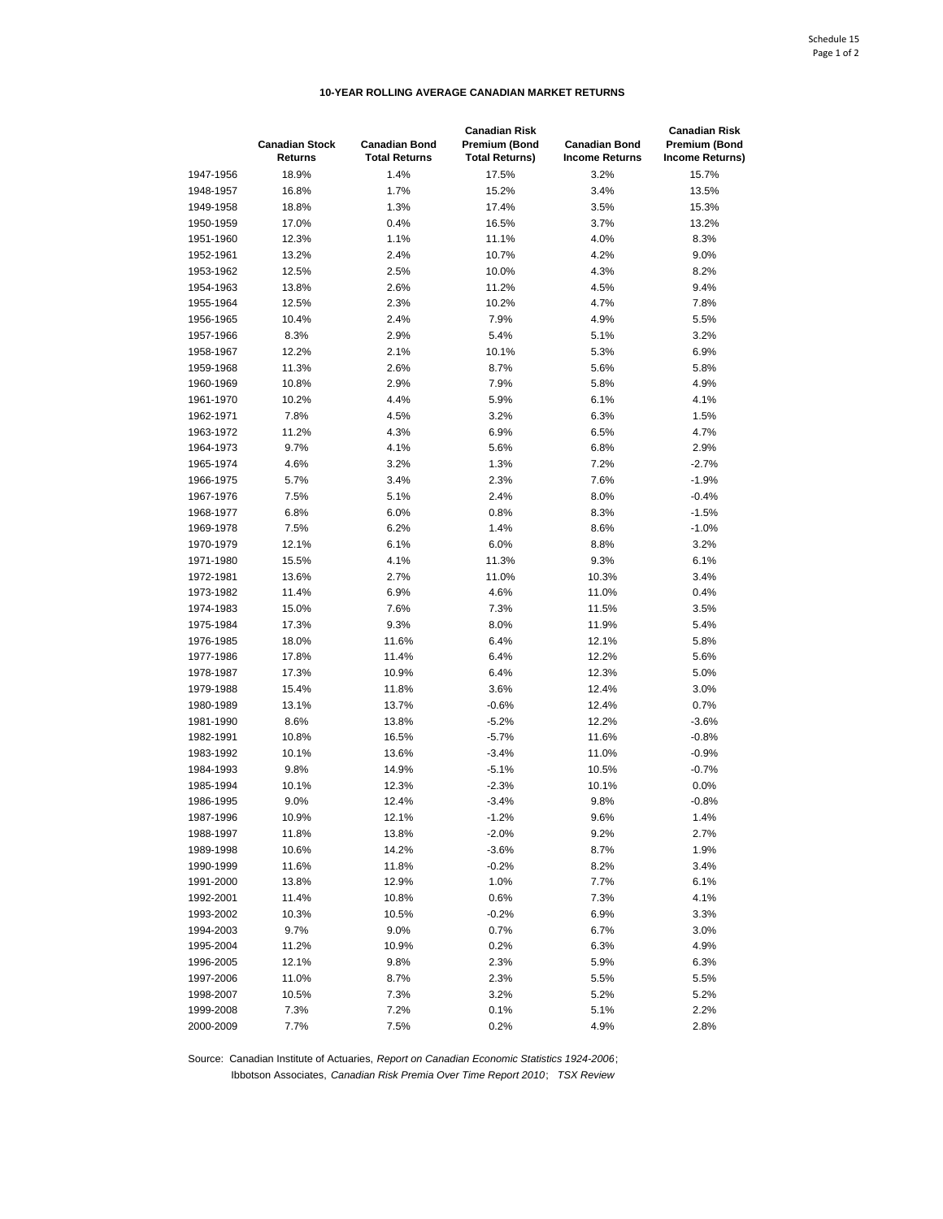# **10-YEAR ROLLING AVERAGE CANADIAN MARKET RETURNS**

|           | <b>Canadian Stock</b><br><b>Returns</b> | <b>Canadian Bond</b><br><b>Total Returns</b> | <b>Canadian Risk</b><br>Premium (Bond<br><b>Total Returns)</b> | <b>Canadian Bond</b><br><b>Income Returns</b> | <b>Canadian Risk</b><br>Premium (Bond<br><b>Income Returns)</b> |
|-----------|-----------------------------------------|----------------------------------------------|----------------------------------------------------------------|-----------------------------------------------|-----------------------------------------------------------------|
| 1947-1956 | 18.9%                                   | 1.4%                                         | 17.5%                                                          | 3.2%                                          | 15.7%                                                           |
| 1948-1957 | 16.8%                                   | 1.7%                                         | 15.2%                                                          | 3.4%                                          | 13.5%                                                           |
| 1949-1958 | 18.8%                                   | 1.3%                                         | 17.4%                                                          | 3.5%                                          | 15.3%                                                           |
| 1950-1959 | 17.0%                                   | 0.4%                                         | 16.5%                                                          | 3.7%                                          | 13.2%                                                           |
| 1951-1960 | 12.3%                                   | 1.1%                                         | 11.1%                                                          | 4.0%                                          | 8.3%                                                            |
| 1952-1961 | 13.2%                                   | 2.4%                                         | 10.7%                                                          | 4.2%                                          | 9.0%                                                            |
| 1953-1962 | 12.5%                                   | 2.5%                                         | 10.0%                                                          | 4.3%                                          | 8.2%                                                            |
| 1954-1963 | 13.8%                                   | 2.6%                                         | 11.2%                                                          | 4.5%                                          | 9.4%                                                            |
| 1955-1964 | 12.5%                                   | 2.3%                                         | 10.2%                                                          | 4.7%                                          | 7.8%                                                            |
| 1956-1965 | 10.4%                                   | 2.4%                                         | 7.9%                                                           | 4.9%                                          | 5.5%                                                            |
| 1957-1966 | 8.3%                                    | 2.9%                                         | 5.4%                                                           | 5.1%                                          | 3.2%                                                            |
| 1958-1967 | 12.2%                                   | 2.1%                                         | 10.1%                                                          | 5.3%                                          | 6.9%                                                            |
| 1959-1968 | 11.3%                                   | 2.6%                                         | 8.7%                                                           | 5.6%                                          | 5.8%                                                            |
| 1960-1969 | 10.8%                                   | 2.9%                                         | 7.9%                                                           | 5.8%                                          | 4.9%                                                            |
| 1961-1970 | 10.2%                                   | 4.4%                                         | 5.9%                                                           | 6.1%                                          | 4.1%                                                            |
|           | 7.8%                                    |                                              | 3.2%                                                           | 6.3%                                          |                                                                 |
| 1962-1971 |                                         | 4.5%                                         |                                                                |                                               | 1.5%                                                            |
| 1963-1972 | 11.2%                                   | 4.3%                                         | 6.9%                                                           | 6.5%                                          | 4.7%                                                            |
| 1964-1973 | 9.7%                                    | 4.1%                                         | 5.6%                                                           | 6.8%                                          | 2.9%                                                            |
| 1965-1974 | 4.6%                                    | 3.2%                                         | 1.3%                                                           | 7.2%                                          | $-2.7%$                                                         |
| 1966-1975 | 5.7%                                    | 3.4%                                         | 2.3%                                                           | 7.6%                                          | $-1.9%$                                                         |
| 1967-1976 | 7.5%                                    | 5.1%                                         | 2.4%                                                           | 8.0%                                          | $-0.4%$                                                         |
| 1968-1977 | 6.8%                                    | 6.0%                                         | 0.8%                                                           | 8.3%                                          | $-1.5%$                                                         |
| 1969-1978 | 7.5%                                    | 6.2%                                         | 1.4%                                                           | 8.6%                                          | $-1.0%$                                                         |
| 1970-1979 | 12.1%                                   | 6.1%                                         | 6.0%                                                           | 8.8%                                          | 3.2%                                                            |
| 1971-1980 | 15.5%                                   | 4.1%                                         | 11.3%                                                          | 9.3%                                          | 6.1%                                                            |
| 1972-1981 | 13.6%                                   | 2.7%                                         | 11.0%                                                          | 10.3%                                         | 3.4%                                                            |
| 1973-1982 | 11.4%                                   | 6.9%                                         | 4.6%                                                           | 11.0%                                         | 0.4%                                                            |
| 1974-1983 | 15.0%                                   | 7.6%                                         | 7.3%                                                           | 11.5%                                         | 3.5%                                                            |
| 1975-1984 | 17.3%                                   | 9.3%                                         | 8.0%                                                           | 11.9%                                         | 5.4%                                                            |
| 1976-1985 | 18.0%                                   | 11.6%                                        | 6.4%                                                           | 12.1%                                         | 5.8%                                                            |
| 1977-1986 | 17.8%                                   | 11.4%                                        | 6.4%                                                           | 12.2%                                         | 5.6%                                                            |
| 1978-1987 | 17.3%                                   | 10.9%                                        | 6.4%                                                           | 12.3%                                         | 5.0%                                                            |
| 1979-1988 | 15.4%                                   | 11.8%                                        | 3.6%                                                           | 12.4%                                         | 3.0%                                                            |
| 1980-1989 | 13.1%                                   | 13.7%                                        | $-0.6%$                                                        | 12.4%                                         | 0.7%                                                            |
| 1981-1990 | 8.6%                                    | 13.8%                                        | $-5.2%$                                                        | 12.2%                                         | $-3.6%$                                                         |
| 1982-1991 | 10.8%                                   | 16.5%                                        | $-5.7%$                                                        | 11.6%                                         | $-0.8%$                                                         |
| 1983-1992 | 10.1%                                   | 13.6%                                        | $-3.4%$                                                        | 11.0%                                         | $-0.9%$                                                         |
| 1984-1993 | 9.8%                                    | 14.9%                                        | $-5.1%$                                                        | 10.5%                                         | $-0.7%$                                                         |
| 1985-1994 | 10.1%                                   | 12.3%                                        | $-2.3%$                                                        | 10.1%                                         | 0.0%                                                            |
| 1986-1995 | 9.0%                                    | 12.4%                                        | $-3.4%$                                                        | 9.8%                                          | $-0.8%$                                                         |
| 1987-1996 | 10.9%                                   | 12.1%                                        | $-1.2%$                                                        | 9.6%                                          | 1.4%                                                            |
| 1988-1997 | 11.8%                                   | 13.8%                                        | $-2.0%$                                                        | 9.2%                                          | 2.7%                                                            |
| 1989-1998 | 10.6%                                   | 14.2%                                        | $-3.6%$                                                        | 8.7%                                          | 1.9%                                                            |
| 1990-1999 | 11.6%                                   | 11.8%                                        | $-0.2%$                                                        | 8.2%                                          | 3.4%                                                            |
| 1991-2000 | 13.8%                                   | 12.9%                                        | 1.0%                                                           | 7.7%                                          | 6.1%                                                            |
| 1992-2001 | 11.4%                                   | 10.8%                                        | 0.6%                                                           | 7.3%                                          | 4.1%                                                            |
| 1993-2002 | 10.3%                                   | 10.5%                                        | $-0.2%$                                                        | 6.9%                                          | 3.3%                                                            |
| 1994-2003 | 9.7%                                    | 9.0%                                         | 0.7%                                                           | 6.7%                                          | 3.0%                                                            |
| 1995-2004 | 11.2%                                   | 10.9%                                        | 0.2%                                                           | 6.3%                                          | 4.9%                                                            |
| 1996-2005 | 12.1%                                   | 9.8%                                         | 2.3%                                                           | 5.9%                                          | 6.3%                                                            |
| 1997-2006 | 11.0%                                   | 8.7%                                         | 2.3%                                                           | 5.5%                                          | 5.5%                                                            |
| 1998-2007 | 10.5%                                   | 7.3%                                         | 3.2%                                                           | 5.2%                                          | 5.2%                                                            |
| 1999-2008 | 7.3%                                    | 7.2%                                         | 0.1%                                                           | 5.1%                                          | 2.2%                                                            |
| 2000-2009 | 7.7%                                    | 7.5%                                         | 0.2%                                                           | 4.9%                                          | 2.8%                                                            |

Source: Canadian Institute of Actuaries, *Report on Canadian Economic Statistics 1924-2006*; Ibbotson Associates, *Canadian Risk Premia Over Time Report 2010*; *TSX Review*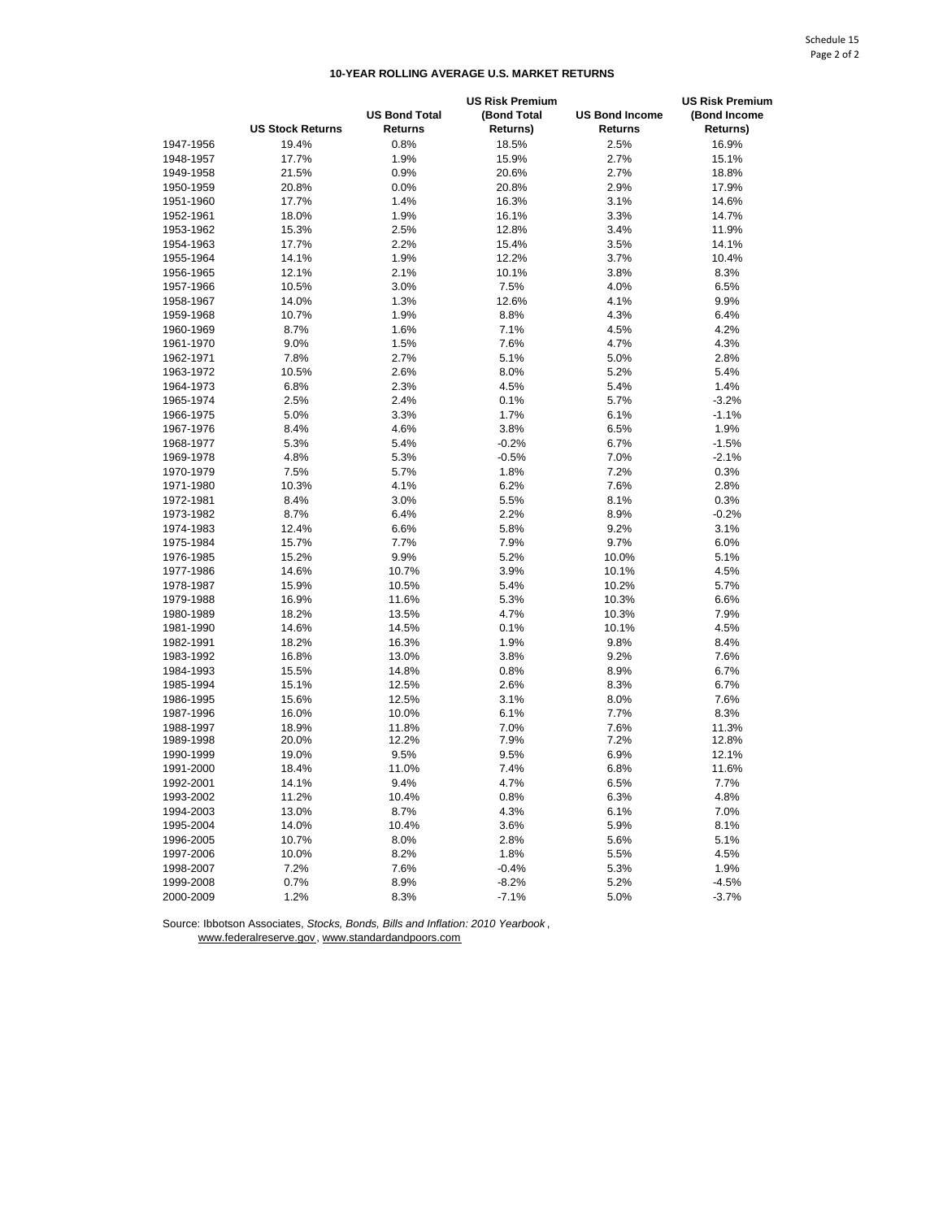## **10-YEAR ROLLING AVERAGE U.S. MARKET RETURNS**

|                        |                         |                                        | <b>US Risk Premium</b>  |                                         |                          |
|------------------------|-------------------------|----------------------------------------|-------------------------|-----------------------------------------|--------------------------|
|                        | <b>US Stock Returns</b> | <b>US Bond Total</b><br><b>Returns</b> | (Bond Total<br>Returns) | <b>US Bond Income</b><br><b>Returns</b> | (Bond Income<br>Returns) |
| 1947-1956              | 19.4%                   | 0.8%                                   | 18.5%                   | 2.5%                                    | 16.9%                    |
| 1948-1957              | 17.7%                   | 1.9%                                   | 15.9%                   | 2.7%                                    | 15.1%                    |
| 1949-1958              | 21.5%                   | 0.9%                                   | 20.6%                   | 2.7%                                    | 18.8%                    |
| 1950-1959              | 20.8%                   | 0.0%                                   | 20.8%                   | 2.9%                                    | 17.9%                    |
| 1951-1960              | 17.7%                   | 1.4%                                   | 16.3%                   | 3.1%                                    | 14.6%                    |
| 1952-1961              | 18.0%                   | 1.9%                                   | 16.1%                   | 3.3%                                    | 14.7%                    |
| 1953-1962              | 15.3%                   | 2.5%                                   | 12.8%                   | 3.4%                                    | 11.9%                    |
| 1954-1963              | 17.7%                   | 2.2%                                   | 15.4%                   | 3.5%                                    | 14.1%                    |
| 1955-1964              | 14.1%                   | 1.9%                                   | 12.2%                   | 3.7%                                    | 10.4%                    |
| 1956-1965              | 12.1%                   | 2.1%                                   | 10.1%                   | 3.8%                                    | 8.3%                     |
|                        |                         | 3.0%                                   | 7.5%                    |                                         | 6.5%                     |
| 1957-1966              | 10.5%<br>14.0%          |                                        |                         | 4.0%                                    |                          |
| 1958-1967              |                         | 1.3%<br>1.9%                           | 12.6%<br>8.8%           | 4.1%                                    | 9.9%                     |
| 1959-1968              | 10.7%<br>8.7%           | 1.6%                                   | 7.1%                    | 4.3%                                    | 6.4%<br>4.2%             |
| 1960-1969<br>1961-1970 | 9.0%                    | 1.5%                                   | 7.6%                    | 4.5%<br>4.7%                            | 4.3%                     |
|                        |                         |                                        |                         |                                         |                          |
| 1962-1971              | 7.8%                    | 2.7%                                   | 5.1%                    | 5.0%                                    | 2.8%                     |
| 1963-1972              | 10.5%                   | 2.6%                                   | 8.0%                    | 5.2%                                    | 5.4%                     |
| 1964-1973              | 6.8%                    | 2.3%                                   | 4.5%                    | 5.4%                                    | 1.4%                     |
| 1965-1974              | 2.5%                    | 2.4%                                   | 0.1%                    | 5.7%                                    | $-3.2%$                  |
| 1966-1975              | 5.0%                    | 3.3%                                   | 1.7%                    | 6.1%                                    | $-1.1%$                  |
| 1967-1976              | 8.4%                    | 4.6%                                   | 3.8%                    | 6.5%                                    | 1.9%                     |
| 1968-1977              | 5.3%                    | 5.4%                                   | $-0.2%$                 | 6.7%                                    | $-1.5%$                  |
| 1969-1978              | 4.8%                    | 5.3%                                   | $-0.5%$                 | 7.0%                                    | $-2.1%$                  |
| 1970-1979              | 7.5%                    | 5.7%                                   | 1.8%                    | 7.2%                                    | 0.3%                     |
| 1971-1980              | 10.3%                   | 4.1%                                   | 6.2%                    | 7.6%                                    | 2.8%                     |
| 1972-1981              | 8.4%                    | 3.0%                                   | 5.5%                    | 8.1%                                    | 0.3%                     |
| 1973-1982              | 8.7%                    | 6.4%                                   | 2.2%                    | 8.9%                                    | $-0.2%$                  |
| 1974-1983              | 12.4%                   | 6.6%                                   | 5.8%                    | 9.2%                                    | 3.1%                     |
| 1975-1984              | 15.7%                   | 7.7%                                   | 7.9%                    | 9.7%                                    | 6.0%                     |
| 1976-1985              | 15.2%                   | 9.9%                                   | 5.2%                    | 10.0%                                   | 5.1%                     |
| 1977-1986              | 14.6%                   | 10.7%                                  | 3.9%                    | 10.1%                                   | 4.5%                     |
| 1978-1987              | 15.9%                   | 10.5%                                  | 5.4%                    | 10.2%                                   | 5.7%                     |
| 1979-1988              | 16.9%                   | 11.6%                                  | 5.3%                    | 10.3%                                   | 6.6%                     |
| 1980-1989              | 18.2%                   | 13.5%                                  | 4.7%                    | 10.3%                                   | 7.9%                     |
| 1981-1990              | 14.6%                   | 14.5%                                  | 0.1%                    | 10.1%                                   | 4.5%                     |
| 1982-1991              | 18.2%                   | 16.3%                                  | 1.9%                    | 9.8%                                    | 8.4%                     |
| 1983-1992              | 16.8%                   | 13.0%                                  | 3.8%                    | 9.2%                                    | 7.6%                     |
| 1984-1993              | 15.5%                   | 14.8%                                  | 0.8%                    | 8.9%                                    | 6.7%                     |
| 1985-1994              | 15.1%                   | 12.5%                                  | 2.6%                    | 8.3%                                    | 6.7%                     |
| 1986-1995              | 15.6%                   | 12.5%                                  | 3.1%                    | 8.0%                                    | 7.6%                     |
| 1987-1996              | 16.0%                   | 10.0%                                  | 6.1%                    | 7.7%                                    | 8.3%                     |
| 1988-1997              | 18.9%                   | 11.8%                                  | 7.0%                    | 7.6%                                    | 11.3%                    |
| 1989-1998              | 20.0%                   | 12.2%                                  | 7.9%                    | 7.2%                                    | 12.8%                    |
| 1990-1999              | 19.0%                   | 9.5%                                   | 9.5%                    | 6.9%                                    | 12.1%                    |
| 1991-2000              | 18.4%                   | 11.0%                                  | 7.4%                    | 6.8%                                    | 11.6%                    |
| 1992-2001              | 14.1%                   | 9.4%                                   | 4.7%                    | 6.5%                                    | 7.7%                     |
| 1993-2002              | 11.2%                   | 10.4%                                  | 0.8%                    | 6.3%                                    | 4.8%                     |
| 1994-2003              | 13.0%                   | 8.7%                                   | 4.3%                    | 6.1%                                    | 7.0%                     |
| 1995-2004              | 14.0%                   | 10.4%                                  | 3.6%                    | 5.9%                                    | 8.1%                     |
| 1996-2005              | 10.7%                   | 8.0%                                   | 2.8%                    | 5.6%                                    | 5.1%                     |
| 1997-2006              | 10.0%                   | 8.2%                                   | 1.8%                    | 5.5%                                    | 4.5%                     |
| 1998-2007              | 7.2%                    | 7.6%                                   | $-0.4%$                 | 5.3%                                    | 1.9%                     |
| 1999-2008              | 0.7%                    | 8.9%                                   | $-8.2%$                 | 5.2%                                    | $-4.5%$                  |
| 2000-2009              | 1.2%                    | 8.3%                                   | $-7.1%$                 | 5.0%                                    | $-3.7%$                  |

Source: Ibbotson Associates, *Stocks, Bonds, Bills and Inflation: 2010 Yearbook* , www.federalreserve.gov, www.standardandpoors.com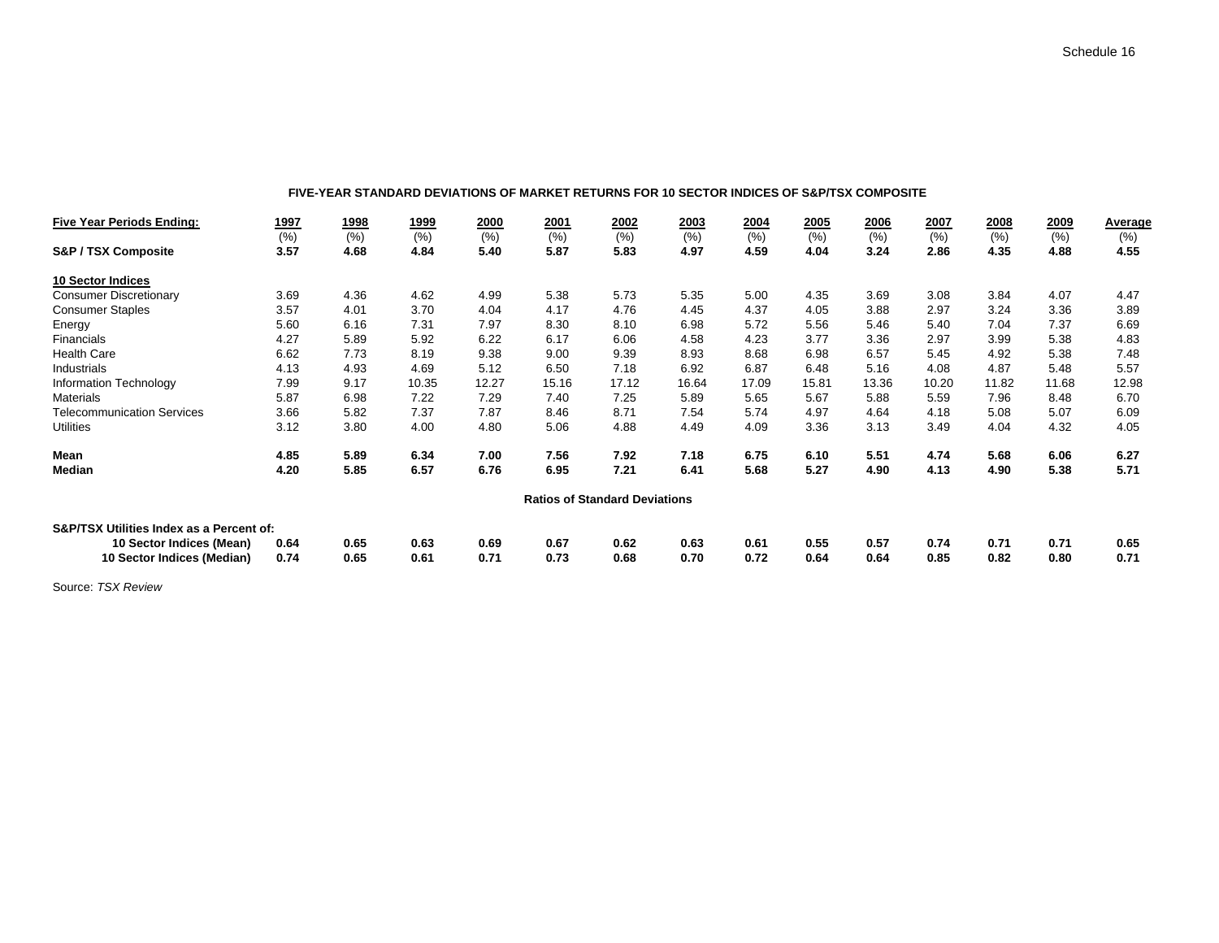#### **FIVE-YEAR STANDARD DEVIATIONS OF MARKET RETURNS FOR 10 SECTOR INDICES OF S&P/TSX COMPOSITE**

| <b>Five Year Periods Ending:</b>         | <u> 1997</u> | 1998 | <u>1999</u> | 2000  | 2001  | 2002                                 | 2003  | 2004  | 2005  | 2006  | 2007  | 2008  | 2009  | Average |
|------------------------------------------|--------------|------|-------------|-------|-------|--------------------------------------|-------|-------|-------|-------|-------|-------|-------|---------|
|                                          | (% )         | (% ) | (% )        | (% )  | (% )  | (% )                                 | (%)   | (% )  | (% )  | (% )  | (% )  | (% )  | (% )  | (% )    |
| <b>S&amp;P / TSX Composite</b>           | 3.57         | 4.68 | 4.84        | 5.40  | 5.87  | 5.83                                 | 4.97  | 4.59  | 4.04  | 3.24  | 2.86  | 4.35  | 4.88  | 4.55    |
| <b>10 Sector Indices</b>                 |              |      |             |       |       |                                      |       |       |       |       |       |       |       |         |
| <b>Consumer Discretionary</b>            | 3.69         | 4.36 | 4.62        | 4.99  | 5.38  | 5.73                                 | 5.35  | 5.00  | 4.35  | 3.69  | 3.08  | 3.84  | 4.07  | 4.47    |
| <b>Consumer Staples</b>                  | 3.57         | 4.01 | 3.70        | 4.04  | 4.17  | 4.76                                 | 4.45  | 4.37  | 4.05  | 3.88  | 2.97  | 3.24  | 3.36  | 3.89    |
| Energy                                   | 5.60         | 6.16 | 7.31        | 7.97  | 8.30  | 8.10                                 | 6.98  | 5.72  | 5.56  | 5.46  | 5.40  | 7.04  | 7.37  | 6.69    |
| Financials                               | 4.27         | 5.89 | 5.92        | 6.22  | 6.17  | 6.06                                 | 4.58  | 4.23  | 3.77  | 3.36  | 2.97  | 3.99  | 5.38  | 4.83    |
| <b>Health Care</b>                       | 6.62         | 7.73 | 8.19        | 9.38  | 9.00  | 9.39                                 | 8.93  | 8.68  | 6.98  | 6.57  | 5.45  | 4.92  | 5.38  | 7.48    |
| Industrials                              | 4.13         | 4.93 | 4.69        | 5.12  | 6.50  | 7.18                                 | 6.92  | 6.87  | 6.48  | 5.16  | 4.08  | 4.87  | 5.48  | 5.57    |
| Information Technology                   | 7.99         | 9.17 | 10.35       | 12.27 | 15.16 | 17.12                                | 16.64 | 17.09 | 15.81 | 13.36 | 10.20 | 11.82 | 11.68 | 12.98   |
| <b>Materials</b>                         | 5.87         | 6.98 | 7.22        | 7.29  | 7.40  | 7.25                                 | 5.89  | 5.65  | 5.67  | 5.88  | 5.59  | 7.96  | 8.48  | 6.70    |
| <b>Telecommunication Services</b>        | 3.66         | 5.82 | 7.37        | 7.87  | 8.46  | 8.71                                 | 7.54  | 5.74  | 4.97  | 4.64  | 4.18  | 5.08  | 5.07  | 6.09    |
| <b>Utilities</b>                         | 3.12         | 3.80 | 4.00        | 4.80  | 5.06  | 4.88                                 | 4.49  | 4.09  | 3.36  | 3.13  | 3.49  | 4.04  | 4.32  | 4.05    |
| Mean                                     | 4.85         | 5.89 | 6.34        | 7.00  | 7.56  | 7.92                                 | 7.18  | 6.75  | 6.10  | 5.51  | 4.74  | 5.68  | 6.06  | 6.27    |
| Median                                   | 4.20         | 5.85 | 6.57        | 6.76  | 6.95  | 7.21                                 | 6.41  | 5.68  | 5.27  | 4.90  | 4.13  | 4.90  | 5.38  | 5.71    |
|                                          |              |      |             |       |       | <b>Ratios of Standard Deviations</b> |       |       |       |       |       |       |       |         |
| S&P/TSX Utilities Index as a Percent of: |              |      |             |       |       |                                      |       |       |       |       |       |       |       |         |
| 10 Sector Indices (Mean)                 | 0.64         | 0.65 | 0.63        | 0.69  | 0.67  | 0.62                                 | 0.63  | 0.61  | 0.55  | 0.57  | 0.74  | 0.71  | 0.71  | 0.65    |
| 10 Sector Indices (Median)               | 0.74         | 0.65 | 0.61        | 0.71  | 0.73  | 0.68                                 | 0.70  | 0.72  | 0.64  | 0.64  | 0.85  | 0.82  | 0.80  | 0.71    |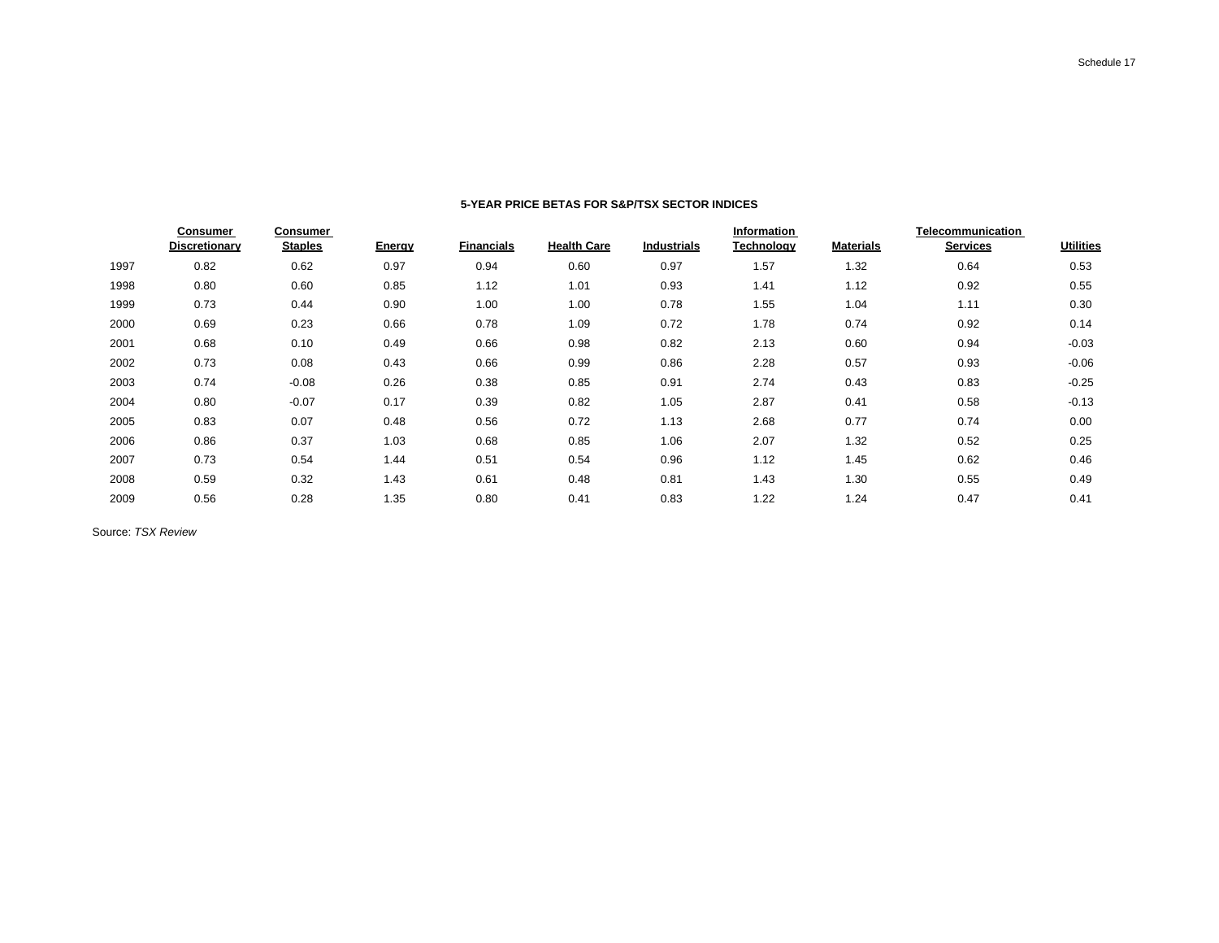|      | <b>Consumer</b>      | <b>Consumer</b> |        |                   |                    |                    | Information |                  | Telecommunication |                  |
|------|----------------------|-----------------|--------|-------------------|--------------------|--------------------|-------------|------------------|-------------------|------------------|
|      | <b>Discretionary</b> | <b>Staples</b>  | Energy | <b>Financials</b> | <b>Health Care</b> | <b>Industrials</b> | Technology  | <b>Materials</b> | <b>Services</b>   | <b>Utilities</b> |
| 1997 | 0.82                 | 0.62            | 0.97   | 0.94              | 0.60               | 0.97               | 1.57        | 1.32             | 0.64              | 0.53             |
| 1998 | 0.80                 | 0.60            | 0.85   | 1.12              | 1.01               | 0.93               | 1.41        | 1.12             | 0.92              | 0.55             |
| 1999 | 0.73                 | 0.44            | 0.90   | 1.00              | 1.00               | 0.78               | 1.55        | 1.04             | 1.11              | 0.30             |
| 2000 | 0.69                 | 0.23            | 0.66   | 0.78              | 1.09               | 0.72               | 1.78        | 0.74             | 0.92              | 0.14             |
| 2001 | 0.68                 | 0.10            | 0.49   | 0.66              | 0.98               | 0.82               | 2.13        | 0.60             | 0.94              | $-0.03$          |
| 2002 | 0.73                 | 0.08            | 0.43   | 0.66              | 0.99               | 0.86               | 2.28        | 0.57             | 0.93              | $-0.06$          |
| 2003 | 0.74                 | $-0.08$         | 0.26   | 0.38              | 0.85               | 0.91               | 2.74        | 0.43             | 0.83              | $-0.25$          |
| 2004 | 0.80                 | $-0.07$         | 0.17   | 0.39              | 0.82               | 1.05               | 2.87        | 0.41             | 0.58              | $-0.13$          |
| 2005 | 0.83                 | 0.07            | 0.48   | 0.56              | 0.72               | 1.13               | 2.68        | 0.77             | 0.74              | 0.00             |
| 2006 | 0.86                 | 0.37            | 1.03   | 0.68              | 0.85               | 1.06               | 2.07        | 1.32             | 0.52              | 0.25             |
| 2007 | 0.73                 | 0.54            | 1.44   | 0.51              | 0.54               | 0.96               | 1.12        | 1.45             | 0.62              | 0.46             |
| 2008 | 0.59                 | 0.32            | 1.43   | 0.61              | 0.48               | 0.81               | 1.43        | 1.30             | 0.55              | 0.49             |
| 2009 | 0.56                 | 0.28            | 1.35   | 0.80              | 0.41               | 0.83               | 1.22        | 1.24             | 0.47              | 0.41             |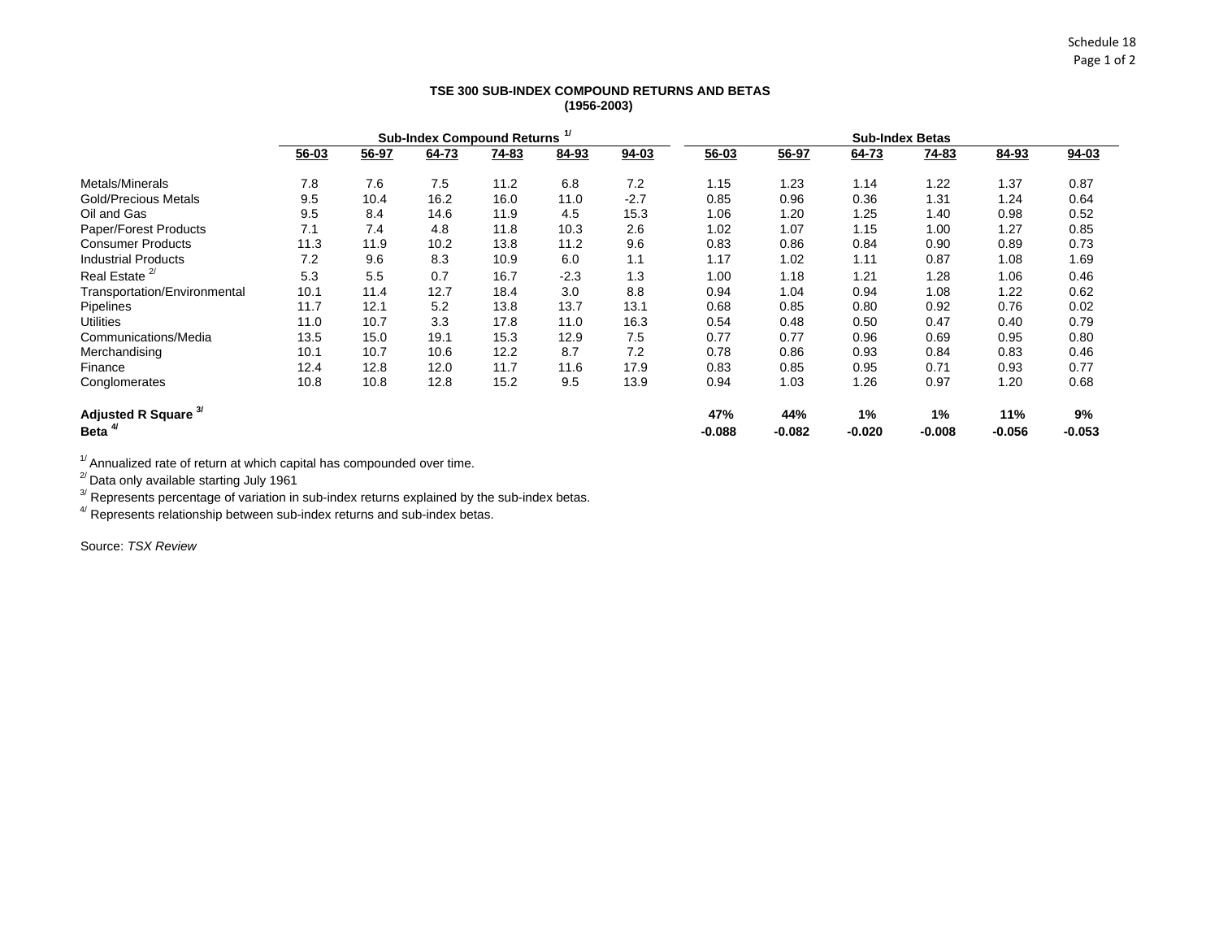## **TSE 300 SUB-INDEX COMPOUND RETURNS AND BETAS (1956-2003)**

|                                 |           | <b>Sub-Index Compound Returns</b> |       |              |        |           | <b>Sub-Index Betas</b> |          |          |              |          |           |
|---------------------------------|-----------|-----------------------------------|-------|--------------|--------|-----------|------------------------|----------|----------|--------------|----------|-----------|
|                                 | $56 - 03$ | 56-97                             | 64-73 | <u>74-83</u> | 84-93  | $94 - 03$ | $56 - 03$              | 56-97    | 64-73    | <u>74-83</u> | 84-93    | $94 - 03$ |
| Metals/Minerals                 | 7.8       | 7.6                               | 7.5   | 11.2         | 6.8    | 7.2       | 1.15                   | 1.23     | 1.14     | 1.22         | 1.37     | 0.87      |
| <b>Gold/Precious Metals</b>     | 9.5       | 10.4                              | 16.2  | 16.0         | 11.0   | $-2.7$    | 0.85                   | 0.96     | 0.36     | 1.31         | 1.24     | 0.64      |
| Oil and Gas                     | 9.5       | 8.4                               | 14.6  | 11.9         | 4.5    | 15.3      | 1.06                   | 1.20     | 1.25     | 1.40         | 0.98     | 0.52      |
| Paper/Forest Products           | 7.1       | 7.4                               | 4.8   | 11.8         | 10.3   | 2.6       | 1.02                   | 1.07     | 1.15     | 1.00         | 1.27     | 0.85      |
| <b>Consumer Products</b>        | 11.3      | 11.9                              | 10.2  | 13.8         | 11.2   | 9.6       | 0.83                   | 0.86     | 0.84     | 0.90         | 0.89     | 0.73      |
| <b>Industrial Products</b>      | 7.2       | 9.6                               | 8.3   | 10.9         | 6.0    | 1.1       | 1.17                   | 1.02     | 1.11     | 0.87         | 1.08     | 1.69      |
| Real Estate <sup>2/</sup>       | 5.3       | 5.5                               | 0.7   | 16.7         | $-2.3$ | 1.3       | 1.00                   | 1.18     | 1.21     | 1.28         | 1.06     | 0.46      |
| Transportation/Environmental    | 10.1      | 11.4                              | 12.7  | 18.4         | 3.0    | 8.8       | 0.94                   | 1.04     | 0.94     | 1.08         | 1.22     | 0.62      |
| <b>Pipelines</b>                | 11.7      | 12.1                              | 5.2   | 13.8         | 13.7   | 13.1      | 0.68                   | 0.85     | 0.80     | 0.92         | 0.76     | 0.02      |
| <b>Utilities</b>                | 11.0      | 10.7                              | 3.3   | 17.8         | 11.0   | 16.3      | 0.54                   | 0.48     | 0.50     | 0.47         | 0.40     | 0.79      |
| Communications/Media            | 13.5      | 15.0                              | 19.1  | 15.3         | 12.9   | 7.5       | 0.77                   | 0.77     | 0.96     | 0.69         | 0.95     | 0.80      |
| Merchandising                   | 10.1      | 10.7                              | 10.6  | 12.2         | 8.7    | 7.2       | 0.78                   | 0.86     | 0.93     | 0.84         | 0.83     | 0.46      |
| Finance                         | 12.4      | 12.8                              | 12.0  | 11.7         | 11.6   | 17.9      | 0.83                   | 0.85     | 0.95     | 0.71         | 0.93     | 0.77      |
| Conglomerates                   | 10.8      | 10.8                              | 12.8  | 15.2         | 9.5    | 13.9      | 0.94                   | 1.03     | 1.26     | 0.97         | 1.20     | 0.68      |
| Adjusted R Square <sup>3/</sup> |           |                                   |       |              |        |           | 47%                    | 44%      | 1%       | 1%           | 11%      | 9%        |
| Beta <sup>4</sup>               |           |                                   |       |              |        |           | $-0.088$               | $-0.082$ | $-0.020$ | $-0.008$     | $-0.056$ | $-0.053$  |

 $1/$ Annualized rate of return at which capital has compounded over time.

 $^{27}$ Data only available starting July 1961

 $3'$  Represents percentage of variation in sub-index returns explained by the sub-index betas.

 $4/$  Represents relationship between sub-index returns and sub-index betas.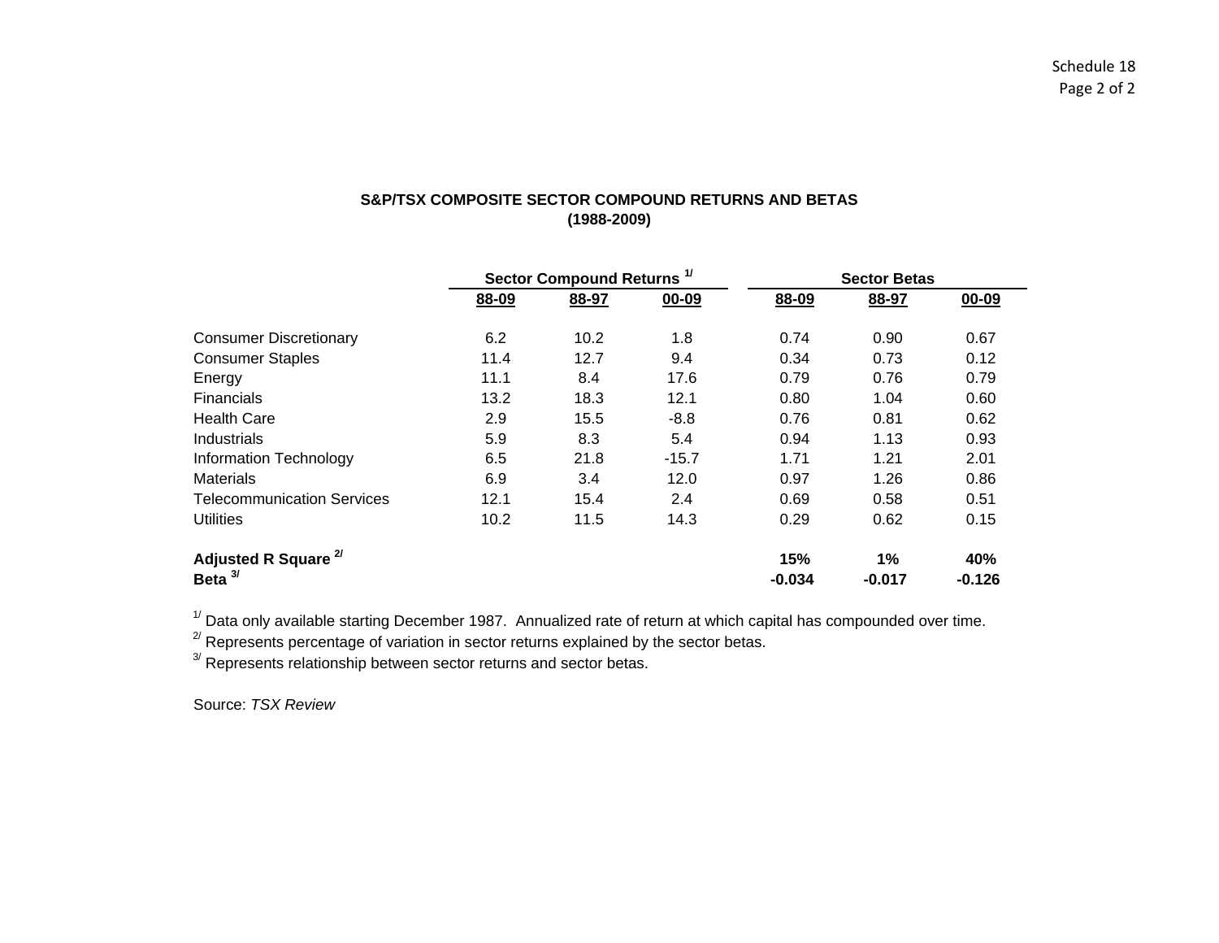# **S&P/TSX COMPOSITE SECTOR COMPOUND RETURNS AND BETAS(1988-2009)**

|                                   |       | Sector Compound Returns <sup>1/</sup> |         |          | <b>Sector Betas</b> |          |  |  |
|-----------------------------------|-------|---------------------------------------|---------|----------|---------------------|----------|--|--|
|                                   | 88-09 | 88-97                                 | 00-09   | 88-09    | 88-97               | 00-09    |  |  |
| <b>Consumer Discretionary</b>     | 6.2   | 10.2                                  | 1.8     | 0.74     | 0.90                | 0.67     |  |  |
| <b>Consumer Staples</b>           | 11.4  | 12.7                                  | 9.4     | 0.34     | 0.73                | 0.12     |  |  |
| Energy                            | 11.1  | 8.4                                   | 17.6    | 0.79     | 0.76                | 0.79     |  |  |
| <b>Financials</b>                 | 13.2  | 18.3                                  | 12.1    | 0.80     | 1.04                | 0.60     |  |  |
| <b>Health Care</b>                | 2.9   | 15.5                                  | $-8.8$  | 0.76     | 0.81                | 0.62     |  |  |
| Industrials                       | 5.9   | 8.3                                   | 5.4     | 0.94     | 1.13                | 0.93     |  |  |
| <b>Information Technology</b>     | 6.5   | 21.8                                  | $-15.7$ | 1.71     | 1.21                | 2.01     |  |  |
| <b>Materials</b>                  | 6.9   | 3.4                                   | 12.0    | 0.97     | 1.26                | 0.86     |  |  |
| <b>Telecommunication Services</b> | 12.1  | 15.4                                  | 2.4     | 0.69     | 0.58                | 0.51     |  |  |
| <b>Utilities</b>                  | 10.2  | 11.5                                  | 14.3    | 0.29     | 0.62                | 0.15     |  |  |
| Adjusted R Square <sup>2/</sup>   |       |                                       |         | 15%      | 1%                  | 40%      |  |  |
| 31<br><b>Beta</b>                 |       |                                       |         | $-0.034$ | $-0.017$            | $-0.126$ |  |  |

 $1/$  Data only available starting December 1987. Annualized rate of return at which capital has compounded over time.

<sup>2/</sup> Represents percentage of variation in sector returns explained by the sector betas.

<sup>3/</sup> Represents relationship between sector returns and sector betas.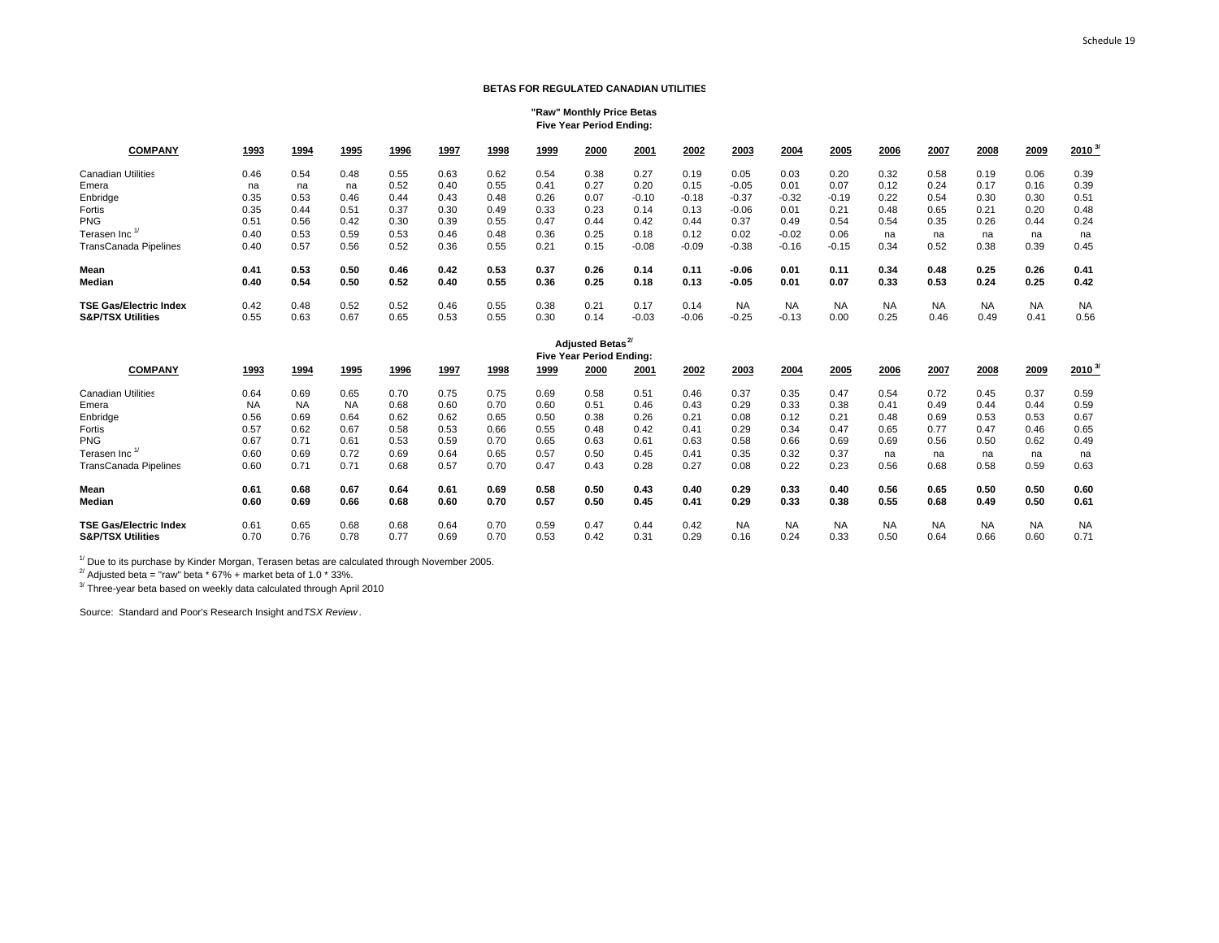#### **BETAS FOR REGULATED CANADIAN UTILITIES**

#### **"Raw" Monthly Price Betas Five Year Period Ending:**

| <b>COMPANY</b>                | 1993 | 1994 | 1995 | 1996 | 1997 | 1998 | 1999 | 2000                                              | 2001    | 2002    | 2003      | 2004      | 2005      | 2006      | 2007      | 2008      | 2009      | $2010^{37}$ |
|-------------------------------|------|------|------|------|------|------|------|---------------------------------------------------|---------|---------|-----------|-----------|-----------|-----------|-----------|-----------|-----------|-------------|
| <b>Canadian Utilities</b>     | 0.46 | 0.54 | 0.48 | 0.55 | 0.63 | 0.62 | 0.54 | 0.38                                              | 0.27    | 0.19    | 0.05      | 0.03      | 0.20      | 0.32      | 0.58      | 0.19      | 0.06      | 0.39        |
| Emera                         | na   | na   | na   | 0.52 | 0.40 | 0.55 | 0.41 | 0.27                                              | 0.20    | 0.15    | $-0.05$   | 0.01      | 0.07      | 0.12      | 0.24      | 0.17      | 0.16      | 0.39        |
| Enbridge                      | 0.35 | 0.53 | 0.46 | 0.44 | 0.43 | 0.48 | 0.26 | 0.07                                              | $-0.10$ | $-0.18$ | $-0.37$   | $-0.32$   | $-0.19$   | 0.22      | 0.54      | 0.30      | 0.30      | 0.51        |
| Fortis                        | 0.35 | 0.44 | 0.51 | 0.37 | 0.30 | 0.49 | 0.33 | 0.23                                              | 0.14    | 0.13    | $-0.06$   | 0.01      | 0.21      | 0.48      | 0.65      | 0.21      | 0.20      | 0.48        |
| <b>PNG</b>                    | 0.51 | 0.56 | 0.42 | 0.30 | 0.39 | 0.55 | 0.47 | 0.44                                              | 0.42    | 0.44    | 0.37      | 0.49      | 0.54      | 0.54      | 0.35      | 0.26      | 0.44      | 0.24        |
| Terasen Inc                   | 0.40 | 0.53 | 0.59 | 0.53 | 0.46 | 0.48 | 0.36 | 0.25                                              | 0.18    | 0.12    | 0.02      | $-0.02$   | 0.06      | na        | na        | na        | na        | na          |
| TransCanada Pipelines         | 0.40 | 0.57 | 0.56 | 0.52 | 0.36 | 0.55 | 0.21 | 0.15                                              | $-0.08$ | $-0.09$ | $-0.38$   | $-0.16$   | $-0.15$   | 0.34      | 0.52      | 0.38      | 0.39      | 0.45        |
| Mean                          | 0.41 | 0.53 | 0.50 | 0.46 | 0.42 | 0.53 | 0.37 | 0.26                                              | 0.14    | 0.11    | $-0.06$   | 0.01      | 0.11      | 0.34      | 0.48      | 0.25      | 0.26      | 0.41        |
| Median                        | 0.40 | 0.54 | 0.50 | 0.52 | 0.40 | 0.55 | 0.36 | 0.25                                              | 0.18    | 0.13    | $-0.05$   | 0.01      | 0.07      | 0.33      | 0.53      | 0.24      | 0.25      | 0.42        |
| <b>TSE Gas/Electric Index</b> | 0.42 | 0.48 | 0.52 | 0.52 | 0.46 | 0.55 | 0.38 | 0.21                                              | 0.17    | 0.14    | <b>NA</b> | <b>NA</b> | <b>NA</b> | <b>NA</b> | <b>NA</b> | <b>NA</b> | <b>NA</b> | <b>NA</b>   |
| <b>S&amp;P/TSX Utilities</b>  | 0.55 | 0.63 | 0.67 | 0.65 | 0.53 | 0.55 | 0.30 | 0.14                                              | $-0.03$ | $-0.06$ | $-0.25$   | $-0.13$   | 0.00      | 0.25      | 0.46      | 0.49      | 0.41      | 0.56        |
|                               |      |      |      |      |      |      |      | <b>Adjusted Betas</b><br>Five Year Period Ending: |         |         |           |           |           |           |           |           |           |             |
| <b>COMPANY</b>                | 1993 | 1994 | 1995 | 1996 | 1997 | 1998 | 1999 | 2000                                              | 2001    | 2002    | 2003      | 2004      | 2005      | 2006      | 2007      | 2008      | 2009      | $2010^{37}$ |

| <b>Canadian Utilities</b>     | 0.64      | 0.69      | 0.65      | 0.70 | 0.75 | 0.75 | 0.69 | 0.58 | 0.51 | 0.46 | 0.37      | 0.35      | 0.47      | 0.54      | 0.72      | 0.45      | 0.37      | 0.59      |
|-------------------------------|-----------|-----------|-----------|------|------|------|------|------|------|------|-----------|-----------|-----------|-----------|-----------|-----------|-----------|-----------|
| Emera                         | <b>NA</b> | <b>NA</b> | <b>NA</b> | 0.68 | 0.60 | 0.70 | 0.60 | 0.51 | 0.46 | 0.43 | 0.29      | 0.33      | 0.38      | 0.41      | 0.49      | 0.44      | 0.44      | 0.59      |
| Enbridge                      | 0.56      | 0.69      | 0.64      | 0.62 | 0.62 | 0.65 | 0.50 | 0.38 | 0.26 | 0.21 | 0.08      | 0.12      | 0.21      | 0.48      | 0.69      | 0.53      | 0.53      | 0.67      |
| Fortis                        | 0.57      | 0.62      | 0.67      | 0.58 | 0.53 | 0.66 | 0.55 | 0.48 | 0.42 | 0.41 | 0.29      | 0.34      | 0.47      | 0.65      | 0.77      | 0.47      | 0.46      | 0.65      |
| <b>PNG</b>                    | 0.67      | 0.71      | 0.61      | 0.53 | 0.59 | 0.70 | 0.65 | 0.63 | 0.61 | 0.63 | 0.58      | 0.66      | 0.69      | 0.69      | 0.56      | 0.50      | 0.62      | 0.49      |
| Terasen Inc                   | 0.60      | 0.69      | 0.72      | 0.69 | 0.64 | 0.65 | 0.57 | 0.50 | 0.45 | 0.41 | 0.35      | 0.32      | 0.37      | na        | na        | na        | na        | na        |
| TransCanada Pipelines         | 0.60      | 0.71      | 0.71      | 0.68 | 0.57 | 0.70 | 0.47 | 0.43 | 0.28 | 0.27 | 0.08      | 0.22      | 0.23      | 0.56      | 0.68      | 0.58      | 0.59      | 0.63      |
| Mean                          | 0.61      | 0.68      | 0.67      | 0.64 | 0.61 | 0.69 | 0.58 | 0.50 | 0.43 | 0.40 | 0.29      | 0.33      | 0.40      | 0.56      | 0.65      | 0.50      | 0.50      | 0.60      |
| Median                        | 0.60      | 0.69      | 0.66      | 0.68 | 0.60 | 0.70 | 0.57 | 0.50 | 0.45 | 0.41 | 0.29      | 0.33      | 0.38      | 0.55      | 0.68      | 0.49      | 0.50      | 0.61      |
| <b>TSE Gas/Electric Index</b> | 0.61      | 0.65      | 0.68      | 0.68 | 0.64 | 0.70 | 0.59 | 0.47 | 0.44 | 0.42 | <b>NA</b> | <b>NA</b> | <b>NA</b> | <b>NA</b> | <b>NA</b> | <b>NA</b> | <b>NA</b> | <b>NA</b> |
| <b>S&amp;P/TSX Utilities</b>  | 0.70      | 0.76      | 0.78      | 0.77 | 0.69 | 0.70 | 0.53 | 0.42 | 0.31 | 0.29 | 0.16      | 0.24      | 0.33      | 0.50      | 0.64      | 0.66      | 0.60      | 0.71      |

 $1/1$  Due to its purchase by Kinder Morgan, Terasen betas are calculated through November 2005.

 $^{27}$  Adjusted beta = "raw" beta  $*$  67% + market beta of 1.0  $*$  33%.

<sup>3/</sup> Three-year beta based on weekly data calculated through April 2010

Source: Standard and Poor's Research Insight and *TSX Review*.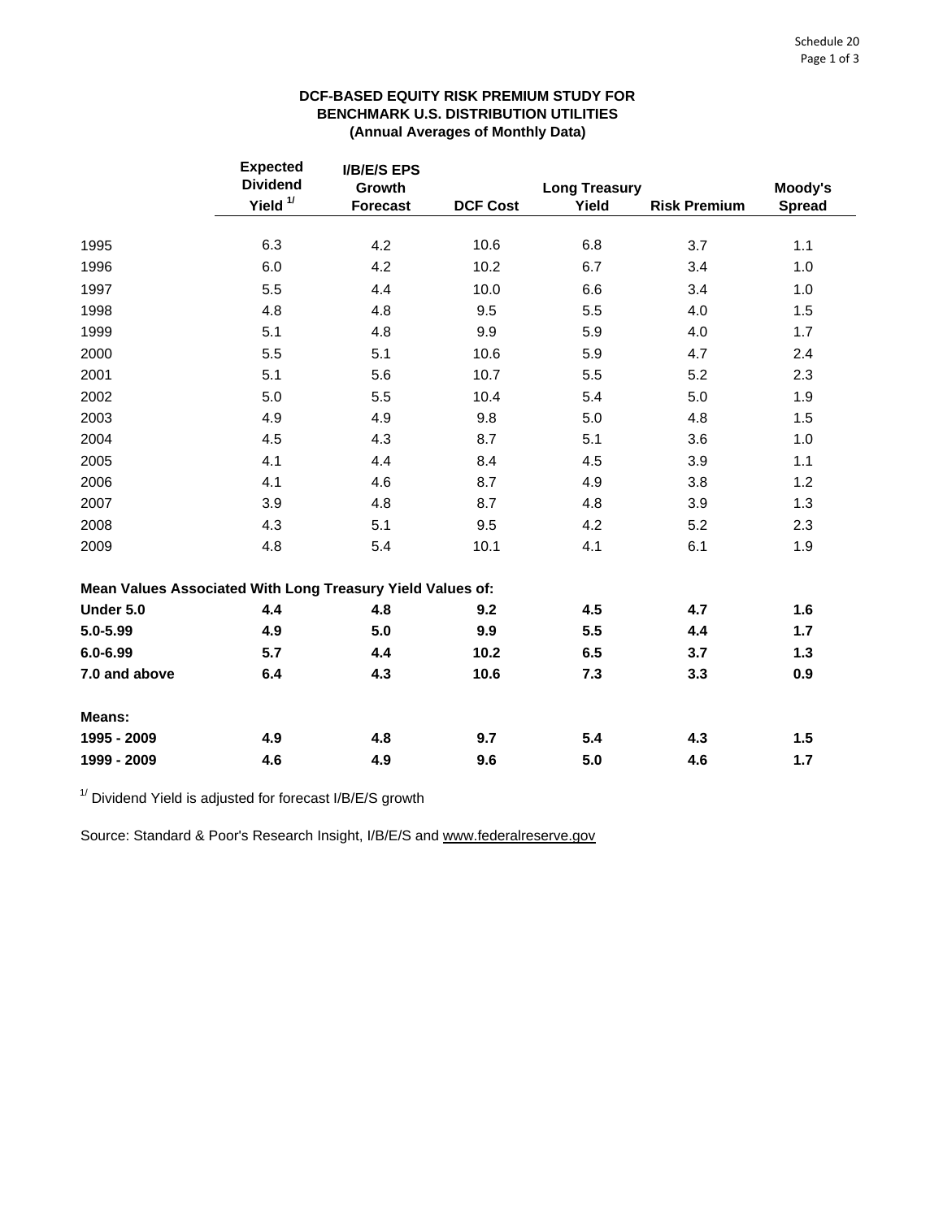# **DCF-BASED EQUITY RISK PREMIUM STUDY FOR BENCHMARK U.S. DISTRIBUTION UTILITIES (Annual Averages of Monthly Data)**

|                                                            | <b>Expected</b><br><b>Dividend</b> | <b>I/B/E/S EPS</b><br>Growth |                 | <b>Long Treasury</b> |                     | Moody's       |
|------------------------------------------------------------|------------------------------------|------------------------------|-----------------|----------------------|---------------------|---------------|
|                                                            | Yield <sup>1/</sup>                | <b>Forecast</b>              | <b>DCF Cost</b> | Yield                | <b>Risk Premium</b> | <b>Spread</b> |
|                                                            |                                    |                              |                 |                      |                     |               |
| 1995                                                       | 6.3                                | 4.2                          | 10.6            | 6.8                  | 3.7                 | 1.1           |
| 1996                                                       | 6.0                                | 4.2                          | 10.2            | 6.7                  | 3.4                 | 1.0           |
| 1997                                                       | 5.5                                | 4.4                          | 10.0            | 6.6                  | 3.4                 | 1.0           |
| 1998                                                       | 4.8                                | 4.8                          | 9.5             | 5.5                  | 4.0                 | 1.5           |
| 1999                                                       | 5.1                                | 4.8                          | 9.9             | 5.9                  | 4.0                 | 1.7           |
| 2000                                                       | 5.5                                | 5.1                          | 10.6            | 5.9                  | 4.7                 | 2.4           |
| 2001                                                       | 5.1                                | 5.6                          | 10.7            | 5.5                  | 5.2                 | 2.3           |
| 2002                                                       | 5.0                                | 5.5                          | 10.4            | 5.4                  | 5.0                 | 1.9           |
| 2003                                                       | 4.9                                | 4.9                          | 9.8             | 5.0                  | 4.8                 | 1.5           |
| 2004                                                       | 4.5                                | 4.3                          | 8.7             | 5.1                  | 3.6                 | 1.0           |
| 2005                                                       | 4.1                                | 4.4                          | 8.4             | 4.5                  | 3.9                 | 1.1           |
| 2006                                                       | 4.1                                | 4.6                          | 8.7             | 4.9                  | 3.8                 | 1.2           |
| 2007                                                       | 3.9                                | 4.8                          | 8.7             | 4.8                  | 3.9                 | 1.3           |
| 2008                                                       | 4.3                                | 5.1                          | 9.5             | 4.2                  | 5.2                 | 2.3           |
| 2009                                                       | 4.8                                | 5.4                          | 10.1            | 4.1                  | 6.1                 | 1.9           |
| Mean Values Associated With Long Treasury Yield Values of: |                                    |                              |                 |                      |                     |               |
| Under 5.0                                                  | 4.4                                | 4.8                          | 9.2             | 4.5                  | 4.7                 | 1.6           |
| 5.0-5.99                                                   | 4.9                                | 5.0                          | 9.9             | 5.5                  | 4.4                 | 1.7           |
| $6.0 - 6.99$                                               | 5.7                                | 4.4                          | 10.2            | 6.5                  | 3.7                 | $1.3$         |
| 7.0 and above                                              | 6.4                                | 4.3                          | 10.6            | 7.3                  | 3.3                 | 0.9           |
| Means:                                                     |                                    |                              |                 |                      |                     |               |
| 1995 - 2009                                                | 4.9                                | 4.8                          | 9.7             | 5.4                  | 4.3                 | 1.5           |
| 1999 - 2009                                                | 4.6                                | 4.9                          | 9.6             | 5.0                  | 4.6                 | $1.7$         |

 $1/$  Dividend Yield is adjusted for forecast I/B/E/S growth

Source: Standard & Poor's Research Insight, I/B/E/S and www.federalreserve.gov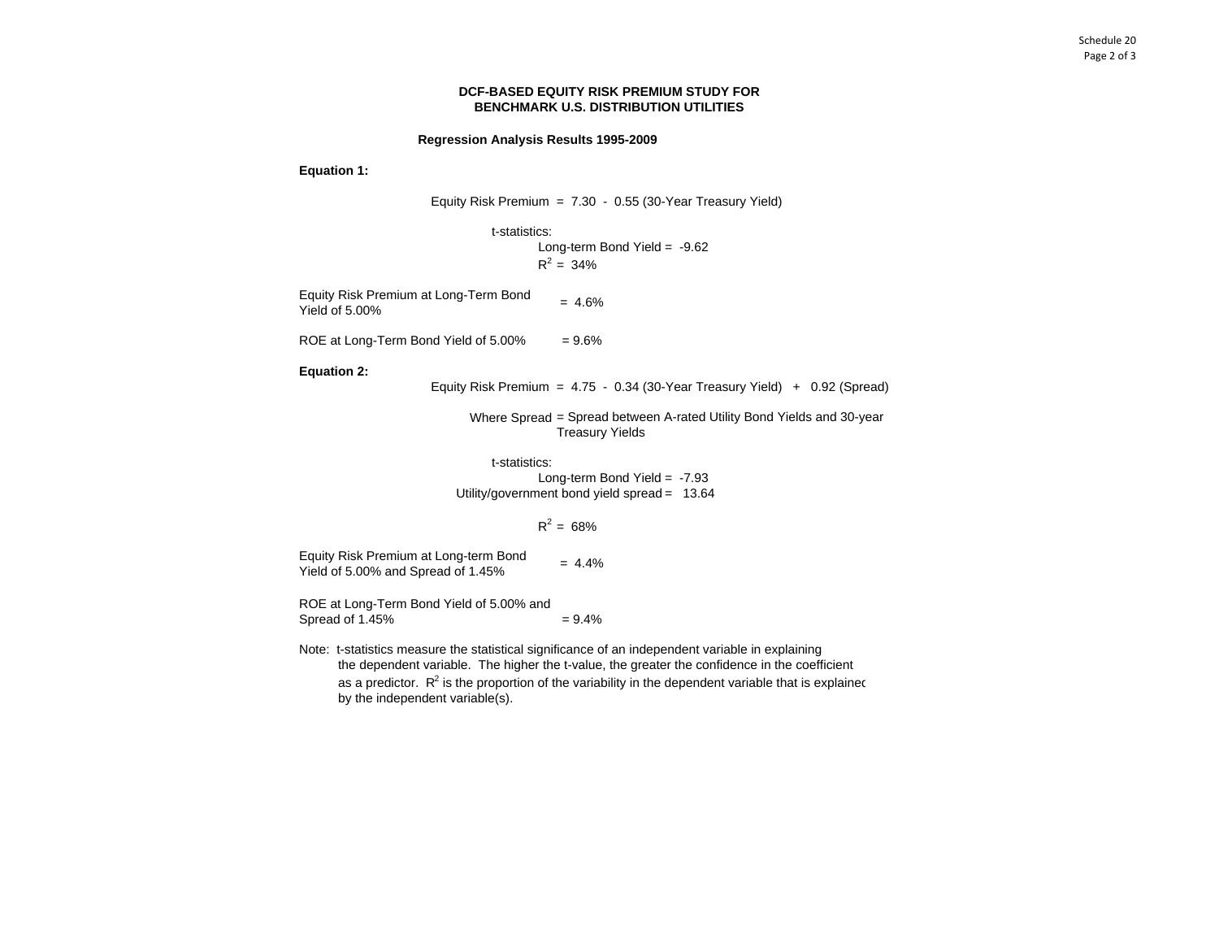### **DCF-BASED EQUITY RISK PREMIUM STUDY FOR BENCHMARK U.S. DISTRIBUTION UTILITIES**

#### **Regression Analysis Results 1995-2009**

**Equation 1:**

Equity Risk Premium = 7.30 - 0.55 (30-Year Treasury Yield)

t-statistics:

Long-term Bond Yield = -9.62  $R^2 = 34\%$ 

Equity Risk Premium at Long-Term Bond = 4.6% Yield of 5.00%

ROE at Long-Term Bond Yield of 5.00% =  $9.6\%$ 

**Equation 2:**

Equity Risk Premium = 4.75 - 0.34 (30-Year Treasury Yield) + 0.92 (Spread)

Where Spread = Spread between A-rated Utility Bond Yields and 30-year Treasury Yields

t-statistics:Long-term Bond Yield = -7.93 Utility/government bond yield spread = 13.64

# $R^2 = 68\%$

Equity Risk Premium at Long-term Bond Equity Kisk Premium at Long-term Bond<br>Yield of 5.00% and Spread of 1.45%  $= 4.4\%$ 

 $= 9.4%$ ROE at Long-Term Bond Yield of 5.00% and Spread of 1.45%

Note: t-statistics measure the statistical significance of an independent variable in explaining the dependent variable. The higher the t-value, the greater the confidence in the coefficient as a predictor.  $R^2$  is the proportion of the variability in the dependent variable that is explained by the independent variable(s).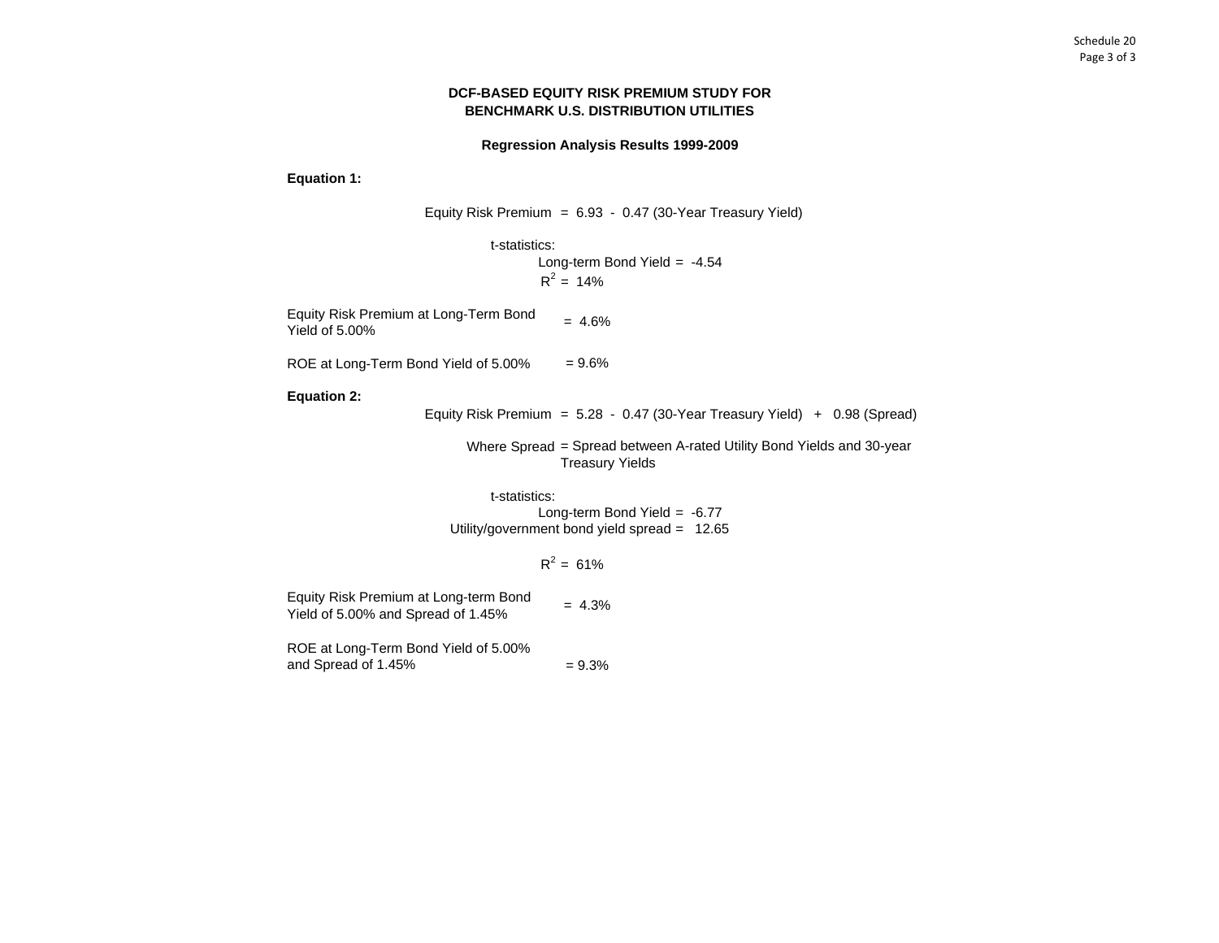# **DCF-BASED EQUITY RISK PREMIUM STUDY FOR BENCHMARK U.S. DISTRIBUTION UTILITIES**

## **Regression Analysis Results 1999-2009**

**Equation 1:**

Equity Risk Premium = 6.93 - 0.47 (30-Year Treasury Yield)

t-statistics: Long-term Bond Yield = -4.54  $R^2 = 14\%$ 

Equity Risk Premium at Long-Term Bond <sub>=</sub> 4.6%<br>Yield of 5.00% Yield of 5.00%

ROE at Long-Term Bond Yield of 5.00% = 9.6%

**Equation 2:**

Equity Risk Premium = 5.28 - 0.47 (30-Year Treasury Yield) + 0.98 (Spread)

Where Spread = Spread between A-rated Utility Bond Yields and 30-year Treasury Yields

t-statistics:Long-term Bond Yield = -6.77 Utility/government bond yield spread = 12.65

 $R^2 = 61\%$ 

 $= 9.3%$ ROE at Long-Term Bond Yield of 5.00% and Spread of 1.45% Equity Risk Premium at Long-term Bond Equity KISK Premium at Long-term bond  $= 4.3\%$ <br>Yield of 5.00% and Spread of 1.45%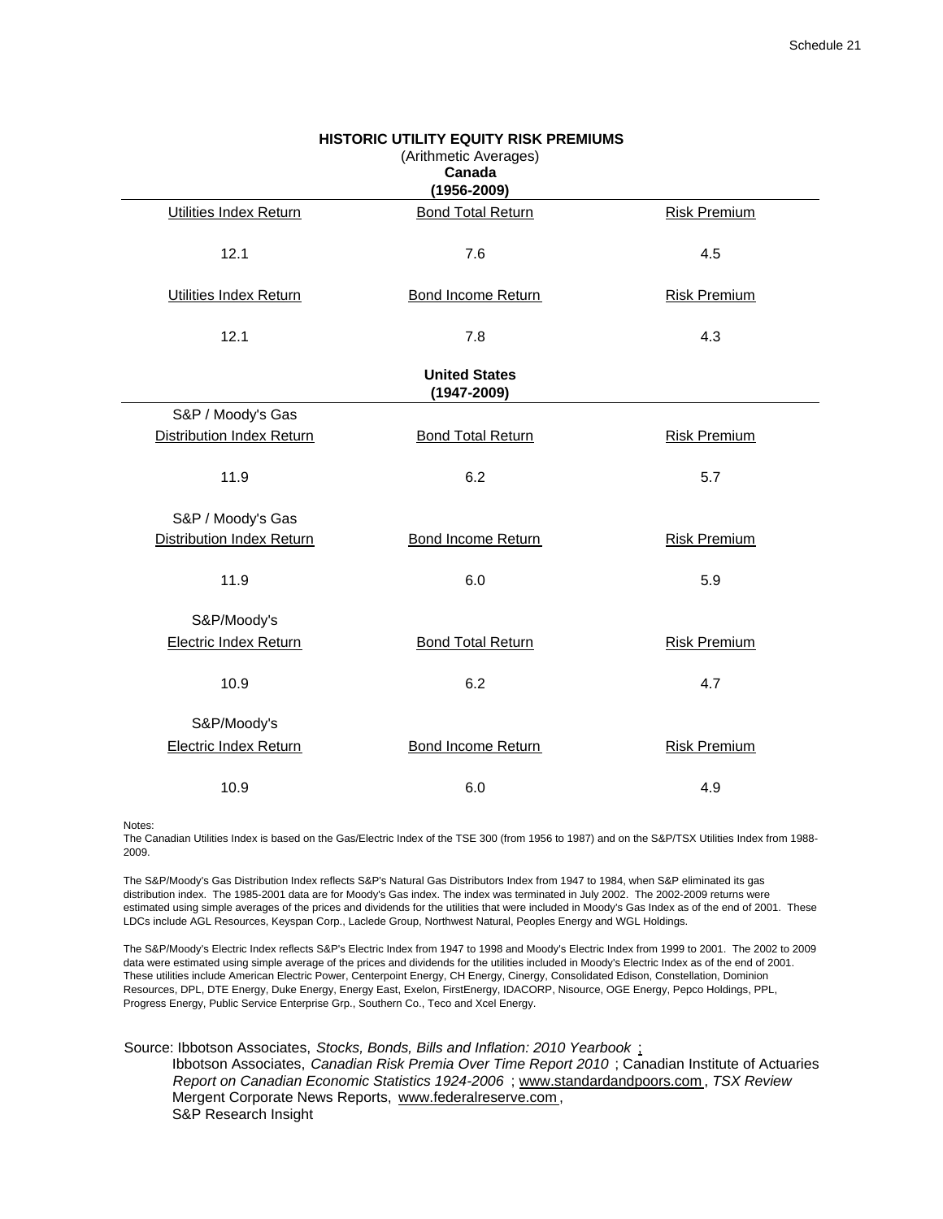| <b>HISTORIC UTILITY EQUITY RISK PREMIUMS</b><br>(Arithmetic Averages)<br>Canada<br>$(1956 - 2009)$ |                                         |                     |  |  |  |  |  |
|----------------------------------------------------------------------------------------------------|-----------------------------------------|---------------------|--|--|--|--|--|
| Utilities Index Return                                                                             | <b>Bond Total Return</b>                | <b>Risk Premium</b> |  |  |  |  |  |
| 12.1                                                                                               | 7.6                                     | 4.5                 |  |  |  |  |  |
| <b>Utilities Index Return</b>                                                                      | <b>Bond Income Return</b>               | <b>Risk Premium</b> |  |  |  |  |  |
| 12.1                                                                                               | 7.8                                     | 4.3                 |  |  |  |  |  |
|                                                                                                    | <b>United States</b><br>$(1947 - 2009)$ |                     |  |  |  |  |  |
| S&P / Moody's Gas                                                                                  |                                         |                     |  |  |  |  |  |
| Distribution Index Return                                                                          | <b>Bond Total Return</b>                | <b>Risk Premium</b> |  |  |  |  |  |
| 11.9                                                                                               | 6.2                                     | 5.7                 |  |  |  |  |  |
| S&P / Moody's Gas                                                                                  |                                         |                     |  |  |  |  |  |
| <b>Distribution Index Return</b>                                                                   | <b>Bond Income Return</b>               | <b>Risk Premium</b> |  |  |  |  |  |
| 11.9                                                                                               | 6.0                                     | 5.9                 |  |  |  |  |  |
| S&P/Moody's                                                                                        |                                         |                     |  |  |  |  |  |
| <b>Electric Index Return</b>                                                                       | <b>Bond Total Return</b>                | <b>Risk Premium</b> |  |  |  |  |  |
| 10.9                                                                                               | 6.2                                     | 4.7                 |  |  |  |  |  |
| S&P/Moody's                                                                                        |                                         |                     |  |  |  |  |  |
| <b>Electric Index Return</b>                                                                       | Bond Income Return                      | <b>Risk Premium</b> |  |  |  |  |  |
| 10.9                                                                                               | 6.0                                     | 4.9                 |  |  |  |  |  |

Notes:

The Canadian Utilities Index is based on the Gas/Electric Index of the TSE 300 (from 1956 to 1987) and on the S&P/TSX Utilities Index from 1988- 2009.

The S&P/Moody's Gas Distribution Index reflects S&P's Natural Gas Distributors Index from 1947 to 1984, when S&P eliminated its gas distribution index. The 1985-2001 data are for Moody's Gas index. The index was terminated in July 2002. The 2002-2009 returns were estimated using simple averages of the prices and dividends for the utilities that were included in Moody's Gas Index as of the end of 2001. These LDCs include AGL Resources, Keyspan Corp., Laclede Group, Northwest Natural, Peoples Energy and WGL Holdings.

The S&P/Moody's Electric Index reflects S&P's Electric Index from 1947 to 1998 and Moody's Electric Index from 1999 to 2001. The 2002 to 2009 data were estimated using simple average of the prices and dividends for the utilities included in Moody's Electric Index as of the end of 2001. These utilities include American Electric Power, Centerpoint Energy, CH Energy, Cinergy, Consolidated Edison, Constellation, Dominion Resources, DPL, DTE Energy, Duke Energy, Energy East, Exelon, FirstEnergy, IDACORP, Nisource, OGE Energy, Pepco Holdings, PPL, Progress Energy, Public Service Enterprise Grp., Southern Co., Teco and Xcel Energy.

Source: Ibbotson Associates, *Stocks, Bonds, Bills and Inflation: 2010 Yearbook* ; Ibbotson Associates, *Canadian Risk Premia Over Time Report 2010* ; Canadian Institute of Actuaries *Report on Canadian Economic Statistics 1924-2006* ; www.standardandpoors.com , *TSX Review* Mergent Corporate News Reports, www.federalreserve.com , S&P Research Insight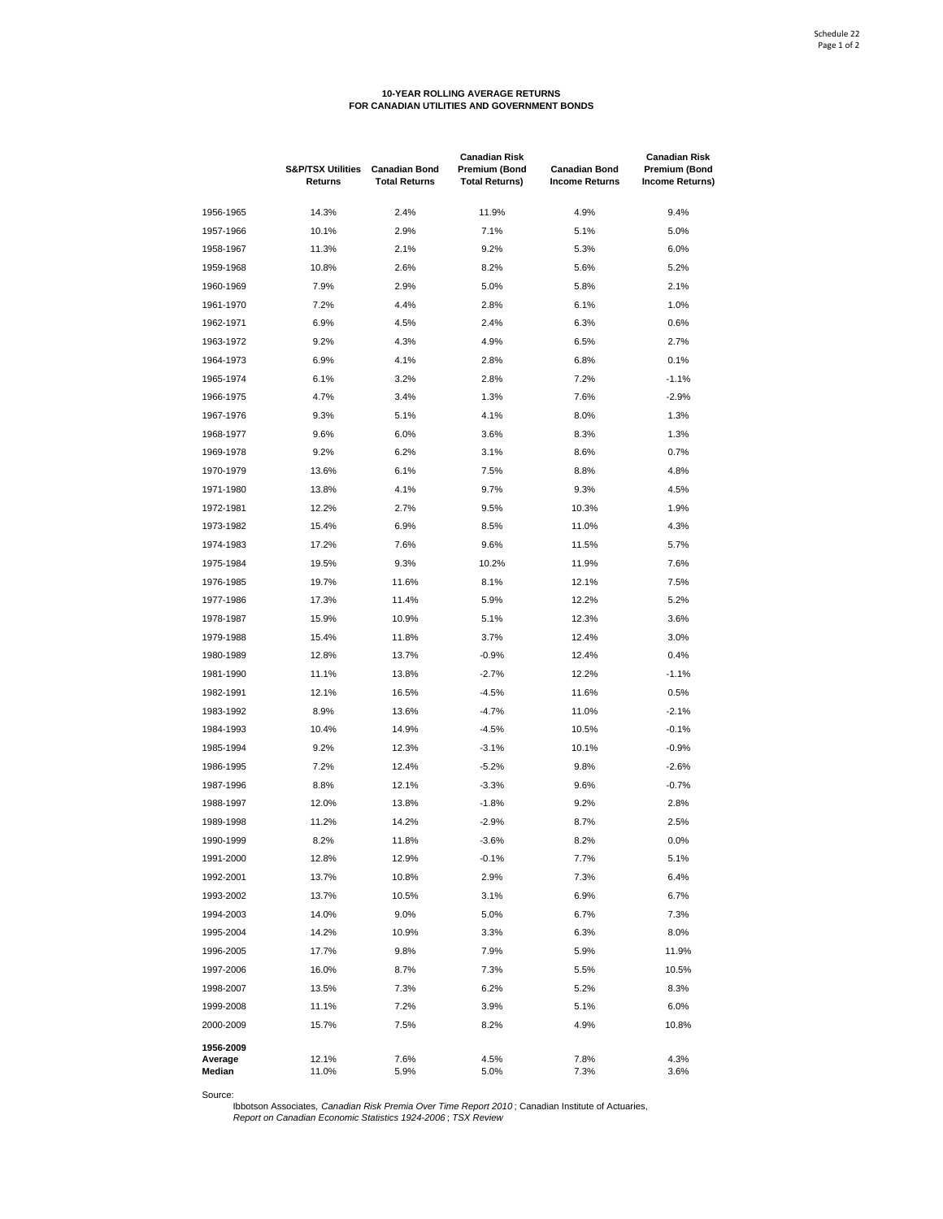# **10-YEAR ROLLING AVERAGE RETURNS FOR CANADIAN UTILITIES AND GOVERNMENT BONDS**

|                   | <b>S&amp;P/TSX Utilities</b><br>Returns | <b>Canadian Bond</b><br><b>Total Returns</b> | <b>Canadian Risk</b><br><b>Premium (Bond</b><br><b>Total Returns)</b> | <b>Canadian Bond</b><br><b>Income Returns</b> | <b>Canadian Risk</b><br>Premium (Bond<br>Income Returns) |
|-------------------|-----------------------------------------|----------------------------------------------|-----------------------------------------------------------------------|-----------------------------------------------|----------------------------------------------------------|
| 1956-1965         | 14.3%                                   | 2.4%                                         | 11.9%                                                                 | 4.9%                                          | 9.4%                                                     |
| 1957-1966         | 10.1%                                   | 2.9%                                         | 7.1%                                                                  | 5.1%                                          | 5.0%                                                     |
| 1958-1967         | 11.3%                                   | 2.1%                                         | 9.2%                                                                  | 5.3%                                          | 6.0%                                                     |
| 1959-1968         | 10.8%                                   | 2.6%                                         | 8.2%                                                                  | 5.6%                                          | 5.2%                                                     |
| 1960-1969         | 7.9%                                    | 2.9%                                         | 5.0%                                                                  | 5.8%                                          | 2.1%                                                     |
| 1961-1970         | 7.2%                                    | 4.4%                                         | 2.8%                                                                  | 6.1%                                          | 1.0%                                                     |
| 1962-1971         | 6.9%                                    | 4.5%                                         | 2.4%                                                                  | 6.3%                                          | 0.6%                                                     |
| 1963-1972         | 9.2%                                    | 4.3%                                         | 4.9%                                                                  | 6.5%                                          | 2.7%                                                     |
| 1964-1973         | 6.9%                                    | 4.1%                                         | 2.8%                                                                  | 6.8%                                          | 0.1%                                                     |
| 1965-1974         | 6.1%                                    | 3.2%                                         | 2.8%                                                                  | 7.2%                                          | $-1.1%$                                                  |
| 1966-1975         | 4.7%                                    | 3.4%                                         | 1.3%                                                                  | 7.6%                                          | $-2.9%$                                                  |
| 1967-1976         | 9.3%                                    | 5.1%                                         | 4.1%                                                                  | 8.0%                                          | 1.3%                                                     |
| 1968-1977         | 9.6%                                    | 6.0%                                         | 3.6%                                                                  | 8.3%                                          | 1.3%                                                     |
| 1969-1978         | 9.2%                                    | 6.2%                                         | 3.1%                                                                  | 8.6%                                          | 0.7%                                                     |
| 1970-1979         | 13.6%                                   | 6.1%                                         | 7.5%                                                                  | 8.8%                                          | 4.8%                                                     |
| 1971-1980         | 13.8%                                   | 4.1%                                         | 9.7%                                                                  | 9.3%                                          | 4.5%                                                     |
| 1972-1981         | 12.2%                                   | 2.7%                                         | 9.5%                                                                  | 10.3%                                         | 1.9%                                                     |
| 1973-1982         | 15.4%                                   | 6.9%                                         | 8.5%                                                                  | 11.0%                                         | 4.3%                                                     |
| 1974-1983         | 17.2%                                   | 7.6%                                         | 9.6%                                                                  | 11.5%                                         | 5.7%                                                     |
| 1975-1984         |                                         | 9.3%                                         | 10.2%                                                                 | 11.9%                                         | 7.6%                                                     |
|                   | 19.5%                                   | 11.6%                                        |                                                                       | 12.1%                                         |                                                          |
| 1976-1985         | 19.7%                                   |                                              | 8.1%                                                                  |                                               | 7.5%<br>5.2%                                             |
| 1977-1986         | 17.3%                                   | 11.4%                                        | 5.9%                                                                  | 12.2%                                         |                                                          |
| 1978-1987         | 15.9%                                   | 10.9%                                        | 5.1%                                                                  | 12.3%                                         | 3.6%                                                     |
| 1979-1988         | 15.4%                                   | 11.8%                                        | 3.7%                                                                  | 12.4%                                         | 3.0%                                                     |
| 1980-1989         | 12.8%                                   | 13.7%                                        | $-0.9%$                                                               | 12.4%                                         | 0.4%                                                     |
| 1981-1990         | 11.1%                                   | 13.8%                                        | $-2.7%$                                                               | 12.2%                                         | $-1.1%$                                                  |
| 1982-1991         | 12.1%                                   | 16.5%                                        | $-4.5%$                                                               | 11.6%                                         | 0.5%                                                     |
| 1983-1992         | 8.9%                                    | 13.6%                                        | $-4.7%$                                                               | 11.0%                                         | $-2.1%$                                                  |
| 1984-1993         | 10.4%                                   | 14.9%                                        | $-4.5%$                                                               | 10.5%                                         | $-0.1%$                                                  |
| 1985-1994         | 9.2%                                    | 12.3%                                        | $-3.1%$                                                               | 10.1%                                         | $-0.9%$                                                  |
| 1986-1995         | 7.2%                                    | 12.4%                                        | $-5.2%$                                                               | 9.8%                                          | $-2.6%$                                                  |
| 1987-1996         | 8.8%                                    | 12.1%                                        | $-3.3%$                                                               | 9.6%                                          | $-0.7%$                                                  |
| 1988-1997         | 12.0%                                   | 13.8%                                        | $-1.8%$                                                               | 9.2%                                          | 2.8%                                                     |
| 1989-1998         | 11.2%                                   | 14.2%                                        | $-2.9%$                                                               | 8.7%                                          | 2.5%                                                     |
| 1990-1999         | 8.2%                                    | 11.8%                                        | $-3.6%$                                                               | 8.2%                                          | 0.0%                                                     |
| 1991-2000         | 12.8%                                   | 12.9%                                        | $-0.1%$                                                               | 7.7%                                          | 5.1%                                                     |
| 1992-2001         | 13.7%                                   | 10.8%                                        | 2.9%                                                                  | 7.3%                                          | 6.4%                                                     |
| 1993-2002         | 13.7%                                   | 10.5%                                        | 3.1%                                                                  | 6.9%                                          | 6.7%                                                     |
| 1994-2003         | 14.0%                                   | 9.0%                                         | 5.0%                                                                  | 6.7%                                          | 7.3%                                                     |
| 1995-2004         | 14.2%                                   | 10.9%                                        | 3.3%                                                                  | 6.3%                                          | 8.0%                                                     |
| 1996-2005         | 17.7%                                   | 9.8%                                         | 7.9%                                                                  | 5.9%                                          | 11.9%                                                    |
| 1997-2006         | 16.0%                                   | 8.7%                                         | 7.3%                                                                  | 5.5%                                          | 10.5%                                                    |
| 1998-2007         | 13.5%                                   | 7.3%                                         | 6.2%                                                                  | 5.2%                                          | 8.3%                                                     |
| 1999-2008         | 11.1%                                   | 7.2%                                         | 3.9%                                                                  | 5.1%                                          | 6.0%                                                     |
| 2000-2009         | 15.7%                                   | 7.5%                                         | 8.2%                                                                  | 4.9%                                          | 10.8%                                                    |
| 1956-2009         |                                         |                                              |                                                                       |                                               |                                                          |
| Average<br>Median | 12.1%<br>11.0%                          | 7.6%<br>5.9%                                 | 4.5%<br>5.0%                                                          | 7.8%<br>7.3%                                  | 4.3%<br>3.6%                                             |

Source: Ibbotson Associates, *Canadian Risk Premia Over Time Report 2010* ; Canadian Institute of Actuaries, *Report on Canadian Economic Statistics 1924-2006* ; *TSX Review*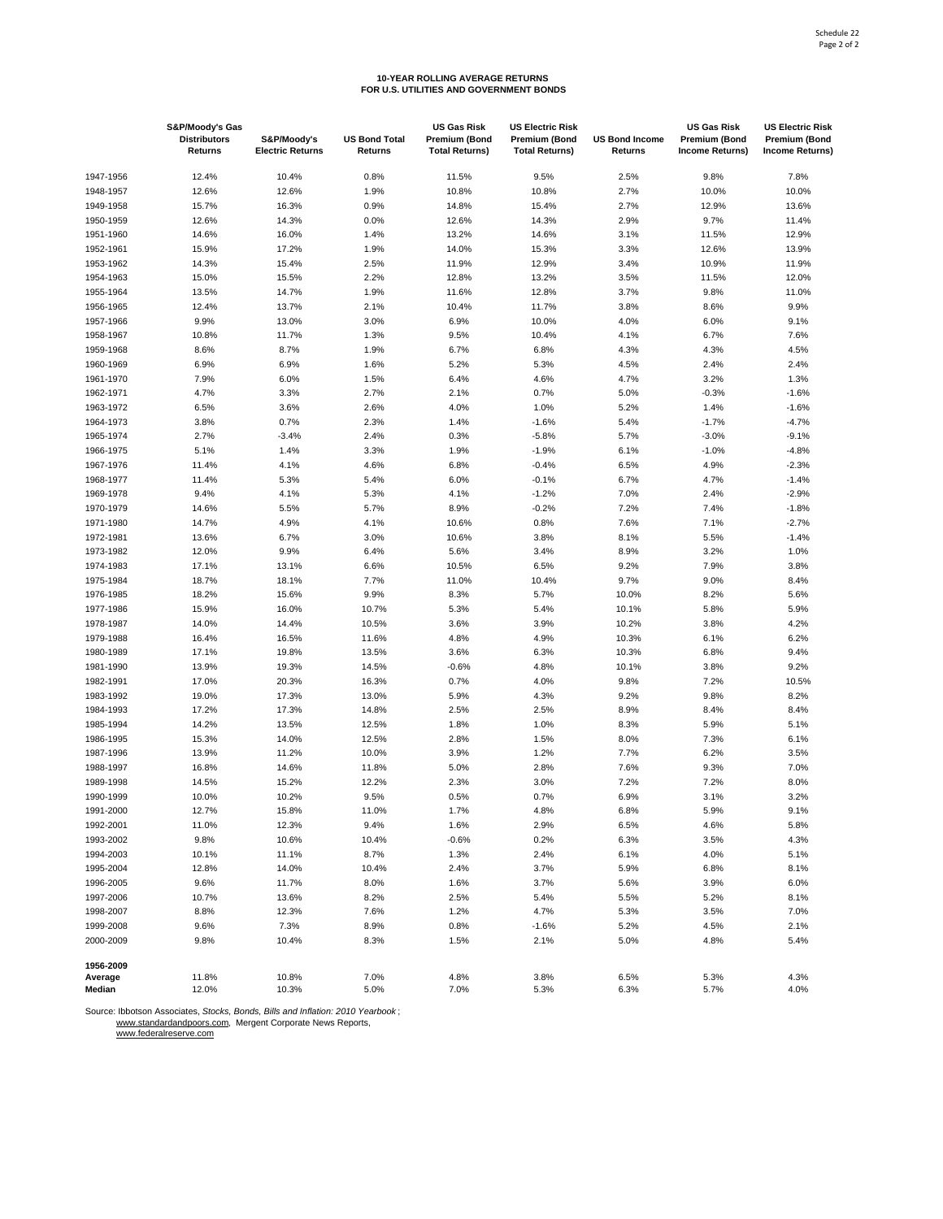# **10-YEAR ROLLING AVERAGE RETURNS FOR U.S. UTILITIES AND GOVERNMENT BONDS**

|                      | S&P/Moody's Gas<br><b>Distributors</b> | S&P/Moody's             | <b>US Bond Total</b> | <b>US Gas Risk</b><br>Premium (Bond | <b>US Electric Risk</b><br><b>Premium (Bond</b> | <b>US Bond Income</b> | US Gas Risk<br><b>Premium (Bond</b> | <b>US Electric Risk</b><br>Premium (Bond |
|----------------------|----------------------------------------|-------------------------|----------------------|-------------------------------------|-------------------------------------------------|-----------------------|-------------------------------------|------------------------------------------|
|                      | Returns                                | <b>Electric Returns</b> | Returns              | <b>Total Returns)</b>               | <b>Total Returns)</b>                           | Returns               | <b>Income Returns)</b>              | <b>Income Returns)</b>                   |
| 1947-1956            | 12.4%                                  | 10.4%                   | 0.8%                 | 11.5%                               | 9.5%                                            | 2.5%                  | 9.8%                                | 7.8%                                     |
| 1948-1957            | 12.6%                                  | 12.6%                   | 1.9%                 | 10.8%                               | 10.8%                                           | 2.7%                  | 10.0%                               | 10.0%                                    |
| 1949-1958            | 15.7%                                  | 16.3%                   | 0.9%                 | 14.8%                               | 15.4%                                           | 2.7%                  | 12.9%                               | 13.6%                                    |
| 1950-1959            | 12.6%                                  | 14.3%                   | 0.0%                 | 12.6%                               | 14.3%                                           | 2.9%                  | 9.7%                                | 11.4%                                    |
| 1951-1960            | 14.6%                                  | 16.0%                   | 1.4%                 | 13.2%                               | 14.6%                                           | 3.1%                  | 11.5%                               | 12.9%                                    |
| 1952-1961            | 15.9%                                  | 17.2%                   | 1.9%                 | 14.0%                               | 15.3%                                           | 3.3%                  | 12.6%                               | 13.9%                                    |
| 1953-1962            | 14.3%                                  | 15.4%                   | 2.5%                 | 11.9%                               | 12.9%                                           | 3.4%                  | 10.9%                               | 11.9%                                    |
| 1954-1963            | 15.0%                                  | 15.5%                   | 2.2%                 | 12.8%                               | 13.2%                                           | 3.5%                  | 11.5%                               | 12.0%                                    |
| 1955-1964            | 13.5%                                  | 14.7%                   | 1.9%                 | 11.6%                               | 12.8%                                           | 3.7%                  | 9.8%                                | 11.0%                                    |
| 1956-1965            | 12.4%                                  | 13.7%                   | 2.1%                 | 10.4%                               | 11.7%                                           | 3.8%                  | 8.6%                                | 9.9%                                     |
| 1957-1966            | 9.9%                                   | 13.0%                   | 3.0%                 | 6.9%                                | 10.0%                                           | 4.0%                  | 6.0%                                | 9.1%                                     |
| 1958-1967            | 10.8%                                  | 11.7%                   | 1.3%                 | 9.5%                                | 10.4%                                           | 4.1%                  | 6.7%                                | 7.6%                                     |
| 1959-1968            | 8.6%                                   | 8.7%                    | 1.9%                 | 6.7%                                | 6.8%                                            | 4.3%                  | 4.3%                                | 4.5%                                     |
| 1960-1969            | 6.9%                                   | 6.9%                    | 1.6%                 | 5.2%                                | 5.3%                                            | 4.5%                  | 2.4%                                | 2.4%                                     |
| 1961-1970            | 7.9%                                   | 6.0%                    | 1.5%                 | 6.4%                                | 4.6%                                            | 4.7%                  | 3.2%                                | 1.3%                                     |
| 1962-1971            | 4.7%                                   | 3.3%                    | 2.7%                 | 2.1%                                | 0.7%                                            | 5.0%                  | $-0.3%$                             | $-1.6%$                                  |
| 1963-1972            | 6.5%                                   | 3.6%                    | 2.6%                 | 4.0%                                | 1.0%                                            | 5.2%                  | 1.4%                                | $-1.6%$                                  |
| 1964-1973            | 3.8%                                   | 0.7%                    | 2.3%                 | 1.4%                                | $-1.6%$                                         | 5.4%                  | $-1.7%$                             | $-4.7%$                                  |
| 1965-1974            | 2.7%                                   | $-3.4%$                 | 2.4%                 | 0.3%                                | $-5.8%$                                         | 5.7%                  | $-3.0%$                             | $-9.1%$                                  |
| 1966-1975            | 5.1%                                   | 1.4%                    | 3.3%                 | 1.9%                                | $-1.9%$                                         | 6.1%                  | $-1.0%$                             | $-4.8%$                                  |
| 1967-1976            | 11.4%                                  | 4.1%                    | 4.6%                 | 6.8%                                | $-0.4%$                                         | 6.5%                  | 4.9%                                | $-2.3%$                                  |
| 1968-1977            | 11.4%                                  | 5.3%                    | 5.4%                 | 6.0%                                | $-0.1%$                                         | 6.7%                  | 4.7%                                | $-1.4%$                                  |
| 1969-1978            | 9.4%                                   | 4.1%                    | 5.3%                 | 4.1%                                | $-1.2%$                                         | 7.0%                  | 2.4%                                | $-2.9%$                                  |
| 1970-1979            | 14.6%                                  | 5.5%                    | 5.7%                 | 8.9%                                | $-0.2%$                                         | 7.2%                  | 7.4%                                | $-1.8%$                                  |
| 1971-1980            | 14.7%                                  | 4.9%                    | 4.1%                 | 10.6%                               | 0.8%                                            | 7.6%                  | 7.1%                                | $-2.7%$                                  |
| 1972-1981            | 13.6%                                  | 6.7%                    | 3.0%                 | 10.6%                               | 3.8%                                            | 8.1%                  | 5.5%                                | $-1.4%$                                  |
| 1973-1982            | 12.0%                                  | 9.9%                    | 6.4%                 | 5.6%                                | 3.4%                                            | 8.9%                  | 3.2%                                | 1.0%                                     |
| 1974-1983            | 17.1%                                  | 13.1%                   | 6.6%                 | 10.5%                               | 6.5%                                            | 9.2%                  | 7.9%                                | 3.8%                                     |
| 1975-1984            | 18.7%                                  | 18.1%                   | 7.7%                 | 11.0%                               | 10.4%                                           | 9.7%                  | 9.0%                                | 8.4%                                     |
| 1976-1985            | 18.2%                                  | 15.6%                   | 9.9%                 | 8.3%                                | 5.7%                                            | 10.0%                 | 8.2%                                | 5.6%                                     |
| 1977-1986            | 15.9%                                  | 16.0%                   | 10.7%                | 5.3%                                | 5.4%                                            | 10.1%                 | 5.8%                                | 5.9%                                     |
| 1978-1987            | 14.0%                                  | 14.4%                   | 10.5%                | 3.6%                                | 3.9%                                            | 10.2%                 | 3.8%                                | 4.2%                                     |
| 1979-1988            | 16.4%                                  | 16.5%                   | 11.6%                | 4.8%                                | 4.9%                                            | 10.3%                 | 6.1%                                | 6.2%                                     |
| 1980-1989            | 17.1%                                  | 19.8%                   | 13.5%                | 3.6%                                | 6.3%                                            | 10.3%                 | 6.8%                                | 9.4%                                     |
| 1981-1990            | 13.9%                                  | 19.3%                   | 14.5%                | $-0.6%$                             | 4.8%                                            | 10.1%                 | 3.8%                                | 9.2%                                     |
| 1982-1991            | 17.0%                                  | 20.3%                   | 16.3%                | 0.7%                                | 4.0%                                            | 9.8%                  | 7.2%                                | 10.5%                                    |
| 1983-1992            | 19.0%                                  | 17.3%                   | 13.0%                | 5.9%                                | 4.3%                                            | 9.2%                  | 9.8%                                | 8.2%                                     |
| 1984-1993            | 17.2%                                  | 17.3%                   | 14.8%                | 2.5%                                | 2.5%                                            | 8.9%                  | 8.4%                                | 8.4%                                     |
| 1985-1994            | 14.2%                                  | 13.5%                   | 12.5%                | 1.8%                                | 1.0%                                            | 8.3%                  | 5.9%                                | 5.1%                                     |
| 1986-1995            | 15.3%                                  | 14.0%                   | 12.5%                | 2.8%                                | 1.5%                                            | 8.0%                  | 7.3%                                | 6.1%                                     |
| 1987-1996            | 13.9%                                  | 11.2%                   | 10.0%                | 3.9%                                | 1.2%                                            | 7.7%                  | 6.2%                                | 3.5%                                     |
| 1988-1997            | 16.8%                                  | 14.6%                   | 11.8%                | 5.0%                                | 2.8%                                            | 7.6%                  | 9.3%                                | 7.0%                                     |
| 1989-1998            | 14.5%                                  | 15.2%                   | 12.2%                | 2.3%                                | 3.0%                                            | 7.2%                  | 7.2%                                | 8.0%                                     |
| 1990-1999            | 10.0%                                  | 10.2%                   | 9.5%                 | 0.5%                                | 0.7%                                            | 6.9%                  | 3.1%                                | 3.2%                                     |
| 1991-2000            | 12.7%                                  | 15.8%                   | 11.0%                | 1.7%                                | 4.8%                                            | 6.8%                  | 5.9%                                | 9.1%                                     |
| 1992-2001            | 11.0%                                  | 12.3%                   | 9.4%                 | 1.6%                                | 2.9%                                            | 6.5%                  | 4.6%                                | 5.8%                                     |
| 1993-2002            | 9.8%                                   | 10.6%                   | 10.4%                | $-0.6%$                             | 0.2%                                            | 6.3%                  | 3.5%                                | 4.3%                                     |
| 1994-2003            | 10.1%                                  | 11.1%                   | 8.7%                 | 1.3%                                | 2.4%                                            | 6.1%                  | 4.0%                                | 5.1%                                     |
| 1995-2004            | 12.8%                                  | 14.0%                   | 10.4%                | 2.4%                                | 3.7%                                            | 5.9%                  | 6.8%                                | 8.1%                                     |
| 1996-2005            | 9.6%                                   | 11.7%                   | 8.0%                 | 1.6%                                | 3.7%                                            | 5.6%                  | 3.9%                                | 6.0%                                     |
| 1997-2006            | 10.7%                                  | 13.6%                   | 8.2%                 | 2.5%                                | 5.4%                                            | 5.5%                  | 5.2%                                | 8.1%                                     |
| 1998-2007            | 8.8%                                   | 12.3%                   | 7.6%                 | 1.2%                                | 4.7%                                            | 5.3%                  | 3.5%                                | 7.0%                                     |
| 1999-2008            | 9.6%                                   | 7.3%                    | 8.9%                 | 0.8%                                | $-1.6%$                                         | 5.2%                  | 4.5%                                | 2.1%                                     |
| 2000-2009            | 9.8%                                   | 10.4%                   | 8.3%                 | 1.5%                                | 2.1%                                            | 5.0%                  | 4.8%                                | 5.4%                                     |
|                      |                                        |                         |                      |                                     |                                                 |                       |                                     |                                          |
| 1956-2009<br>Average | 11.8%                                  | 10.8%                   | 7.0%                 | 4.8%                                | 3.8%                                            | 6.5%                  | 5.3%                                | 4.3%                                     |
| Median               | 12.0%                                  | 10.3%                   | 5.0%                 | 7.0%                                | 5.3%                                            | 6.3%                  | 5.7%                                | 4.0%                                     |

Source: Ibbotson Associates, *Stocks, Bonds, Bills and Inflation: 2010 Yearbook*;<br>www.standardandpoors.com, Mergent Corporate News Reports,<br><u>www.federalreserve.com</u>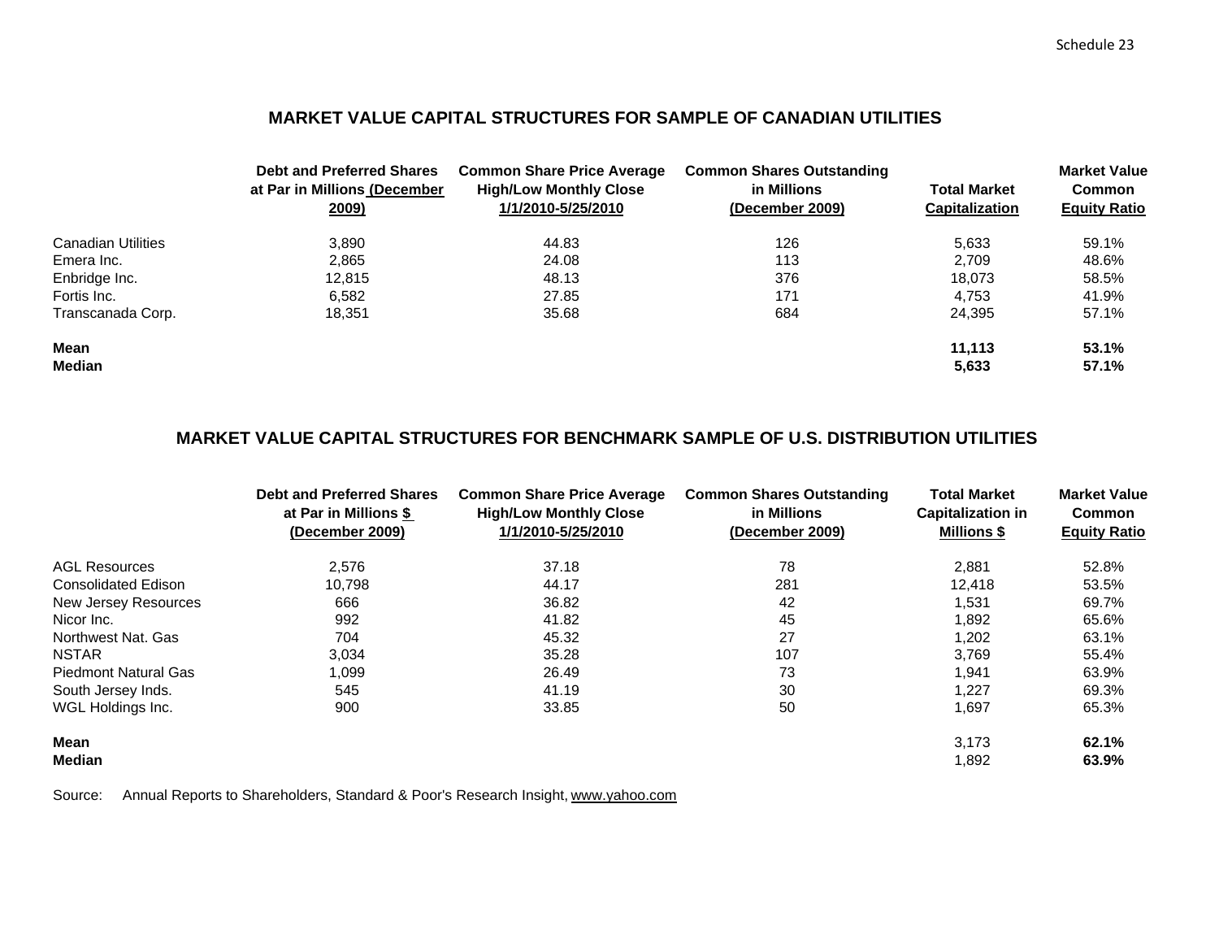# **MARKET VALUE CAPITAL STRUCTURES FOR SAMPLE OF CANADIAN UTILITIES**

|                           | <b>Debt and Preferred Shares</b><br>at Par in Millions (December<br>2009) | <b>Common Share Price Average</b><br><b>High/Low Monthly Close</b><br>1/1/2010-5/25/2010 | <b>Common Shares Outstanding</b><br>in Millions<br>(December 2009) | <b>Total Market</b><br><b>Capitalization</b> | <b>Market Value</b><br>Common<br><b>Equity Ratio</b> |
|---------------------------|---------------------------------------------------------------------------|------------------------------------------------------------------------------------------|--------------------------------------------------------------------|----------------------------------------------|------------------------------------------------------|
| <b>Canadian Utilities</b> | 3.890                                                                     | 44.83                                                                                    | 126                                                                | 5.633                                        | 59.1%                                                |
| Emera Inc.                | 2.865                                                                     | 24.08                                                                                    | 113                                                                | 2.709                                        | 48.6%                                                |
| Enbridge Inc.             | 12.815                                                                    | 48.13                                                                                    | 376                                                                | 18.073                                       | 58.5%                                                |
| Fortis Inc.               | 6,582                                                                     | 27.85                                                                                    | 171                                                                | 4.753                                        | 41.9%                                                |
| Transcanada Corp.         | 18.351                                                                    | 35.68                                                                                    | 684                                                                | 24,395                                       | 57.1%                                                |
| <b>Mean</b>               |                                                                           |                                                                                          |                                                                    | 11.113                                       | 53.1%                                                |
| <b>Median</b>             |                                                                           |                                                                                          |                                                                    | 5,633                                        | 57.1%                                                |

# **MARKET VALUE CAPITAL STRUCTURES FOR BENCHMARK SAMPLE OF U.S. DISTRIBUTION UTILITIES**

|                             | <b>Debt and Preferred Shares</b><br>at Par in Millions \$<br>(December 2009) | <b>Common Share Price Average</b><br><b>High/Low Monthly Close</b><br>1/1/2010-5/25/2010 | <b>Common Shares Outstanding</b><br>in Millions<br>(December 2009) | <b>Total Market</b><br><b>Capitalization in</b><br><b>Millions \$</b> | <b>Market Value</b><br><b>Common</b><br><b>Equity Ratio</b> |
|-----------------------------|------------------------------------------------------------------------------|------------------------------------------------------------------------------------------|--------------------------------------------------------------------|-----------------------------------------------------------------------|-------------------------------------------------------------|
| <b>AGL Resources</b>        | 2.576                                                                        | 37.18                                                                                    | 78                                                                 | 2,881                                                                 | 52.8%                                                       |
| <b>Consolidated Edison</b>  | 10.798                                                                       | 44.17                                                                                    | 281                                                                | 12,418                                                                | 53.5%                                                       |
| New Jersey Resources        | 666                                                                          | 36.82                                                                                    | 42                                                                 | 1,531                                                                 | 69.7%                                                       |
| Nicor Inc.                  | 992                                                                          | 41.82                                                                                    | 45                                                                 | 1,892                                                                 | 65.6%                                                       |
| Northwest Nat. Gas          | 704                                                                          | 45.32                                                                                    | 27                                                                 | 1,202                                                                 | 63.1%                                                       |
| <b>NSTAR</b>                | 3,034                                                                        | 35.28                                                                                    | 107                                                                | 3,769                                                                 | 55.4%                                                       |
| <b>Piedmont Natural Gas</b> | 1,099                                                                        | 26.49                                                                                    | 73                                                                 | 1.941                                                                 | 63.9%                                                       |
| South Jersey Inds.          | 545                                                                          | 41.19                                                                                    | 30                                                                 | 1,227                                                                 | 69.3%                                                       |
| WGL Holdings Inc.           | 900                                                                          | 33.85                                                                                    | 50                                                                 | 1,697                                                                 | 65.3%                                                       |
| <b>Mean</b>                 |                                                                              |                                                                                          |                                                                    | 3,173                                                                 | 62.1%                                                       |
| Median                      |                                                                              |                                                                                          |                                                                    | 1,892                                                                 | 63.9%                                                       |

Source: Annual Reports to Shareholders, Standard & Poor's Research Insight, www.yahoo.com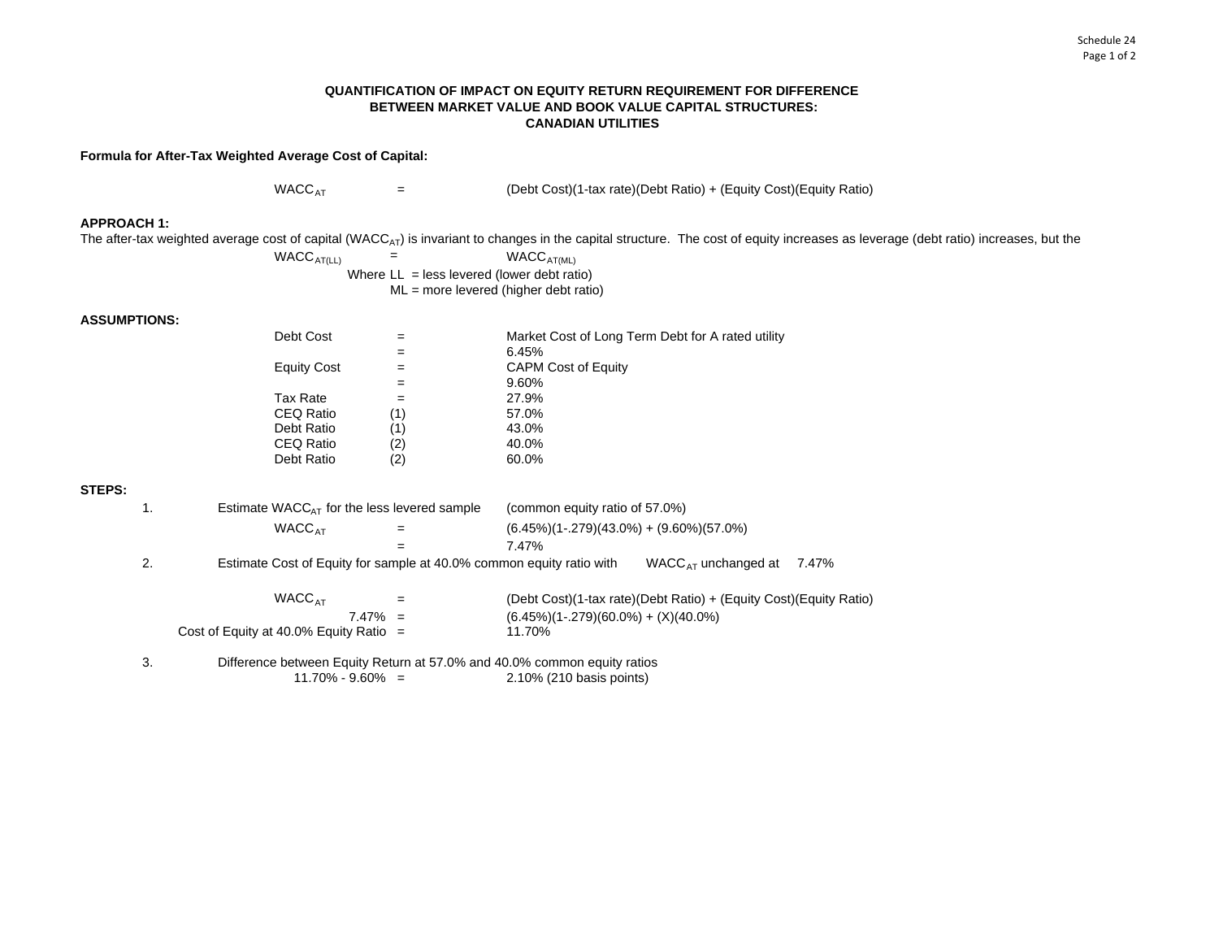## **QUANTIFICATION OF IMPACT ON EQUITY RETURN REQUIREMENT FOR DIFFERENCE BETWEEN MARKET VALUE AND BOOK VALUE CAPITAL STRUCTURES: CANADIAN UTILITIES**

**Formula for After-Tax Weighted Average Cost of Capital:**

 $WACC_{AT}$  = (Debt Cost)(1-tax rate)(Debt Ratio) + (Equity Cost)(Equity Ratio)

**APPROACH 1:**

The after-tax weighted average cost of capital (WACC<sub>AT</sub>) is invariant to changes in the capital structure. The cost of equity increases as leverage (debt ratio) increases, but the

 $WACC_{AT(LL)}$  = WACC<sub>AT(ML)</sub> Where  $LL =$  less levered (lower debt ratio) ML = more levered (higher debt ratio)

## **ASSUMPTIONS:**

| Debt Cost          |     | Market Cost of Long Term Debt for A rated utility |
|--------------------|-----|---------------------------------------------------|
|                    |     | 6.45%                                             |
| <b>Equity Cost</b> |     | <b>CAPM Cost of Equity</b>                        |
|                    |     | 9.60%                                             |
| Tax Rate           |     | 27.9%                                             |
| <b>CEQ Ratio</b>   | (1) | 57.0%                                             |
| Debt Ratio         | (1) | 43.0%                                             |
| CEQ Ratio          | (2) | 40.0%                                             |
| Debt Ratio         | (2) | 60.0%                                             |
|                    |     |                                                   |

## **STEPS:**

| 1. | Estimate $WACC_{AT}$ for the less levered sample                         |     | (common equity ratio of 57.0%)<br>$(6.45\%)(1-.279)(43.0\%) + (9.60\%)(57.0\%)$ |                                                                   |       |  |  |  |  |
|----|--------------------------------------------------------------------------|-----|---------------------------------------------------------------------------------|-------------------------------------------------------------------|-------|--|--|--|--|
|    | WACC <sub>AT</sub>                                                       | =   |                                                                                 |                                                                   |       |  |  |  |  |
|    |                                                                          |     | 7.47%                                                                           |                                                                   |       |  |  |  |  |
| 2. | Estimate Cost of Equity for sample at 40.0% common equity ratio with     |     |                                                                                 | WACC $_{\text{AT}}$ unchanged at                                  | 7.47% |  |  |  |  |
|    | WACC <sub>AT</sub>                                                       | $=$ |                                                                                 | (Debt Cost)(1-tax rate)(Debt Ratio) + (Equity Cost)(Equity Ratio) |       |  |  |  |  |
|    | $7.47\% =$                                                               |     | $(6.45\%)$ (1-.279)(60.0%) + (X)(40.0%)                                         |                                                                   |       |  |  |  |  |
|    | Cost of Equity at 40.0% Equity Ratio $=$                                 |     | 11.70%                                                                          |                                                                   |       |  |  |  |  |
| 3. | Difference between Equity Return at 57.0% and 40.0% common equity ratios |     |                                                                                 |                                                                   |       |  |  |  |  |
|    | $11.70\% - 9.60\% =$                                                     |     | 2.10% (210 basis points)                                                        |                                                                   |       |  |  |  |  |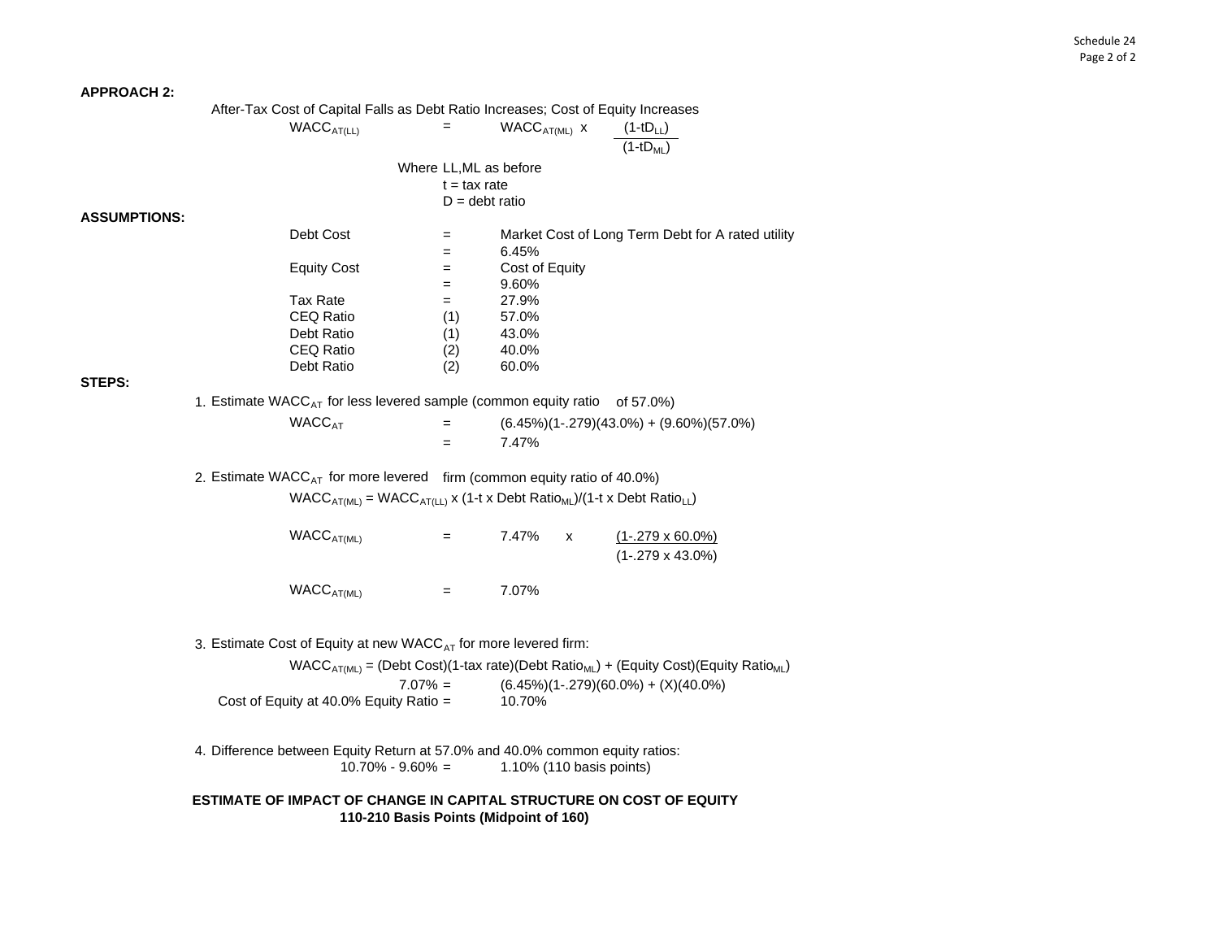#### **APPROACH 2:**

|                     | After-Tax Cost of Capital Falls as Debt Ratio Increases; Cost of Equity Increases                     |                        |                          |              |                                                                                               |
|---------------------|-------------------------------------------------------------------------------------------------------|------------------------|--------------------------|--------------|-----------------------------------------------------------------------------------------------|
|                     | WACC <sub>AT(LL)</sub>                                                                                | $=$                    | $WACCAT(ML)$ x           |              | $(1-tD_{LL})$                                                                                 |
|                     |                                                                                                       |                        |                          |              | $(1-tDM1)$                                                                                    |
|                     |                                                                                                       |                        |                          |              |                                                                                               |
|                     |                                                                                                       | Where LL, ML as before |                          |              |                                                                                               |
|                     |                                                                                                       | $t = tax$ rate         |                          |              |                                                                                               |
|                     |                                                                                                       | $D =$ debt ratio       |                          |              |                                                                                               |
| <b>ASSUMPTIONS:</b> |                                                                                                       |                        |                          |              |                                                                                               |
|                     | Debt Cost                                                                                             | $=$                    |                          |              | Market Cost of Long Term Debt for A rated utility                                             |
|                     |                                                                                                       | $=$                    | 6.45%                    |              |                                                                                               |
|                     | <b>Equity Cost</b>                                                                                    | $=$                    | Cost of Equity<br>9.60%  |              |                                                                                               |
|                     | <b>Tax Rate</b>                                                                                       | $=$                    | 27.9%                    |              |                                                                                               |
|                     | CEQ Ratio                                                                                             | $=$<br>(1)             | 57.0%                    |              |                                                                                               |
|                     |                                                                                                       |                        |                          |              |                                                                                               |
|                     | Debt Ratio<br>CEQ Ratio                                                                               | (1)<br>(2)             | 43.0%<br>40.0%           |              |                                                                                               |
|                     | Debt Ratio                                                                                            | (2)                    | 60.0%                    |              |                                                                                               |
| STEPS:              |                                                                                                       |                        |                          |              |                                                                                               |
|                     |                                                                                                       |                        |                          |              |                                                                                               |
|                     | 1. Estimate WACC <sub>AT</sub> for less levered sample (common equity ratio of 57.0%)                 |                        |                          |              |                                                                                               |
|                     | <b>WACC<sub>AT</sub></b>                                                                              | $=$                    |                          |              | $(6.45\%)$ $(1-.279)(43.0\%) + (9.60\%)$ $(57.0\%)$                                           |
|                     |                                                                                                       | $=$                    | 7.47%                    |              |                                                                                               |
|                     | 2. Estimate WACC <sub>AT</sub> for more levered firm (common equity ratio of 40.0%)                   |                        |                          |              |                                                                                               |
|                     | $WACC_{AT(ML)} = WACC_{AT(LL)}$ x (1-t x Debt Ratio <sub>ML</sub> )/(1-t x Debt Ratio <sub>LL</sub> ) |                        |                          |              |                                                                                               |
|                     |                                                                                                       |                        |                          |              |                                                                                               |
|                     | WACC <sub>AT(ML)</sub>                                                                                | $=$                    | 7.47%                    | $\mathsf{x}$ | $(1-.279 \times 60.0\%)$                                                                      |
|                     |                                                                                                       |                        |                          |              | $(1-.279 \times 43.0\%)$                                                                      |
|                     |                                                                                                       |                        |                          |              |                                                                                               |
|                     | WACC <sub>AT(ML)</sub>                                                                                | $=$                    | 7.07%                    |              |                                                                                               |
|                     |                                                                                                       |                        |                          |              |                                                                                               |
|                     | 3. Estimate Cost of Equity at new WACC <sub>AT</sub> for more levered firm:                           |                        |                          |              |                                                                                               |
|                     |                                                                                                       |                        |                          |              | $WACC_{AT(ML)} = (Debt Cost)(1-tax rate)(Debt Ratio_{ML}) + (Equity Cost)(Equity Ratio_{ML})$ |
|                     | $7.07\% =$                                                                                            |                        |                          |              | $(6.45\%)$ (1-.279)(60.0%) + (X)(40.0%)                                                       |
|                     | Cost of Equity at 40.0% Equity Ratio =                                                                |                        | 10.70%                   |              |                                                                                               |
|                     | 4. Difference between Equity Return at 57.0% and 40.0% common equity ratios:<br>$10.70\% - 9.60\% =$  |                        | 1.10% (110 basis points) |              |                                                                                               |
|                     |                                                                                                       |                        |                          |              |                                                                                               |
|                     | ESTIMATE OF IMPACT OF CHANGE IN CAPITAL STRUCTURE ON COST OF EQUITY                                   |                        |                          |              |                                                                                               |
|                     | 110-210 Basis Points (Midpoint of 160)                                                                |                        |                          |              |                                                                                               |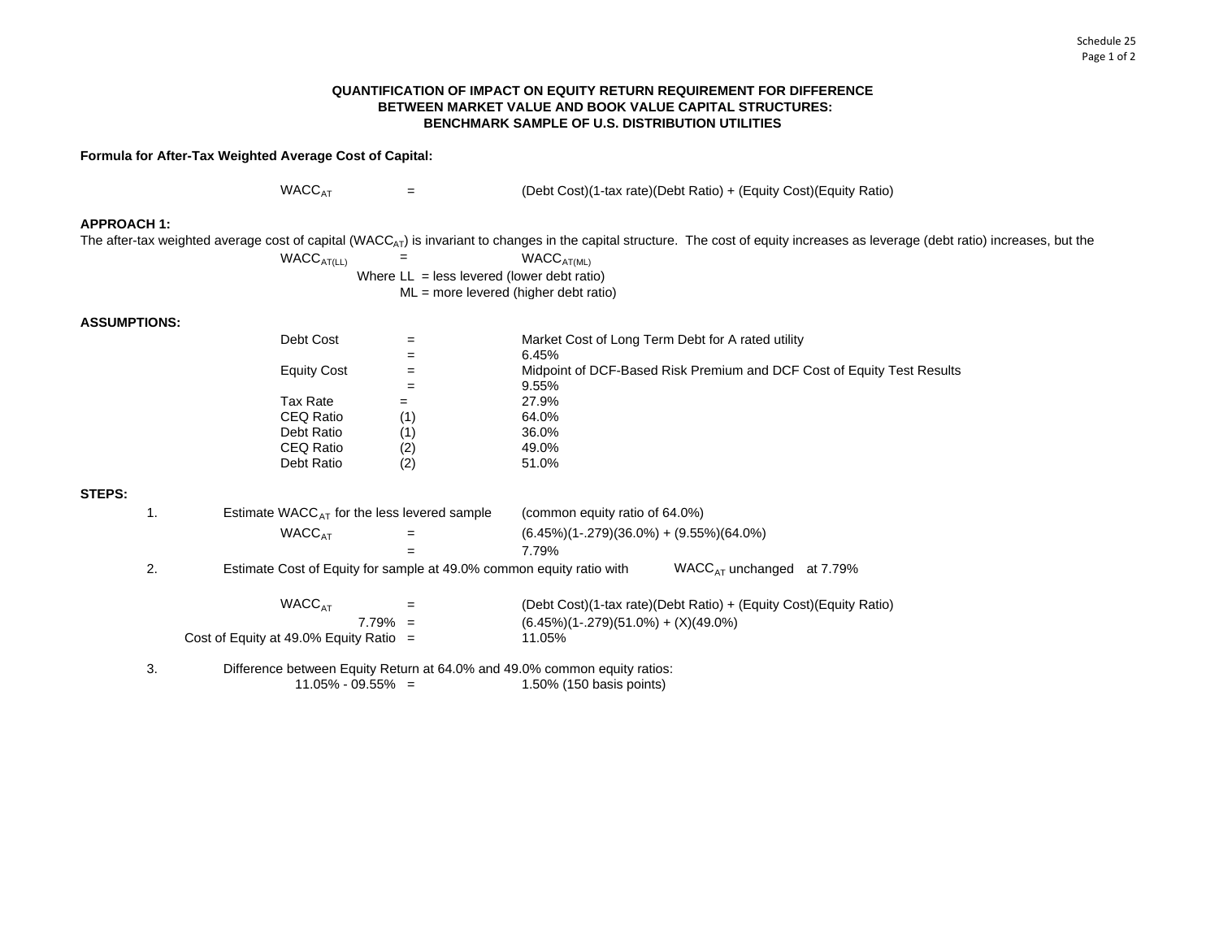## **QUANTIFICATION OF IMPACT ON EQUITY RETURN REQUIREMENT FOR DIFFERENCE BETWEEN MARKET VALUE AND BOOK VALUE CAPITAL STRUCTURES:BENCHMARK SAMPLE OF U.S. DISTRIBUTION UTILITIES**

**Formula for After-Tax Weighted Average Cost of Capital:**

 $WACC_{AT}$  = (Debt Cost)(1-tax rate)(Debt Ratio) + (Equity Cost)(Equity Ratio)

## **APPROACH 1:**

The after-tax weighted average cost of capital (WACC<sub>AT</sub>) is invariant to changes in the capital structure. The cost of equity increases as leverage (debt ratio) increases, but the

 $WACC_{AT(LL)}$  = WACC<sub>AT(ML)</sub> Where  $LL =$  less levered (lower debt ratio) ML = more levered (higher debt ratio)

## **ASSUMPTIONS:**

| Debt Cost   |     | Market Cost of Long Term Debt for A rated utility                      |
|-------------|-----|------------------------------------------------------------------------|
|             | =   | 6.45%                                                                  |
| Equity Cost | =   | Midpoint of DCF-Based Risk Premium and DCF Cost of Equity Test Results |
|             |     | 9.55%                                                                  |
| Tax Rate    |     | 27.9%                                                                  |
| CEQ Ratio   | (1) | 64.0%                                                                  |
| Debt Ratio  | (1) | 36.0%                                                                  |
| CEQ Ratio   | (2) | 49.0%                                                                  |
| Debt Ratio  | (2) | 51.0%                                                                  |
|             |     |                                                                        |

# **STEPS:**

| 1. | Estimate WACC $_{AT}$ for the less levered sample                         |            | (common equity ratio of 64.0%)                  |                                                                   |  |  |  |  |
|----|---------------------------------------------------------------------------|------------|-------------------------------------------------|-------------------------------------------------------------------|--|--|--|--|
|    | <b>WACC<sub>AT</sub></b>                                                  | $=$        | $(6.45\%)$ (1-.279)(36.0%) + $(9.55\%)$ (64.0%) |                                                                   |  |  |  |  |
|    |                                                                           | =          | 7.79%                                           |                                                                   |  |  |  |  |
| 2. | Estimate Cost of Equity for sample at 49.0% common equity ratio with      |            |                                                 | WACC <sub>AT</sub> unchanged at 7.79%                             |  |  |  |  |
|    | WACC <sub>AT</sub>                                                        | $=$        |                                                 | (Debt Cost)(1-tax rate)(Debt Ratio) + (Equity Cost)(Equity Ratio) |  |  |  |  |
|    |                                                                           | $7.79\% =$ | $(6.45\%)$ (1-.279)(51.0%) + (X)(49.0%)         |                                                                   |  |  |  |  |
|    | Cost of Equity at 49.0% Equity Ratio $=$                                  |            | 11.05%                                          |                                                                   |  |  |  |  |
| 3. | Difference between Equity Return at 64.0% and 49.0% common equity ratios: |            |                                                 |                                                                   |  |  |  |  |
|    | $11.05\% - 09.55\% =$                                                     |            | 1.50% (150 basis points)                        |                                                                   |  |  |  |  |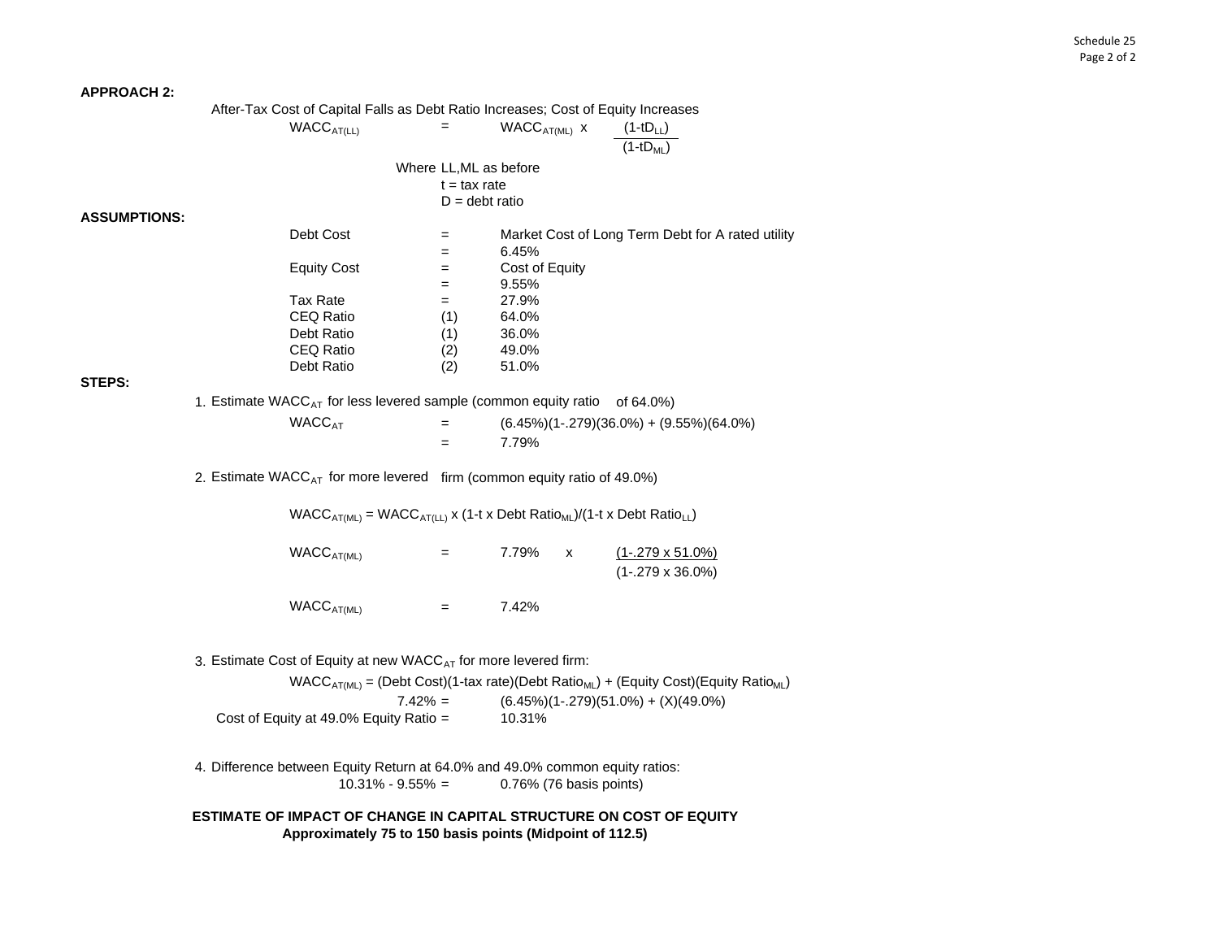#### **APPROACH 2:**

|                     | After-Tax Cost of Capital Falls as Debt Ratio Increases; Cost of Equity Increases             |                                                                                                       |                |                         |                                                                     |  |  |  |  |
|---------------------|-----------------------------------------------------------------------------------------------|-------------------------------------------------------------------------------------------------------|----------------|-------------------------|---------------------------------------------------------------------|--|--|--|--|
|                     |                                                                                               | WACC <sub>AT(LL)</sub>                                                                                | $=$            | $WACCAT(ML)$ x          | $(1-tD_{LL})$                                                       |  |  |  |  |
|                     |                                                                                               |                                                                                                       |                |                         | $\overline{(1-tD_{ML})}$                                            |  |  |  |  |
|                     |                                                                                               |                                                                                                       |                |                         |                                                                     |  |  |  |  |
|                     | Where LL, ML as before                                                                        |                                                                                                       |                |                         |                                                                     |  |  |  |  |
|                     |                                                                                               |                                                                                                       | $t = tax$ rate |                         |                                                                     |  |  |  |  |
|                     |                                                                                               |                                                                                                       |                | $D =$ debt ratio        |                                                                     |  |  |  |  |
| <b>ASSUMPTIONS:</b> |                                                                                               |                                                                                                       |                |                         |                                                                     |  |  |  |  |
|                     |                                                                                               | Debt Cost                                                                                             | $=$            |                         | Market Cost of Long Term Debt for A rated utility                   |  |  |  |  |
|                     |                                                                                               |                                                                                                       | $=$            | 6.45%                   |                                                                     |  |  |  |  |
|                     |                                                                                               | <b>Equity Cost</b>                                                                                    | $=$            | Cost of Equity          |                                                                     |  |  |  |  |
|                     |                                                                                               |                                                                                                       | $=$            | 9.55%                   |                                                                     |  |  |  |  |
|                     |                                                                                               | <b>Tax Rate</b>                                                                                       | $=$            | 27.9%                   |                                                                     |  |  |  |  |
|                     |                                                                                               | CEQ Ratio                                                                                             | (1)            | 64.0%                   |                                                                     |  |  |  |  |
|                     |                                                                                               | Debt Ratio                                                                                            | (1)            | 36.0%                   |                                                                     |  |  |  |  |
|                     |                                                                                               | CEQ Ratio                                                                                             | (2)            | 49.0%                   |                                                                     |  |  |  |  |
|                     |                                                                                               | Debt Ratio                                                                                            | (2)            | 51.0%                   |                                                                     |  |  |  |  |
| STEPS:              |                                                                                               |                                                                                                       |                |                         |                                                                     |  |  |  |  |
|                     |                                                                                               | 1. Estimate WACC <sub>AT</sub> for less levered sample (common equity ratio of 64.0%)                 |                |                         |                                                                     |  |  |  |  |
|                     |                                                                                               | <b>WACC<sub>AT</sub></b>                                                                              | $\quad =$      |                         | $(6.45\%)(1-.279)(36.0\%) + (9.55\%)(64.0\%)$                       |  |  |  |  |
|                     |                                                                                               |                                                                                                       | $=$            | 7.79%                   |                                                                     |  |  |  |  |
|                     |                                                                                               |                                                                                                       |                |                         |                                                                     |  |  |  |  |
|                     |                                                                                               | 2. Estimate WACC <sub>AT</sub> for more levered firm (common equity ratio of 49.0%)                   |                |                         |                                                                     |  |  |  |  |
|                     |                                                                                               | $WACC_{AT(ML)} = WACC_{AT(LL)}$ x (1-t x Debt Ratio <sub>ML</sub> )/(1-t x Debt Ratio <sub>LL</sub> ) |                |                         |                                                                     |  |  |  |  |
|                     |                                                                                               |                                                                                                       |                |                         |                                                                     |  |  |  |  |
|                     |                                                                                               | WACC <sub>AT(ML)</sub>                                                                                | $=$            | 7.79%<br>X              | $(1-.279 \times 51.0\%)$                                            |  |  |  |  |
|                     |                                                                                               |                                                                                                       |                |                         | $(1-.279 \times 36.0\%)$                                            |  |  |  |  |
|                     |                                                                                               |                                                                                                       |                |                         |                                                                     |  |  |  |  |
|                     |                                                                                               | WACC <sub>AT(ML)</sub>                                                                                | $=$            | 7.42%                   |                                                                     |  |  |  |  |
|                     |                                                                                               |                                                                                                       |                |                         |                                                                     |  |  |  |  |
|                     |                                                                                               | 3. Estimate Cost of Equity at new WACC <sub>AT</sub> for more levered firm:                           |                |                         |                                                                     |  |  |  |  |
|                     | $WACC_{AT(ML)} = (Debt Cost)(1-tax rate)(Debt Ratio_{ML}) + (Equity Cost)(Equity Ratio_{ML})$ |                                                                                                       |                |                         |                                                                     |  |  |  |  |
|                     | $7.42\% =$<br>$(6.45\%)$ (1-.279)(51.0%) + (X)(49.0%)                                         |                                                                                                       |                |                         |                                                                     |  |  |  |  |
|                     |                                                                                               | Cost of Equity at 49.0% Equity Ratio =                                                                |                | 10.31%                  |                                                                     |  |  |  |  |
|                     |                                                                                               |                                                                                                       |                |                         |                                                                     |  |  |  |  |
|                     | 4. Difference between Equity Return at 64.0% and 49.0% common equity ratios:                  |                                                                                                       |                |                         |                                                                     |  |  |  |  |
|                     |                                                                                               | $10.31\% - 9.55\% =$                                                                                  |                | 0.76% (76 basis points) |                                                                     |  |  |  |  |
|                     |                                                                                               |                                                                                                       |                |                         | ESTIMATE OF IMPACT OF CHANGE IN CAPITAL STRUCTURE ON COST OF EQUITY |  |  |  |  |
|                     |                                                                                               |                                                                                                       |                |                         |                                                                     |  |  |  |  |

**Approximately 75 to 150 basis points (Midpoint of 112.5)**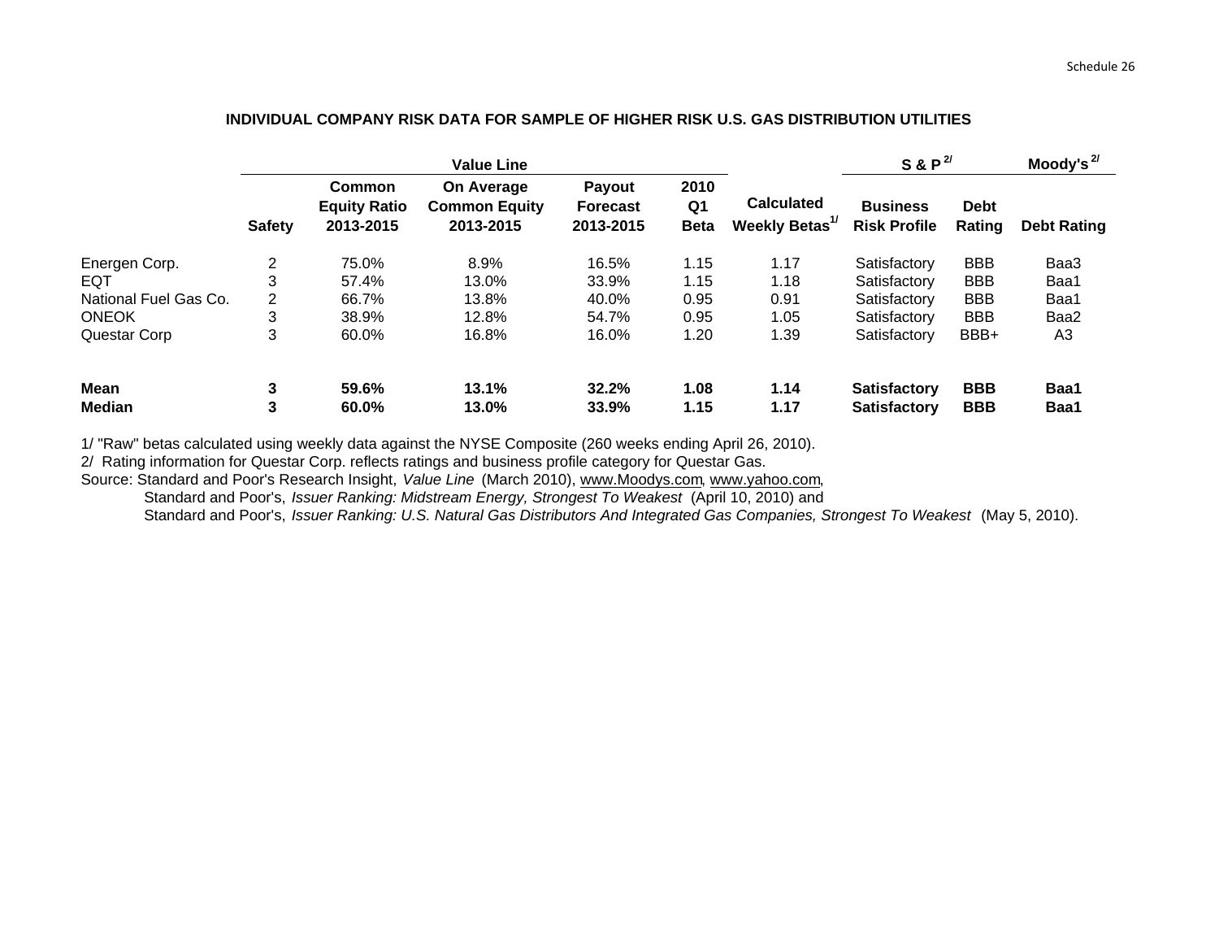# **INDIVIDUAL COMPANY RISK DATA FOR SAMPLE OF HIGHER RISK U.S. GAS DISTRIBUTION UTILITIES**

|                              |                | <b>Value Line</b>                                 |                                                 |                                               |                           | S & P <sup>2</sup>                              |                                            | Moody's $^{2/}$          |                    |
|------------------------------|----------------|---------------------------------------------------|-------------------------------------------------|-----------------------------------------------|---------------------------|-------------------------------------------------|--------------------------------------------|--------------------------|--------------------|
|                              | <b>Safety</b>  | <b>Common</b><br><b>Equity Ratio</b><br>2013-2015 | On Average<br><b>Common Equity</b><br>2013-2015 | <b>Payout</b><br><b>Forecast</b><br>2013-2015 | 2010<br>Q1<br><b>Beta</b> | <b>Calculated</b><br>Weekly Betas <sup>1/</sup> | <b>Business</b><br><b>Risk Profile</b>     | <b>Debt</b><br>Rating    | <b>Debt Rating</b> |
| Energen Corp.                | $\overline{2}$ | 75.0%                                             | 8.9%                                            | 16.5%                                         | 1.15                      | 1.17                                            | Satisfactory                               | <b>BBB</b>               | Baa3               |
| EQT                          | 3              | 57.4%                                             | 13.0%                                           | 33.9%                                         | 1.15                      | 1.18                                            | Satisfactory                               | <b>BBB</b>               | Baa1               |
| National Fuel Gas Co.        | $\overline{2}$ | 66.7%                                             | 13.8%                                           | 40.0%                                         | 0.95                      | 0.91                                            | Satisfactory                               | <b>BBB</b>               | Baa1               |
| <b>ONEOK</b>                 | 3              | 38.9%                                             | 12.8%                                           | 54.7%                                         | 0.95                      | 1.05                                            | Satisfactory                               | <b>BBB</b>               | Baa2               |
| Questar Corp                 | 3              | 60.0%                                             | 16.8%                                           | 16.0%                                         | 1.20                      | 1.39                                            | Satisfactory                               | BBB+                     | A <sub>3</sub>     |
| <b>Mean</b><br><b>Median</b> | 3<br>3         | 59.6%<br>60.0%                                    | 13.1%<br>13.0%                                  | 32.2%<br>33.9%                                | 1.08<br>1.15              | 1.14<br>1.17                                    | <b>Satisfactory</b><br><b>Satisfactory</b> | <b>BBB</b><br><b>BBB</b> | Baa1<br>Baa1       |

1/ "Raw" betas calculated using weekly data against the NYSE Composite (260 weeks ending April 26, 2010).

2/ Rating information for Questar Corp. reflects ratings and business profile category for Questar Gas.

Source: Standard and Poor's Research Insight, *Value Line* (March 2010), <u>www.Moodys.com, www.yahoo.com</u>,

Standard and Poor's, *Issuer Rankin g: Midstream Energy, Stron gest To Weakest* (A pril 10, 2010) and

Standard and Poor's, *Issuer Rankin g: U.S. Natural Gas Distributors And Inte grated Gas Companies, Stron gest To Weakest* (Ma y 5, 2010).